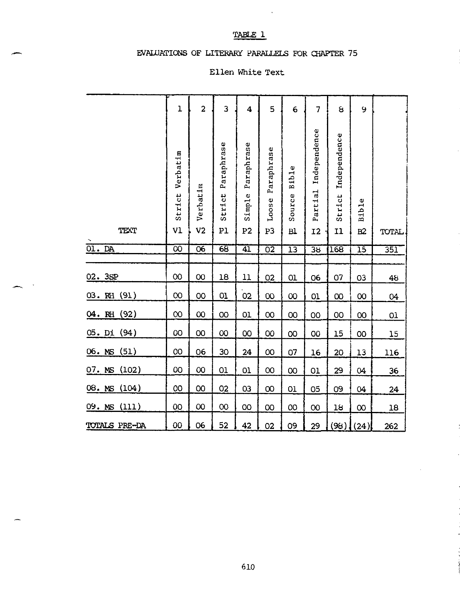#### TABLE 1

 $\sim$   $\sim$ 

#### EVALUATIONS OF LITERARY PARALLELS FOR CHAPTER 75

#### Ellen White Text

|                  | $\mathbf{1}$             | $\overline{2}$             | 3                          | 4                                      | 5                         | 6                            | $\overline{7}$                       | 8                            | 9               |                  |
|------------------|--------------------------|----------------------------|----------------------------|----------------------------------------|---------------------------|------------------------------|--------------------------------------|------------------------------|-----------------|------------------|
| TEXT             | Verbatim<br>Strict<br>V1 | Verbatim<br>V <sub>2</sub> | Paraphrase<br>Strict<br>P1 | Paraphrase<br>Simple<br>P <sub>2</sub> | Paraphrase<br>Loose<br>P3 | <b>Bible</b><br>Source<br>B1 | Independence<br>Partial<br><b>I2</b> | Independence<br>Strict<br>11 | Bible<br>B2     | TOTAL            |
| 01.DA            | $\overline{\infty}$      | $\overline{06}$            | $\overline{68}$            | $\overline{41}$                        | $\overline{02}$           | $\overline{13}$              | $\overline{38}$                      | 168                          | $\overline{15}$ | $\overline{351}$ |
|                  |                          |                            |                            |                                        |                           |                              |                                      |                              |                 |                  |
| 02. 3SP          | 00                       | 00                         | 18                         | 11                                     | 02                        | 01                           | 06                                   | 07                           | 03              | 48               |
| 03. RH(91)       | 00                       | 00                         | 01                         | 02                                     | $\infty$                  | $\infty$                     | 01                                   | $\infty$                     | 00              | 04               |
| 04. RH(92)       | $\rm{OO}$                | $\infty$                   | 00                         | 01                                     | $\infty$                  | OO                           | OO                                   | OO                           | OO              | O <sub>1</sub>   |
| $05.$ Di $(94)$  | OO                       | OO                         | $\infty$                   | <b>OO</b>                              | OO                        | 00                           | OO                                   | 15                           | <b>OO</b>       | 15               |
| 06.MS(51)        | 00                       | 06                         | 30                         | 24                                     | 00                        | 07                           | 16                                   | 20                           | 13              | 116              |
| $07.$ MS $(102)$ | 00                       | $\infty$                   | 01                         | 01                                     | $\infty$                  | 00                           | 01                                   | 29                           | 04              | 36               |
| $08.$ MS $(104)$ | 00                       | OO                         | 02                         | 03                                     | $\infty$                  | 01                           | 05                                   | 09                           | 04              | 24               |
| 09. MS (111)     | OO                       | $\infty$                   | $\infty$                   | OO                                     | OO                        | 00                           | $\infty$                             | 18                           | $\infty$        | 18               |
| TOTALS PRE-DA    | 00                       | 06                         | 52                         | 42                                     | 02                        | 09                           | 29                                   | (98)                         | (24)            | 262              |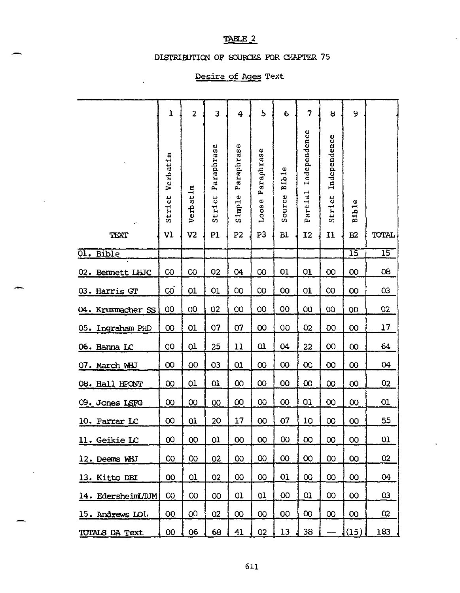#### TABLE 2

#### DISTRIBUTION OF SOURCES FOR CHAPTER 75

#### Desire of Ages Text

l,

|                   | $\mathbf{I}$       | $\overline{c}$ | 3                    | 4                         | 5                   | 6                      | 7                       | 8                      | 9               |              |
|-------------------|--------------------|----------------|----------------------|---------------------------|---------------------|------------------------|-------------------------|------------------------|-----------------|--------------|
|                   | Verbatim<br>Strict | Verbatim       | Paraphrase<br>Strict | araphrase<br>д,<br>Simple | Paraphrase<br>Loose | <b>Bible</b><br>Source | Independence<br>Partial | Independence<br>Strict | Bible           |              |
| TEXT              | V1                 | V <sub>2</sub> | P1                   | P <sub>2</sub>            | P3                  | <b>Bl</b>              | I2                      | 11                     | B2              | <b>TOTAL</b> |
| 01. Bible         |                    |                |                      |                           |                     |                        |                         |                        | $\overline{15}$ | 15           |
| 02. Bennett LHJC  | 00                 | $\infty$       | 02                   | 04                        | $\infty$            | 01                     | 01                      | 00                     | 00              | 08           |
| 03. Harris GT     | 00 <sub>o</sub>    | 01             | 01                   | <b>OO</b>                 | $\overline{00}$     | 00                     | 01                      | $\infty$               | 00              | 03           |
| 04. Krummacher SS | 00                 | OO             | 02                   | 00                        | 00                  | 00                     | 00                      | <b>OO</b>              | 00              | 02           |
| 05. Ingraham PHD  | $\infty$           | 01             | 07                   | 07                        | 00                  | 00                     | 02                      | 00                     | 00              | 17           |
| 06. Hanna LC      | 00                 | 01             | 25                   | 11                        | 01                  | 04                     | 22                      | 00                     | $\infty$        | 64           |
| 07. March WHJ     | 00                 | OO             | 03                   | 01                        | $\infty$            | $\infty$               | 00                      | 00                     | $\infty$        | 04           |
| 08. Hall HPONT    | $\infty$           | 01             | 01                   | $\infty$                  | $\infty$            | 00                     | 00                      | $\infty$               | $\infty$        | 02           |
| 09. Jones LSFG    | $\infty$           | $\infty$       | $\infty$             | 00                        | $\infty$            | $\infty$               | 01                      | 00                     | $\infty$        | 01           |
| 10. Farrar LC     | 00                 | 01             | 20                   | 17                        | 00                  | 07                     | 10                      | $\infty$               | 00              | 55           |
| 11. Geikie LC     | $\infty$           | 00             | $\mathbf{0}$         | 00                        | 00                  | 00                     | 00                      | $\infty$               | 00              | 01           |
| 12. Deems WHJ     | $\infty$           | $\infty$       | 02                   | $\infty$                  | $\infty$            | $\infty$               | <b>OO</b>               | $\infty$               | 00              | 02           |
| 13. Kitto DBI     | 00                 | 01             | 02                   | $\infty$                  | $\infty$            | 01                     | $\infty$                | $\infty$               | 00              | 04           |
| 14. EdersheimLTUM | 00                 | $\infty$       | 00                   | 01                        | 01                  | 00                     | 01                      | $\infty$               | 00              | 03           |
| 15. Andrews LOL   | 00                 | OO             | O <sub>2</sub>       | $\infty$                  | $\infty$            | 00                     | $\infty$                | $\infty$               | 00              | 02           |
| TOTALS DA Text    | $00\,$             | 06             | 68                   | 41                        | 02                  | 13                     | 38                      |                        | (15)            | 183          |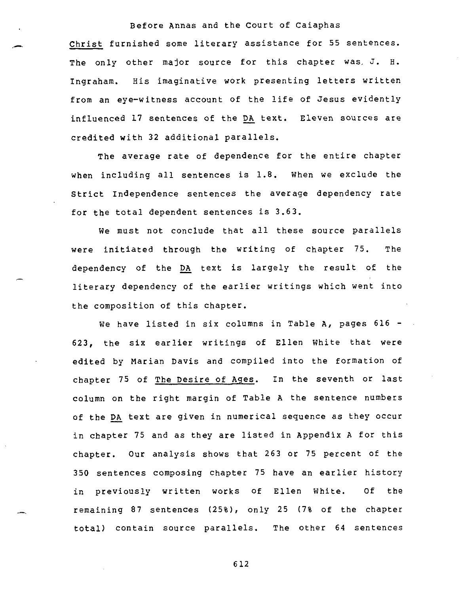Christ furnished some literary assistance for 55 sentences. The only other major source for this chapter was, J. H. Ingraham. His imaginative work presenting letters written from an eye-witness account of the life of Jesus evidently influenced 17 sentences of the DA text. Eleven sources are credited with 32 additional parallels.

The average rate of dependence for the entire chapter when including all sentences is 1.8. When we exclude the Strict Independence sentences the average dependency rate for the total dependent sentences is 3.63.

We must not conclude that all these source parallels were initiated through the writing of chapter 75. The dependency of the DA text is largely the result of the literary dependency of the earlier writings which went into the composition of this chapter.

We have listed in six columns in Table A, pages 616 -623, the six earlier writings of Ellen White that were edited by Marian Davis and compiled into the formation of chapter 75 of The Desire of Ages. In the seventh or last column on the right margin of Table A the sentence numbers of the DA text are given in numerical sequence as they occur in chapter 75 and as they are listed in Appendix A for this chapter. Our analysis shows that 263 or 75 percent of the 350 sentences composing chapter 75 have an earlier history in previously written works of Ellen White. Of the remaining 87 sentences (25%), only 25 (7% of the chapter total) contain source parallels. The other 64 sentences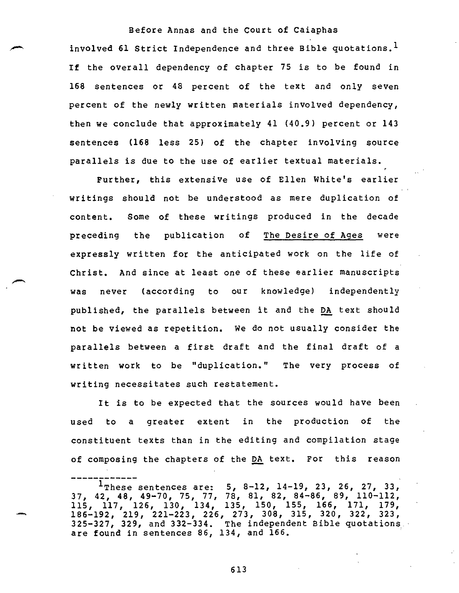Before Annas and the Court of Caiaphas involved 61 Strict Independence and three Bible quotations.<sup>1</sup> If the overall dependency of chapter 75 is to be found in 168 sentences or 48 percent of the text and only seven percent of the newly written materials involved dependency, then we conclude that approximately 41 (40.9) percent or 143 sentences (168 less 25) of the chapter involving source parallels is due to the use of earlier textual materials.

Further, this extensive use of Ellen White's earlier writings should not be understood as mere duplication of content. Some of these writings produced in the decade preceding the publication of The Desire of Ages were expressly written for the anticipated work on the life of Christ. And since at least one of these earlier manuscripts was never (according to our knowledge) independently published, the parallels between it and the DA text should not be viewed as repetition. We do not usually consider the parallels between a first draft and the final draft of a written work to be "duplication." The very process of writing necessitates such restatement.

It is to be expected that the sources would have been used to a greater extent in the production of the constituent texts than in the editing and compilation stage of composing the chapters of the DA text. For this reason

 $1$ These sentences are: 5, 8-12, 14-19, 23, 26, 27, 33, 37, 42, 48, 49-70, 75, 77, 78, 81, 82, 84-86, 89, 110-112, 115, 117, 126, 130, 134, 135, 150, 155, 166, 171, 179, 186-192, 219, 221-223, 226, 273, 308, 315, 320, 322, 323, 325-327, 329, and 332-334. The independent Bible quotations are found in sentences 86, 134, and 166.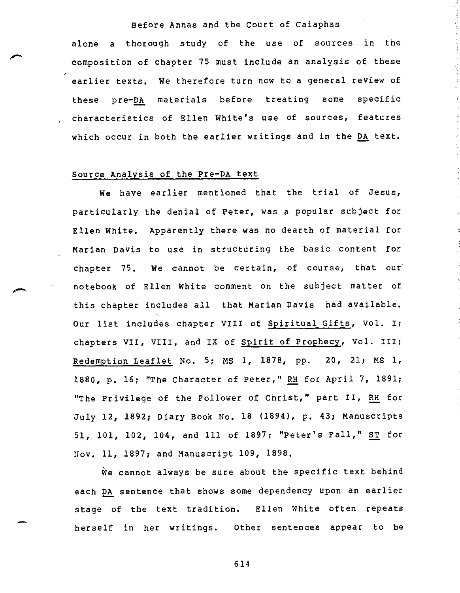alone a thorough study of the use of sources in the composition of chapter 75 must include an analysis of these earlier texts. We therefore turn now to a general review of these pre-DA materials before treating some specific characteristics of Ellen White's use of sources, features which occur in both the earlier writings and in the DA text.

#### Source Analysis of the Pre-DA text

We have earlier mentioned that the trial of Jesus, particularly the denial of Peter, was a popular subject for Ellen White. Apparently there was no dearth of material for Marian Davis to use in structuring the basic content for chapter 75. We cannot be certain, of course, that our notebook of Ellen White comment on the subject matter of this chapter includes all that Marian Davis had available. Our list includes chapter VIII of Spiritual Gifts, Vol. I; chapters VII, VIII, and IX of Spirit of Prophecy, Vol. III; Redemption Leaflet No. 5; MS 1, 1878, pp. 20, 21; MS 1, 1880, p. 16; "The Character of Peter," RH for April 7, 1891; "The Privilege of the Follower of Christ," part II, RH for July 12, 1892; Diary Book No. 18 (1894), p. 43; Manuscripts 51, 101, 102, 104, and 111 of 1897; "Peter's Fall," ST for Nov. 11, 1897; and Manuscript 109, 1898.

We cannot always be sure about the specific text behind each DA sentence that shows some dependency upon an earlier stage of the text tradition. Ellen White often repeats herself in her writings. Other sentences appear to be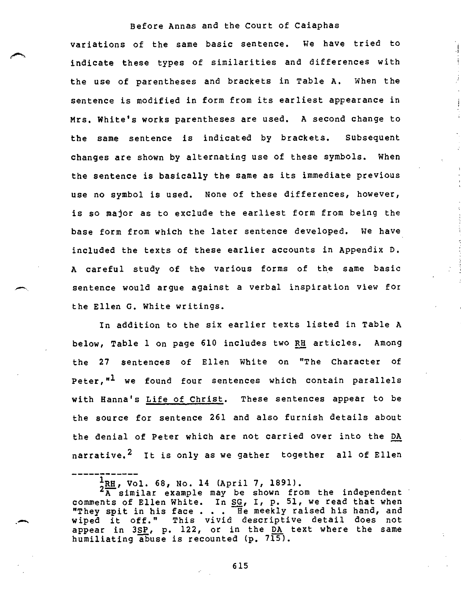variations of the same basic sentence. We have tried to indicate these types of similarities and differences with the use of parentheses and brackets in Table A. When the sentence is modified in form from its earliest appearance in Mrs. White's works parentheses are used. A second change to the same sentence is indicated by brackets. Subsequent changes are shown by alternating use of these symbols. When the sentence is basically the same as its immediate previous use no symbol is used. None of these differences, however, is so major as to exclude the earliest form from being the base form from which the later sentence developed. We have included the texts of these earlier accounts in Appendix D. A careful study of the various forms of the same basic sentence would argue against a verbal inspiration view for the Ellen G. White writings.

In addition to the six earlier texts listed in Table A below, Table 1 on page 610 includes two RH articles. Among the 27 sentences of Ellen White on "The Character of Peter,"<sup>1</sup> we found four sentences which contain parallels with Hanna's Life of Christ. These sentences appear to be the source for sentence 261 and also furnish details about the denial of Peter which are not carried over into the DA narrative.<sup>2</sup> It is only as we gather together all of Ellen

 $\frac{1}{2}$ RH, Vol. 68, No. 14 (April 7, 1891).<br> $\frac{2}{A}$  similar example may be shown from the independent comments of Ellen White. In SG, I, p. 51, we read that when "They spit in his face  $\ldots$ . He meekly raised his hand, and wiped it off." This vivid descriptive detail does not appear in 3SP, p. 122, or in the DA text where the same humiliating abuse is recounted (p.  $7\overline{15}$ ).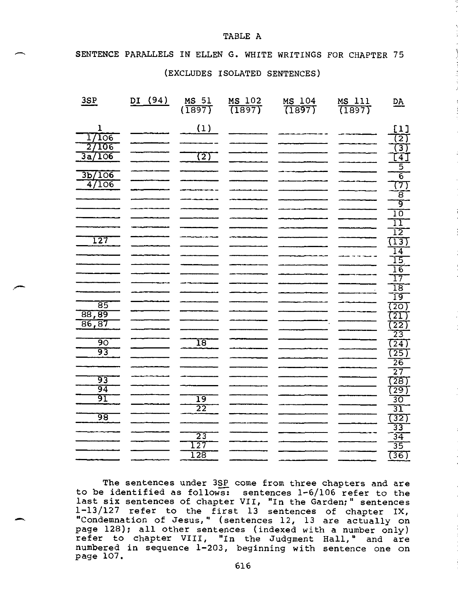#### SENTENCE PARALLELS IN ELLEN G. WHITE WRITINGS FOR CHAPTER 75

TABLE A

#### (EXCLUDES ISOLATED SENTENCES)

| 3SP                                             | (94)<br>$\overline{D}I$ | MS 51<br>(1897)                               | $\frac{MS 102}{(1897)}$ | MS 104<br>(1897) | $\frac{MS}{(1897)}$ | $\underline{DA}$                         |
|-------------------------------------------------|-------------------------|-----------------------------------------------|-------------------------|------------------|---------------------|------------------------------------------|
| $\mathbf{1}$<br>17106<br>106<br>$\overline{27}$ |                         | (1)                                           |                         |                  |                     | <u>[1]</u><br><u>(ठ)</u>                 |
| 706<br>3a                                       |                         | 72)                                           |                         |                  |                     | 3)<br>$\lceil 4 \rceil$<br>5             |
| 3 <sub>b</sub> /106<br>47106                    |                         |                                               |                         |                  |                     | $\overline{6}$<br>$\overline{(7)}$       |
|                                                 |                         |                                               |                         |                  |                     | $\overline{8}$<br>ब्र                    |
|                                                 |                         |                                               |                         |                  |                     | 10<br>$\overline{11}$<br>12              |
| <u> 127</u>                                     |                         |                                               |                         |                  |                     | $\overline{(13)}$<br>$\overline{14}$     |
|                                                 |                         |                                               |                         |                  |                     | $\overline{15}$<br>$\overline{16}$       |
|                                                 |                         |                                               |                         |                  |                     | $\overline{17}$<br>$\overline{18}$<br>19 |
| $\overline{85}$<br>88,89                        |                         |                                               |                         |                  |                     | (20)<br>$\overline{21}$                  |
| 86,87<br>९०                                     |                         | $\overline{18}$                               |                         |                  |                     | $\overline{(22)}$<br>$\overline{23}$     |
| 93                                              |                         |                                               |                         |                  |                     | (24)<br>(25)<br>$\overline{26}$          |
| 93                                              |                         |                                               |                         |                  |                     | $\overline{27}$<br>(28)                  |
| 94<br>91                                        |                         | $\overline{19}$<br>$\overline{2}\overline{2}$ |                         |                  |                     | (29)<br>30<br>31                         |
| ९८                                              |                         |                                               |                         |                  |                     | $\frac{(32)}{33}$                        |
|                                                 |                         | $\overline{23}$<br>127                        |                         |                  |                     | $3\overline{4}$<br>35                    |
|                                                 |                         | $\overline{128}$                              |                         |                  |                     | (36)                                     |

The sentences under 3SP come from three chapters and are to be identified as follows: sentences 1-6/106 refer to the last six sentences of chapter VII, "In the Garden;" sentences page 128); all other sentences (indexed with a number only) 1-13/127 refer to the first 13 sentences of chapter IX, "Condemnation of Jesus," (sentences 12, 13 are actually on refer to chapter VIII, "In the Judgment Hall," and are numbered in sequence 1-203, beginning with sentence one on page 107.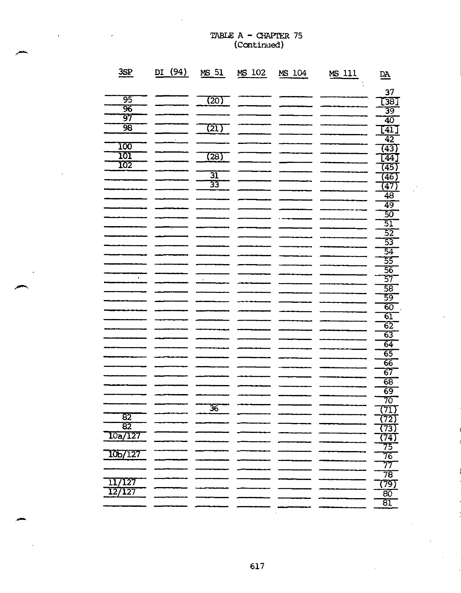|                                               |         |                                  | <i>learnmen</i> |        |        |                                                    |
|-----------------------------------------------|---------|----------------------------------|-----------------|--------|--------|----------------------------------------------------|
| 3SP                                           | DI (94) | MS 51                            | MS 102          | MS 104 | MS 111 | $\underline{DA}$                                   |
| 95<br>ॐ<br>97                                 |         | (20)                             |                 |        |        | 37<br><u>[38]</u><br>39                            |
| 98<br>100                                     |         | (21)                             |                 |        |        | $\overline{40}$<br>$\overline{[41]}$<br>42<br>(43) |
| <u>101</u><br>102                             |         | (28)<br>$\overline{\mathbf{31}}$ |                 |        |        | $\lceil 44 \rceil$<br>(45)<br>(46)                 |
|                                               |         | 33                               |                 |        |        | (47)<br>48<br>49<br>$\overline{50}$                |
|                                               |         |                                  |                 |        |        | 51<br>$\overline{52}$<br>53                        |
|                                               |         |                                  |                 |        |        | $\overline{54}$<br>55<br>56<br>57                  |
|                                               |         |                                  |                 |        |        | 58<br>59<br>60                                     |
|                                               |         |                                  |                 |        |        | $\overline{61}$<br>$\overline{62}$<br>63<br>64     |
|                                               |         |                                  |                 |        |        | $\overline{65}$<br>66<br>67<br>68                  |
|                                               |         | $\overline{36}$                  |                 |        |        | 69<br>70<br>(71)                                   |
| $\overline{82}$<br>$\overline{82}$<br>10a/127 |         |                                  |                 |        |        | (72)<br>(73)<br>(74)<br>75                         |
| 10 <sub>b</sub> /127<br>/127<br>11            |         |                                  |                 |        |        | 76<br>77<br>78<br>(79)                             |
| 127                                           |         |                                  |                 |        |        | $\overline{80}$<br>$\overline{81}$                 |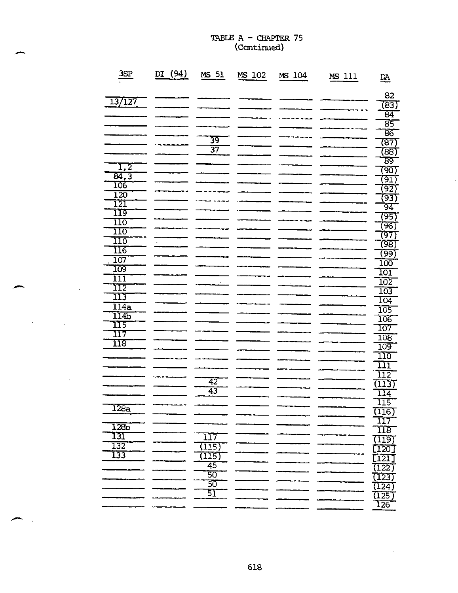| <u>3SP</u>                             | $\underline{\mathbf{D}}$<br><u>(94)</u> | 51<br>MS        | MS 102 | MS 104 | MS 111 | $\underline{\mathsf{DA}}$              |
|----------------------------------------|-----------------------------------------|-----------------|--------|--------|--------|----------------------------------------|
| 13/127                                 |                                         |                 |        |        |        | 82                                     |
|                                        |                                         |                 |        |        |        | (83)                                   |
|                                        |                                         |                 |        |        |        | व्य                                    |
|                                        |                                         |                 |        |        |        | $\overline{85}$<br>$\overline{86}$     |
|                                        |                                         | $\overline{39}$ |        |        |        | (87)                                   |
|                                        |                                         | $\overline{37}$ |        |        |        | (८८)                                   |
|                                        |                                         |                 |        |        |        | ८९                                     |
| $\overline{1,2}$                       |                                         |                 |        |        |        | (90)                                   |
| $\overline{84,3}$                      |                                         |                 |        |        |        | (9I)                                   |
| 106                                    |                                         |                 |        |        |        | (92)                                   |
| $\overline{120}$                       |                                         |                 |        |        |        | (93)                                   |
| 121<br>119                             |                                         |                 |        |        |        | 94                                     |
| 110                                    |                                         |                 |        |        |        | (95)                                   |
| <u>110</u>                             |                                         |                 |        |        |        | জে                                     |
| 110                                    |                                         |                 |        |        |        | 797                                    |
| $\overline{116}$                       |                                         |                 |        |        |        | (98)                                   |
| 107                                    |                                         |                 |        |        |        | (९९)                                   |
| 109                                    |                                         |                 |        |        |        | 100<br>101                             |
| $\overline{1}\overline{1}\overline{1}$ |                                         |                 |        |        |        | $\overline{102}$                       |
| $\overline{1}\overline{1}\overline{2}$ |                                         |                 |        |        |        | 103                                    |
| 113                                    |                                         |                 |        |        |        | 104                                    |
| $\overline{114a}$                      |                                         |                 |        |        |        | $\overline{105}$                       |
| 114b                                   |                                         |                 |        |        |        |                                        |
| 115                                    |                                         |                 |        |        |        | 106<br>107                             |
| 117                                    |                                         |                 |        |        |        | $\overline{108}$                       |
| $\overline{118}$                       |                                         |                 |        |        |        | <u> 109</u>                            |
|                                        |                                         |                 |        |        |        | $\overline{110}$                       |
|                                        |                                         |                 |        |        |        | <u> 111</u>                            |
|                                        |                                         | 42              |        |        |        | $\overline{1}\overline{1}\overline{2}$ |
|                                        |                                         | 43              |        |        |        | (113)                                  |
|                                        |                                         |                 |        |        |        | $1\overline{1}\overline{4}$<br>115     |
| 128a                                   |                                         |                 |        |        |        |                                        |
|                                        |                                         |                 |        |        |        | $\frac{(116)}{117}$                    |
| $\overline{128p}$                      |                                         |                 |        |        |        | $\overline{118}$                       |
| 131                                    |                                         | 117             |        |        |        | (119)                                  |
| 132                                    |                                         | (115)           |        |        |        | [120]                                  |
| 133                                    |                                         | 115)            |        |        |        | [121                                   |
|                                        |                                         | 45              |        |        |        | (122)                                  |
|                                        |                                         | 50              |        |        |        | (123)                                  |
|                                        |                                         | $\overline{50}$ |        |        |        | (124)                                  |
|                                        |                                         | 51              |        |        |        | (125)                                  |
|                                        |                                         |                 |        |        |        | 126                                    |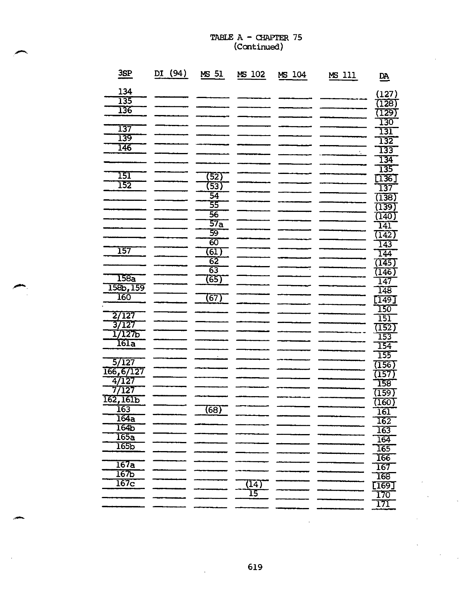| <u>3SP</u>          | DI (94) | MS 51           | MS 102 | MS 104 | MS 111 | $\underline{\mathbf{p}}$ |
|---------------------|---------|-----------------|--------|--------|--------|--------------------------|
| 134                 |         |                 |        |        |        | (127)                    |
| 135                 |         |                 |        |        |        | (128)                    |
| 136                 |         |                 |        |        |        | (129)                    |
|                     |         |                 |        |        |        | 130                      |
| 137                 |         |                 |        |        |        | <u> 131</u>              |
| 139                 |         |                 |        |        |        | 132                      |
| 146                 |         |                 |        |        |        | 133                      |
|                     |         |                 |        |        |        | 134                      |
|                     |         |                 |        |        |        |                          |
| 151                 |         | (52)            |        |        |        | 135<br>[136]             |
| 152                 |         | (53)            |        |        |        | 137                      |
|                     |         | $\overline{54}$ |        |        |        | (138)                    |
|                     |         | 55              |        |        |        | (139)                    |
|                     |         | 56              |        |        |        | (140)                    |
|                     |         | 57 <sub>a</sub> |        |        |        | 141                      |
|                     |         | 59              |        |        |        | (142)                    |
|                     |         | 60              |        |        |        | 143                      |
| 157                 |         | (6I)            |        |        |        | 144                      |
|                     |         | $\overline{62}$ |        |        |        | (145)                    |
|                     |         | 63              |        |        |        | (146)                    |
| <u> 158a</u>        |         | (65)            |        |        |        | 147                      |
| 158b, 159           |         |                 |        |        |        | 148                      |
| 160                 |         | (67)            |        |        |        | [149]                    |
|                     |         |                 |        |        |        | 150                      |
| 2/127               |         |                 |        |        |        | 151                      |
| 37127               |         |                 |        |        |        | (152)                    |
| 1/1275              |         |                 |        |        |        | 153                      |
| 161a                |         |                 |        |        |        | 154                      |
|                     |         |                 |        |        |        | 155                      |
| 5/127               |         |                 |        |        |        | (156)                    |
| 166,6/127<br>4/127  |         |                 |        |        |        | (157)                    |
| 77127               |         |                 |        |        |        | 158                      |
|                     |         |                 |        |        |        | (159)                    |
| <u>162,161b</u>     |         |                 |        |        |        | (160)                    |
| <u> 163</u><br>164a |         | (68)            |        |        |        | <b>161</b>               |
| 164 <sub>b</sub>    |         |                 |        |        |        | 162                      |
| 165a                |         |                 |        |        |        | 163                      |
| $\overline{165}$    |         |                 |        |        |        | 164                      |
|                     |         |                 |        |        |        | 165                      |
| 167a                |         |                 |        |        |        | 166                      |
| 167 <sub>D</sub>    |         |                 |        |        |        | 167                      |
| 167c                |         |                 | (14)   |        |        | 168                      |
|                     |         |                 | 15     |        |        | [169]                    |
|                     |         |                 |        |        |        | 170<br>$\overline{171}$  |
|                     |         |                 |        |        |        |                          |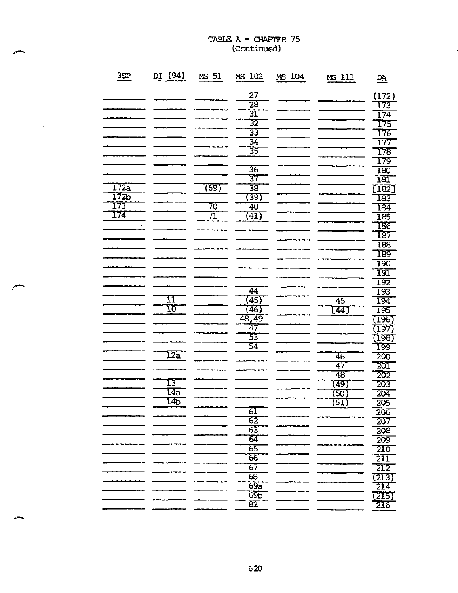$\bar{.}$ 

| 3SP  | (94)<br>DI      | 51<br>MS | 102<br><b>MS</b>      | MS 104 | MS 111          | $\underline{\mathbf{DA}}$ |
|------|-----------------|----------|-----------------------|--------|-----------------|---------------------------|
|      |                 |          | 27                    |        |                 |                           |
|      |                 |          | $\overline{28}$       |        |                 | (172)                     |
|      |                 |          | 31                    |        |                 | 173                       |
|      |                 |          |                       |        |                 | 174                       |
|      |                 |          | $\overline{32}$       |        |                 | 175                       |
|      |                 |          | $\overline{33}$       |        |                 | 176                       |
|      |                 |          | $\overline{34}$<br>35 |        |                 | 177                       |
|      |                 |          |                       |        |                 | 178                       |
|      |                 |          | 36                    |        |                 | <u>179</u>                |
|      |                 |          | 37                    |        |                 | 180                       |
| 172a |                 | (69)     | 38                    |        |                 | 181                       |
| 172b |                 |          | (39)                  |        |                 | [182]                     |
| 173  |                 | 70       | 40                    |        |                 | 183                       |
| 174  |                 | 71       | (41)                  |        |                 | 184                       |
|      |                 |          |                       |        |                 | 185                       |
|      |                 |          |                       |        |                 | 186                       |
|      |                 |          |                       |        |                 | <u>187</u>                |
|      |                 |          |                       |        |                 | $\overline{188}$          |
|      |                 |          |                       |        |                 | 189                       |
|      |                 |          |                       |        |                 | <u> 190</u>               |
|      |                 |          |                       |        |                 | 191                       |
|      |                 |          |                       |        |                 | 192                       |
|      | $\overline{11}$ |          | 44                    |        |                 | 193                       |
|      | $\overline{10}$ |          | (45)                  |        | 45              | 194                       |
|      |                 |          | (46)                  |        | <sup>-</sup> 44 | 195                       |
|      |                 |          | 48,49<br>47           |        |                 | (196)                     |
|      |                 |          | 53                    |        |                 | (197                      |
|      |                 |          | 54                    |        |                 | (198)                     |
|      | 12a             |          |                       |        |                 | 199                       |
|      |                 |          |                       |        | 46              | 200                       |
|      |                 |          |                       |        | 47              | $\overline{201}$          |
|      | 13              |          |                       |        | 48              | 202                       |
|      | 14a             |          |                       |        | (49)            | 203                       |
|      | 14 <sub>b</sub> |          |                       |        | (50)            | 204                       |
|      |                 |          | $\overline{61}$       |        | (51)            | 205                       |
|      |                 |          | 62                    |        |                 | <b>206</b>                |
|      |                 |          |                       |        |                 | 207                       |
|      |                 |          | $\overline{63}$       |        |                 | 208                       |
|      |                 |          | 64                    |        |                 | 209                       |
|      |                 |          | $\overline{65}$       |        |                 | $\overline{210}$          |
|      |                 |          | 66                    |        |                 | $\overline{211}$          |
|      |                 |          | $\overline{67}$       |        |                 | 212                       |
|      |                 |          | 68                    |        |                 | 7213)                     |
|      |                 |          | 69a                   |        |                 | 214                       |
|      |                 |          | 69 <sub>b</sub>       |        |                 | (215)                     |
|      |                 |          | $\overline{82}$       |        |                 | 216                       |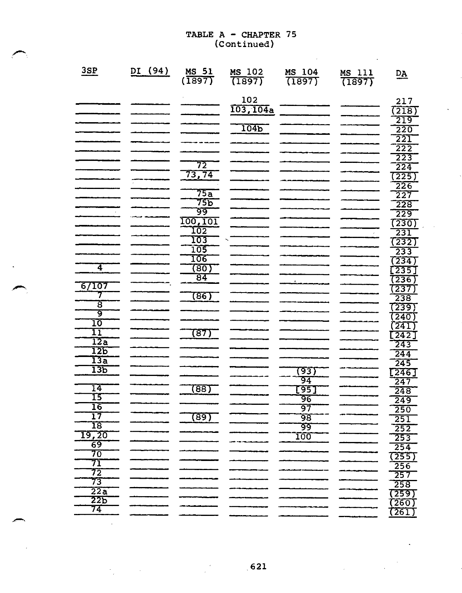$\mathcal{L}$ 

| 3SP                   | DI (94) | <b>MS 51</b><br>(1897) | MS 102<br>(1897) | MS 104<br>(1897) | MS 111<br>(1897) | $\underline{\mathbf{DA}}$              |
|-----------------------|---------|------------------------|------------------|------------------|------------------|----------------------------------------|
|                       |         |                        | 102<br>103,104a  |                  |                  | 217<br>(218)                           |
|                       |         |                        |                  |                  |                  | 219                                    |
|                       |         |                        | 104b             |                  |                  | $\overline{220}$<br>221                |
|                       |         |                        |                  |                  |                  | $\overline{2}\overline{2}\overline{2}$ |
|                       |         |                        |                  |                  |                  | 223                                    |
|                       |         | 72                     |                  |                  |                  | 224                                    |
|                       |         | 73,74                  |                  |                  |                  | (225)                                  |
|                       |         | 75a                    |                  |                  |                  | 226<br>227                             |
|                       |         | 755                    |                  |                  |                  | 228                                    |
|                       |         | ७०                     |                  |                  |                  | 229                                    |
|                       |         | 100,101                |                  |                  |                  | (230)                                  |
|                       |         | 102                    |                  |                  |                  | 231                                    |
|                       |         | 103<br>105             |                  |                  |                  | (232)                                  |
|                       |         | 106                    |                  |                  |                  | 233<br>(234)                           |
| $\overline{4}$        |         | (80)                   |                  |                  |                  | $\overline{[235]}$                     |
|                       |         | 84                     |                  |                  |                  | (236)                                  |
| 67107                 |         |                        |                  |                  |                  | (237)                                  |
| 7                     |         | (८६)                   |                  |                  |                  | 238                                    |
| ॾ<br>ॺ                |         |                        |                  |                  |                  | (239)                                  |
| 10                    |         |                        |                  |                  |                  | (240)<br>$\sqrt{241}$                  |
| $\overline{11}$       |         | (87)                   |                  |                  |                  | $\overline{[242]}$                     |
| 12a                   |         |                        |                  |                  |                  | 243                                    |
| 12b                   |         |                        |                  |                  |                  | 244                                    |
| $\overline{13a}$      |         |                        |                  |                  |                  | 245                                    |
| 13 <sub>b</sub>       |         |                        |                  | 7937             |                  | [246]                                  |
| 14                    |         | (88)                   |                  | 94<br>[95]       |                  | $2\overline{47}$<br>248                |
| 15                    |         |                        |                  | 96               |                  | 249                                    |
| 16                    |         |                        |                  | 97               |                  | 250                                    |
| 17                    |         | (89)                   |                  | 98               |                  | 251                                    |
| $\overline{18}$       |         |                        |                  | 99               |                  | 252                                    |
| T9,20<br>69           |         |                        |                  | <u>100</u>       |                  | 253                                    |
| 70                    |         |                        |                  |                  |                  | 254                                    |
| 71                    |         |                        |                  |                  |                  | (255)<br>256                           |
| $7\overline{2}$       |         |                        |                  |                  |                  | 257                                    |
| 73                    |         |                        |                  |                  |                  | 258                                    |
| 22a                   |         |                        |                  |                  |                  | (259)                                  |
| 22 <sub>D</sub><br>74 |         |                        |                  |                  |                  | (260)                                  |
|                       |         |                        |                  |                  |                  | (261)                                  |

 $\sim$ 

 $\epsilon$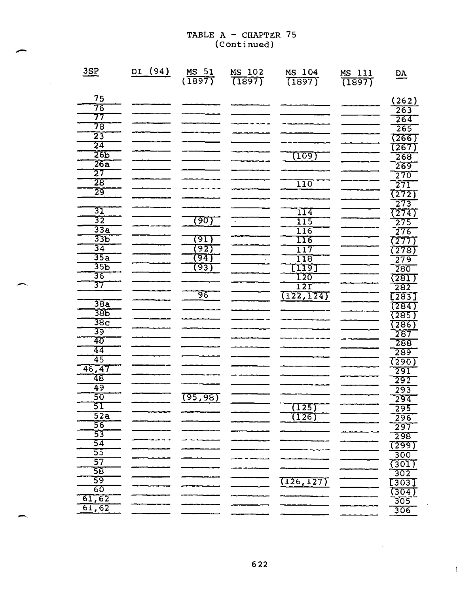J.

 $\sim 10$ 

| 3SP                                | (94)<br>DI | MS 51<br>(1897) | MS 102<br>(1897) | MS 104<br>(1897) | MS 111<br>(1897) | $\underline{\mathsf{DA}}$ |
|------------------------------------|------------|-----------------|------------------|------------------|------------------|---------------------------|
|                                    |            |                 |                  |                  |                  |                           |
| 75                                 |            |                 |                  |                  |                  | (262)                     |
| 76                                 |            |                 |                  |                  |                  | 263                       |
| 77<br>78                           |            |                 |                  |                  |                  | $\overline{264}$          |
|                                    |            |                 |                  |                  |                  | 265                       |
| $\overline{23}$<br>$\overline{24}$ |            |                 |                  |                  |                  | (266)                     |
| 265                                |            |                 |                  |                  |                  | (267)                     |
| 26a                                |            |                 |                  | <u> 109)</u>     |                  | 268                       |
| 27                                 |            |                 |                  |                  |                  | 269                       |
| 28                                 |            |                 |                  | 110              |                  | 270                       |
| 29                                 |            |                 |                  |                  |                  | 271                       |
|                                    |            |                 |                  |                  |                  | (272)                     |
| 31                                 |            |                 |                  | 114              |                  | 273                       |
| $\overline{32}$                    |            | <u>তেত্য -</u>  |                  | 115              |                  | (274)                     |
| 33a                                |            |                 |                  | 116              |                  | 275<br>276                |
| 33P                                |            | (9I)            |                  | 116              |                  | (277                      |
| $\overline{34}$                    |            | $\overline{92}$ |                  | 117              |                  | (278)                     |
| 35a                                |            | 94)             |                  | $\overline{118}$ |                  | 279                       |
| 35 <sub>b</sub>                    |            | (93)            |                  | [119]            |                  | 280                       |
| 36                                 |            |                 |                  | 120              |                  | (281)                     |
| $\overline{37}$                    |            |                 |                  | 12T              |                  | 282                       |
|                                    |            | 96              |                  | (122, 124)       |                  | [283]                     |
| 38a                                |            |                 |                  |                  |                  | (284)                     |
| 38 <sub>b</sub>                    |            |                 |                  |                  |                  | (285)                     |
| 38c                                |            |                 |                  |                  |                  | $\overline{286}$          |
| 39                                 |            |                 |                  |                  |                  | 287                       |
| 40                                 |            |                 |                  |                  |                  | 288                       |
| 44                                 |            |                 |                  |                  |                  | 289                       |
| 45                                 |            |                 |                  |                  |                  | 7290)                     |
| 46,47<br>48                        |            |                 |                  |                  |                  | 291                       |
| 49                                 |            |                 |                  |                  |                  | 292                       |
| 50                                 |            | <u>(95,98)</u>  |                  |                  |                  | 293                       |
| 51                                 |            |                 |                  | (125)            |                  | 294                       |
| $\overline{52a}$                   |            |                 |                  | (126)            |                  | 295<br>296                |
| 56                                 |            |                 |                  |                  |                  | 297                       |
| $\overline{53}$                    |            |                 |                  |                  |                  | 298                       |
| 54                                 |            |                 |                  |                  |                  | (299)                     |
| $\overline{55}$                    |            |                 |                  |                  |                  | 300                       |
| 57                                 |            |                 |                  |                  |                  | (301                      |
| 58                                 |            |                 |                  |                  |                  | 302                       |
| 59                                 |            |                 |                  | (126, 127)       |                  | [303]                     |
| 60                                 |            |                 |                  |                  |                  | (304)                     |
| 61, 62                             |            |                 |                  |                  |                  | 305                       |
| 61,62                              |            |                 |                  |                  |                  | 306                       |

 $\frac{1}{2}$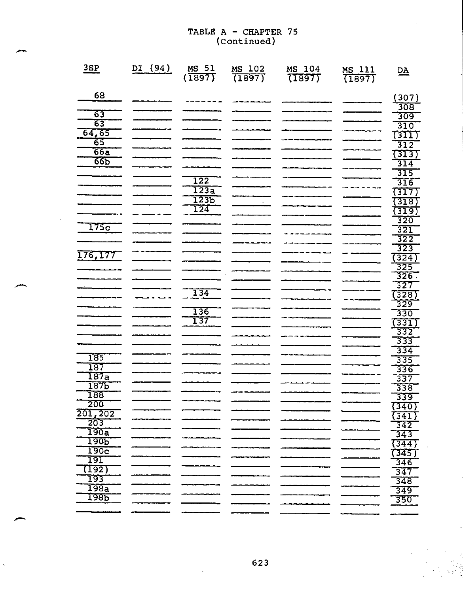| 3SP              | (94)<br>DI | 51<br>$M_S$ 51<br>(1897) | 102<br>$\overline{\text{MS}}$<br>(1897) | 104<br>MS<br>(1897) | MS 111<br>(1897) | $\underline{DA}$    |
|------------------|------------|--------------------------|-----------------------------------------|---------------------|------------------|---------------------|
| 68               |            |                          |                                         |                     |                  | (307)               |
|                  |            |                          |                                         |                     |                  | 308                 |
| 63               |            |                          |                                         |                     |                  | 309                 |
| $\overline{63}$  |            |                          |                                         |                     |                  | 310                 |
| 64,65            |            |                          |                                         |                     |                  | (311)               |
| 65               |            |                          |                                         |                     |                  | 312                 |
| 66a              |            |                          |                                         |                     |                  | (313)               |
| $\overline{665}$ |            |                          |                                         |                     |                  | 314                 |
|                  |            |                          |                                         |                     |                  | 315                 |
|                  |            | 122                      |                                         |                     |                  | 316                 |
|                  |            | 123a                     |                                         |                     |                  | (317)               |
|                  |            | 1236<br>124              |                                         |                     |                  | (318)               |
|                  |            |                          |                                         |                     |                  | (319)               |
| 175c             |            |                          |                                         |                     |                  | 320<br>321          |
|                  |            |                          |                                         |                     |                  | 322                 |
|                  |            |                          |                                         |                     |                  | 323                 |
| 176,177          |            |                          |                                         |                     |                  | (324)               |
|                  |            |                          |                                         |                     |                  | 325                 |
|                  |            |                          |                                         |                     |                  | 326.                |
|                  |            |                          |                                         |                     |                  | $\overline{327}$    |
|                  |            | 134                      |                                         |                     |                  | (328)               |
|                  |            |                          |                                         |                     |                  | 329                 |
|                  |            | 136                      |                                         |                     |                  | 330                 |
|                  |            | <b>137</b>               |                                         |                     |                  | $\frac{(331)}{332}$ |
|                  |            |                          |                                         |                     |                  |                     |
|                  |            |                          |                                         |                     |                  | 333                 |
| 185              |            |                          |                                         |                     |                  | 334                 |
| 187              |            |                          |                                         |                     |                  | 335<br>336          |
| 187a             |            |                          |                                         |                     |                  | 337                 |
| 1876             |            |                          |                                         |                     |                  | 338                 |
| <b>188</b>       |            |                          |                                         |                     |                  | 339                 |
| 200              |            |                          |                                         |                     |                  | (340)               |
| 201,202          |            |                          |                                         |                     |                  | (341)               |
| 203              |            |                          |                                         |                     |                  | $\overline{342}$    |
| 190a             |            |                          |                                         |                     |                  | 343                 |
| <u> 190P</u>     |            |                          |                                         |                     |                  | (344)               |
| 190c             |            |                          |                                         |                     |                  | (345)               |
| 191<br>(192)     |            |                          |                                         |                     |                  | 346                 |
| 193              |            |                          |                                         |                     |                  | 347                 |
| 198a             |            |                          |                                         |                     |                  | 348                 |
| <u> 1985</u>     |            |                          |                                         |                     |                  | 349                 |
|                  |            |                          |                                         |                     |                  | 350                 |
|                  |            |                          |                                         |                     |                  |                     |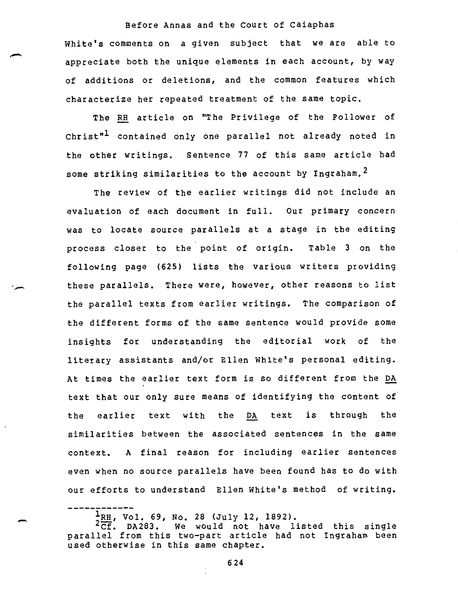White's comments on a given subject that we are able to appreciate both the unique elements in each account, by way of additions or deletions, and the common features which characterize her repeated treatment of the same topic.

The RH article on "The Privilege of the Follower of Christ"<sup>1</sup> contained only one parallel not already noted in the other writings. Sentence 77 of this same article had some striking similarities to the account by Ingraham.<sup>2</sup>

The review of the earlier writings did not include an evaluation of each document in full. Our primary concern was to locate source parallels at a stage in the editing process closer to the point of origin. Table 3 on the following page (625) lists the various writers providing these parallels. There were, however, other reasons to list the parallel texts from earlier writings. The comparison of the different forms of the same sentence would provide some insights for understanding the editorial work of the literary assistants and/or Ellen White's personal editing. At times the earlier text form is so different from the DA text that our only sure means of identifying the content of the earlier text with the DA text is through the similarities between the associated sentences in the same context. A final reason for including earlier sentences even when no source parallels have been found has to do with our efforts to understand Ellen White's method of writing.

 $\frac{1}{2}$ RH, Vol. 69, No. 28 (July 12, 1892).<br> $\frac{2}{\text{CF}}$ , DA283. We would not have 1: We would not have listed this single parallel from this two-part article had not Ingraham been used otherwise in this same chapter.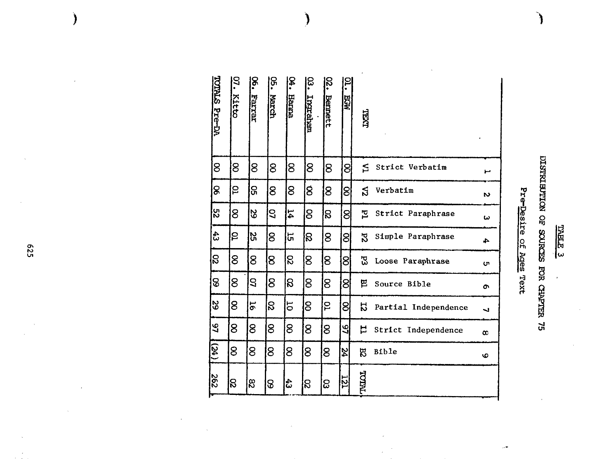| ٦<br>ī.<br>ŀ |  |
|--------------|--|
| 囜<br>ľ<br>г  |  |
| ω            |  |

 $\overline{ }$ 

# DISTRIBUTION OF SOURCES FOR CHAPTER 75

# ro w<br>ቧ fD

| <b>TOTALS Pre-DA</b> | ္ခ<br>Kitto | č.<br>Farrar | <u>င္</u> က<br>March | ጅ<br>የ<br><b>Hanna</b>   | ន<br>•<br><b>Trychene</b> | S.<br>Bennett | $\overline{\mathbf{c}}$<br><b>NST</b> | LXII                       |          |
|----------------------|-------------|--------------|----------------------|--------------------------|---------------------------|---------------|---------------------------------------|----------------------------|----------|
| 8                    | 8           | 8            | 8                    | 8                        | 8                         | 8             | 8                                     | ₫<br>Strict Verbatim       | Ľ        |
| g                    | 5           | ႙            | 8                    | 8                        | 8                         | 8             | 8                                     | Verbatim<br>ន              | N,       |
| ပ္လာ                 | 8           | <b>SS</b>    | 3                    | $\mathbf{14}$            | 8                         | ß             | ଥି                                    | 힘<br>Strict Paraphrase     | ω        |
| $\frac{4}{3}$        | ဠ           | ង្ហ          | 8                    | 55                       | ႙                         | 8             | 8                                     | 52<br>Simple Paraphrase    | 4        |
| င္လ                  | 8           | 8            | 8                    | $\overline{\mathcal{S}}$ | 8                         | 8             | 8                                     | 53<br>Loose Paraphrase     | U١       |
| 8                    | 8           | 3            | 8                    | S                        | 8                         | 8             | 8                                     | 巴<br>Source Bible          | e.       |
| ဇွ                   | 8           | 51           | g                    | 5                        | 8                         | ဥ             | 8                                     | 52<br>Partial Independence | ┙        |
| 97                   | 8           | 8            | 8                    | 8                        | 8                         | 8             | 잌                                     | 넌<br>Strict Independence   | $\infty$ |
| (24)                 | 8           | 8            | 8                    | 8                        | 8                         | 8             | $\overline{54}$                       | <b>R</b><br><b>Bible</b>   | O        |
| 262                  | ន្ល         | $\infty$     | 8                    | $\frac{4}{3}$            | g                         | 8             | IZT                                   | TNILOL                     |          |

rt.<br>F

 $\sim$ 

F<sub>25</sub>

 $\bm{\mathcal{C}}$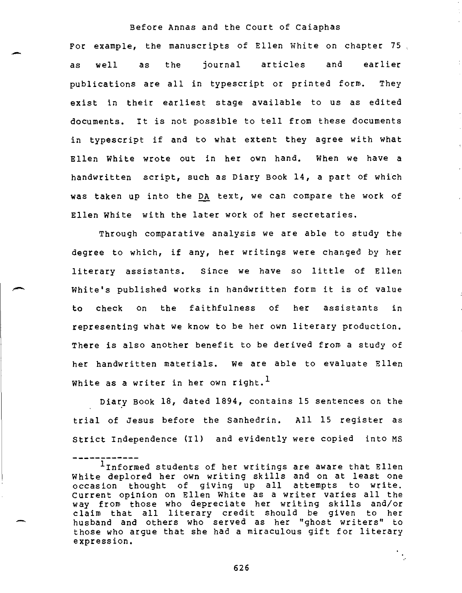$\ddot{\cdot}$ 

 $\frac{1}{\sqrt{2}}$ 

For example, the manuscripts of Ellen White on chapter 75 as well as the journal articles and earlier publications are all in typescript or printed form. They exist in their earliest stage available to us as edited documents. It is not possible to tell from these documents in typescript if and to what extent they agree with what Ellen White wrote out in her own hand. When we have a handwritten script, such as Diary Book 14, a part of which was taken up into the DA text, we can compare the work of Ellen White with the later work of her secretaries.

Through comparative analysis we are able to study the degree to which, if any, her writings were changed by her literary assistants. Since we have so little of Ellen White's published works in handwritten form it is of value to check on the faithfulness of her assistants in representing what we know to be her own literary production. There is also another benefit to be derived from a study of her handwritten materials. We are able to evaluate Ellen White as a writer in her own right.<sup>1</sup>

Diary Book 18, dated 1894, contains 15 sentences on the trial of Jesus before the Sanhedrin. All 15 register as Strict Independence (I1) and evidently were copied into MS

Informed students of her writings are aware that Ellen White deplored her own writing skills and on at least one occasion thought of giving up all attempts to write. Current opinion on Ellen White as a writer varies all the way from those who depreciate her writing skills and/or claim that all literary credit should be given to her husband and others who served as her "ghost writers" to those who argue that she had a miraculous gift for literary expression.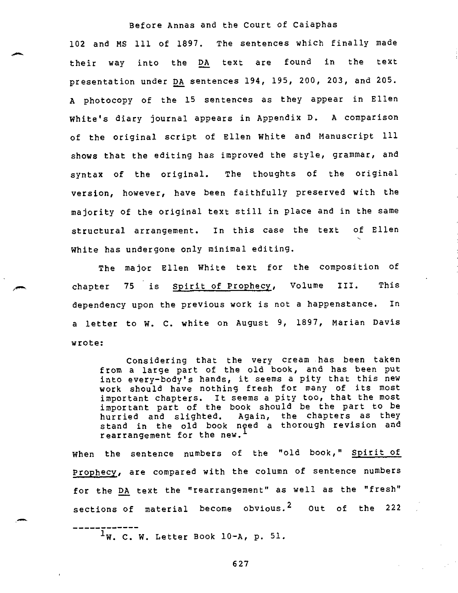102 and MS 111 of 1897. The sentences which finally made their way into the DA text are found in the text presentation under DA sentences 194, 195, 200, 203, and 205. A photocopy of the 15 sentences as they appear in Ellen White's diary journal appears in Appendix D. A comparison of the original script of Ellen White and Manuscript 111 shows that the editing has improved the style, grammar, and syntax of the original. The thoughts of the original version, however, have been faithfully preserved with the majority of the original text still in place and in the same structural arrangement. In this case the text of Ellen White has undergone only minimal editing.

The major Ellen White text for the composition of chapter 75 is Spirit of Prophecy, Volume III. This dependency upon the previous work is not a happenstance. In a letter to W. C. white on August 9, 1897, Marian Davis wrote:

Considering that the very cream has been taken from a large part of the old book, and has been put into every-body's hands, it seems a pity that this new work should have nothing fresh for many of its most important chapters. It seems a pity too, that the most important part of the book should be the part to be hurried and slighted. Again, the chapters as they stand in the old book need a thorough revision and rearrangement for the new.

When the sentence numbers of the "old book," Spirit of Prophecy, are compared with the column of sentence numbers for the DA text the "rearrangement" as well as the "fresh" sections of material become obvious.<sup>2</sup> Out of the 222

 $1_W$ . C. W. Letter Book 10-A, p. 51.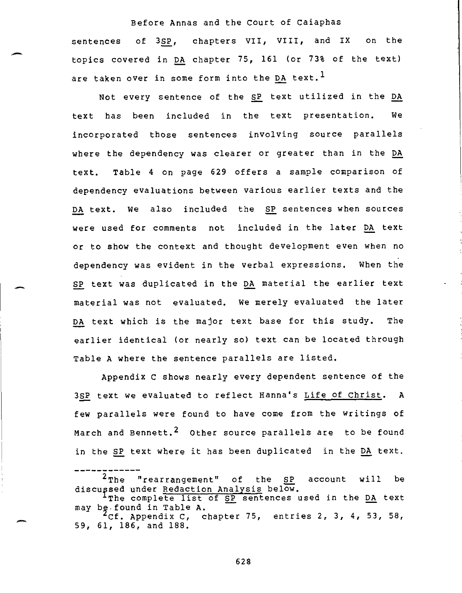sentences of 3SP, chapters VII, VIII, and IX on the topics covered in DA chapter 75, 161 (or 73% of the text) are taken over in some form into the DA text.<sup>1</sup>

Not every sentence of the SP text utilized in the DA text has been included in the text presentation. We incorporated those sentences involving source parallels where the dependency was clearer or greater than in the DA text. Table 4 on page 629 offers a sample comparison of dependency evaluations between various earlier texts and the DA text. We also included the SP sentences when sources were used for comments not included in the later DA text or to show the context and thought development even when no dependency was evident in the verbal expressions. When the SP text was duplicated in the DA material the earlier text material was not evaluated. We merely evaluated the later DA text which is the major text base for this study. The earlier identical (or nearly so) text can be located through Table A where the sentence parallels are listed.

Appendix C shows nearly every dependent sentence of the 3SP text we evaluated to reflect Hanna's Life of Christ. A few parallels were found to have come from the writings of March and Bennett.<sup>2</sup> Other source parallels are to be found in the SP text where it has been duplicated in the DA text.

<sup>&</sup>lt;sup>2</sup>The "rearrangement" of the SP account will be discupsed under Redaction Analysis below.

The complete list of SP sentences used in the DA text may be found in Table A.

<sup>`</sup>Cf. Appendix C, chapter 75, entries 2, 3, 4, 53, 58, 59, 61, 186, and 188.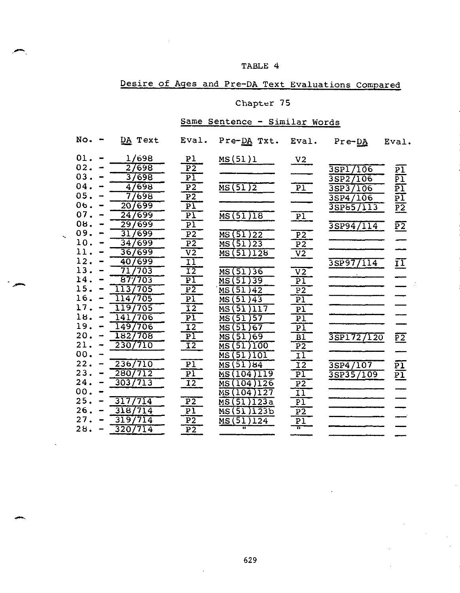#### TABLE 4

# Desire of Ages and Pre-DA Text Evaluations Compared

#### Chapter 75

#### Same Sentence - Similar Words

| No. | DA Text                             | Eval.                      | Pre-DA Txt.                               | Eval.                      | $Pre-DA$                              | Eval.                                 |
|-----|-------------------------------------|----------------------------|-------------------------------------------|----------------------------|---------------------------------------|---------------------------------------|
| 01. | 1/698                               | P <sub>1</sub>             | <u>MS(</u> 51)1                           | V2                         |                                       |                                       |
| 02. | 27698                               | $\overline{P}$             |                                           |                            | 3SP1/106                              |                                       |
| 03. | 3/698                               | $\overline{\text{PI}}$     |                                           |                            | 3SP2/106                              | $\frac{\overline{PI}}{\overline{PI}}$ |
| 04. | 4/698                               | $\overline{P}$             | MS(51)2                                   | $\boxed{P1}$               | $3S\overline{P}3$<br>$\overline{106}$ | $\frac{\overline{PI}}{\overline{PI}}$ |
| 05. | 698                                 | $\overline{P2}$            |                                           |                            | 35P4/106                              |                                       |
| 06. | 20/699                              | $\overline{\text{PI}}$     |                                           |                            | 3SP85/113                             | $\overline{\text{P2}}$                |
| 07. | 247699                              | $\overline{P1}$            | MS(51)18                                  | $\overline{P1}$            |                                       |                                       |
| 08. | 29/699                              | $\overline{\text{PI}}$     |                                           |                            | 3SP94/114                             | $\overline{PZ}$                       |
| 09. | 699<br>31                           | $\overline{P}$             | $\overline{\text{MS}(51)}$ 22             | $\overline{P}$             |                                       |                                       |
| 10. | 34<br>$\sqrt{699}$                  | $\overline{P}$             | MS(51)23                                  | $\overline{P2}$            |                                       |                                       |
| 11  | 36/699                              | $\overline{v}$             | MS(51)128                                 | $\overline{v}\overline{z}$ |                                       |                                       |
| 12. | 699<br>40                           | īΙ                         |                                           |                            | 3SP97/114                             | $\overline{1}\overline{1}$            |
| 13. | 71<br>703                           | $\overline{12}$            | MS (51<br>) 36                            | $\overline{v}$             |                                       |                                       |
| 14. | 703<br>$87^{\circ}$                 | $\overline{\text{PI}}$     | 51)39<br>MS (                             | $\overline{\text{PI}}$     |                                       |                                       |
| 15  | $\overline{11}$<br>705<br>$\bar{3}$ | $\overline{P}$             | 51<br>)42<br>МS                           | $\overline{P}$             |                                       |                                       |
| 16  | 705                                 | $\overline{P1}$            | MS (51<br>743                             | $\overline{\text{Pl}}$     |                                       |                                       |
| 17  | 705<br>9                            | $\overline{1}\overline{2}$ | )117<br>51<br>MS                          | $\overline{PI}$            |                                       |                                       |
| 18. | 706<br>141                          | $\overline{PI}$            | )57<br>МS<br>51                           | $\overline{P1}$            |                                       |                                       |
| 19. | 706<br>149                          | $\overline{12}$            | '51<br>MS<br>67                           | $\overline{\texttt{Pl}}$   |                                       |                                       |
| 20. | 1827708                             | $\overline{\text{PI}}$     | )69<br>51<br>MS                           | $\overline{\mathtt{BI}}$   | 3SP1727120                            | $\overline{P2}$                       |
| 21. | 2307710                             | $\overline{12}$            | 51<br>100<br>MS                           | $\overline{P}$             |                                       |                                       |
| 00. |                                     |                            | 51<br>101<br>MS                           | $\overline{1}\overline{1}$ |                                       |                                       |
| 22. | 236/710                             | $\overline{P1}$            | 51<br>64<br>МS                            | $\overline{12}$            | $3$ SP4/107                           | $\overline{PI}$                       |
| 23. | 280/712                             | $\overline{\text{PI}}$     | $\overline{19}$<br>$\overline{104}$<br>MS | $\overline{\text{PI}}$     | 3SP35/109                             | 豇                                     |
| 24. | 3037713                             | $\overline{12}$            | 126<br>104<br>MS                          | $\overline{P}$             |                                       |                                       |
| 00. |                                     |                            | MS(104)<br>27<br>ı                        | $\overline{11}$            |                                       |                                       |
| 25. | 714<br>31<br>7.                     |                            | $\overline{)123a}$<br>MS (51              | $\overline{PI}$            |                                       |                                       |
| 26. | 318/714                             | $\frac{P2}{P1}$            | 123b<br>MS (51                            | $\overline{P2}$            |                                       |                                       |
| 27. | 319<br>714                          | $\overline{P}$             | MS(51)124                                 | $P\bar{1}$                 |                                       |                                       |
| 28. | 320/714                             | $\overline{P2}$            | π                                         | π                          |                                       |                                       |
|     |                                     |                            |                                           |                            |                                       |                                       |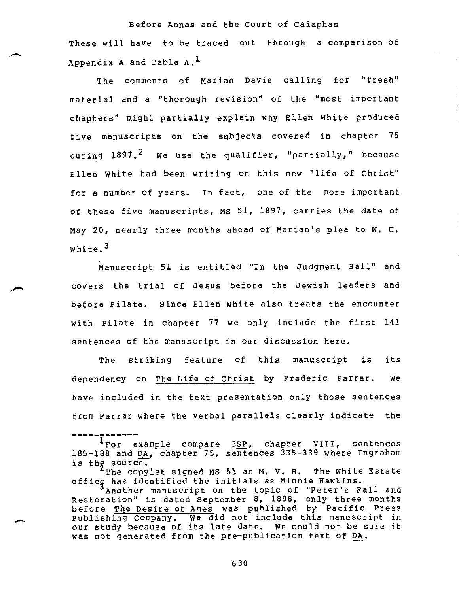Before Annas and the Court of Caiaphas These will have to be traced out through a comparison of Appendix A and Table  $A.$ <sup>1</sup>

The comments of Marian Davis calling for "fresh" material and a "thorough revision" of the "most important chapters" might partially explain why Ellen White produced five manuscripts on the subjects covered in chapter 75 during 1897.<sup>2</sup> We use the qualifier, "partially," because Ellen White had been writing on this new "life of Christ" for a number of years. In fact, one of the more important of these five manuscripts, MS 51, 1897, carries the date of May 20, nearly three months ahead of Marian's plea to W. C. White.<sup>3</sup>

Manuscript 51 is entitled "In the Judgment Hall" and covers the trial of Jesus before the Jewish leaders and before Pilate. Since Ellen white also treats the encounter with Pilate in chapter 77 we only include the first 141 sentences of the manuscript in our discussion here.

The striking feature of this manuscript is its dependency on The Life of Christ by Frederic Farrar. We have included in the text presentation only those sentences from Farrar where the verbal parallels clearly indicate the

<sup>1</sup>For example compare 3SP, chapter VIII, sentences 185-188 and DA, chapter 75, sentences 335-339 where Ingraham is the source.

 $4$ The copyist signed MS 51 as M. V. H. The White Estate officy has identified the initials as Minnie Hawkins.

<sup>&#</sup>x27;Another manuscript on the topic of "Peter's Fall and Restoration" is dated September 8, 1898, only three months before The Desire of Ages was published by Pacific Press Publishing Company. We did not include this manuscript in our study because of its late date. We could not be sure it was not generated from the pre-publication text of DA.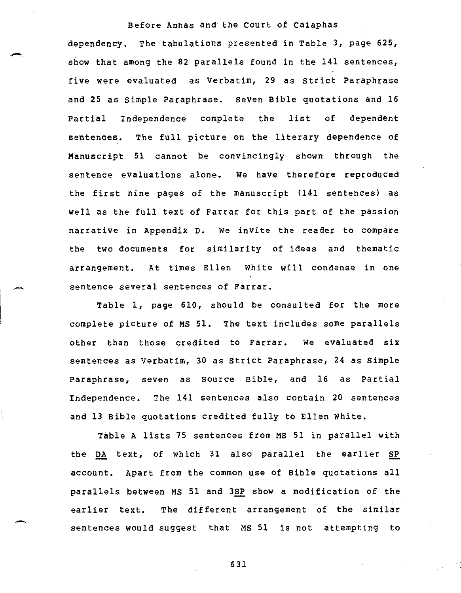dependency. The tabulations presented in Table 3, page 625, show that among the 82 parallels found in the 141 sentences, five were evaluated as Verbatim, 29 as Strict Paraphrase and 25 as Simple Paraphrase. Seven Bible quotations and 16 Partial Independence complete the list of dependent sentences. The full picture on the literary dependence of Manuscript 51 cannot be convincingly shown through the sentence evaluations alone. We have therefore reproduced the first nine pages of the manuscript (141 sentences) as well as the full text of Farrar for this part of the passion narrative in Appendix D. We invite the reader to compare the two documents for similarity of ideas and thematic arrangement. At times Ellen White will condense in one sentence several sentences of Farrar.

Table 1, page 610, should be consulted for the more complete picture of MS 51. The text includes some parallels other than those credited to Farrar. We evaluated six sentences as Verbatim, 30 as Strict Paraphrase, 24 as Simple Paraphrase, seven as Source Bible, and 16 as Partial Independence. The 141 sentences also contain 20 sentences and 13 Bible quotations credited fully to Ellen White.

Table A lists 75 sentences from MS 51 in parallel with the DA text, of which 31 also parallel the earlier SP account. Apart from the common use of Bible quotations all parallels between MS 51 and 3SP show a modification of the earlier text. The different arrangement of the similar sentences would suggest that MS 51 is not attempting to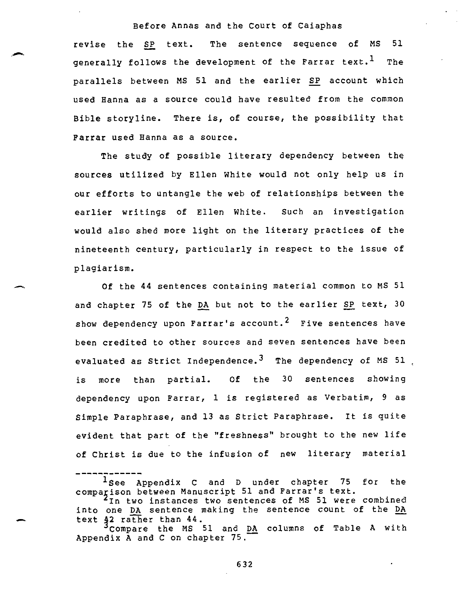revise the SP text. The sentence sequence of MS 51 generally follows the development of the Farrar text.<sup>1</sup> The parallels between MS 51 and the earlier SP account which used Hanna as a source could have resulted from the common Bible storyline. There is, of course, the possibility that Farrar used Hanna as a source.

The study of possible literary dependency between the sources utilized by Ellen White would not only help us in our efforts to untangle the web of relationships between the earlier writings of Ellen White. Such an investigation would also shed more light on the literary practices of the nineteenth century, particularly in respect to the issue of plagiarism.

Of the 44 sentences containing material common to MS 51 and chapter 75 of the DA but not to the earlier SP text, 30 show dependency upon Farrar's account.<sup>2</sup> Five sentences have been credited to other sources and seven sentences have been evaluated as Strict Independence.<sup>3</sup> The dependency of MS 51 is more than partial. Of the 30 sentences showing dependency upon Farrar, 1 is registered as Verbatim, 9 as Simple Paraphrase, and 13 as Strict Paraphrase. It is quite evident that part of the "freshness" brought to the new life of Christ is due to the infusion of new literary material

<sup>1</sup>See Appendix C and D under chapter 75 for the comparison between Manuscript 51 and Farrar's text. In two instances two sentences of MS 51 were combined into one DA sentence making the sentence count of the DA text 42 rather than 44.

Compare the MS 51 and DA columns of Table A with Appendix A and C on chapter 75.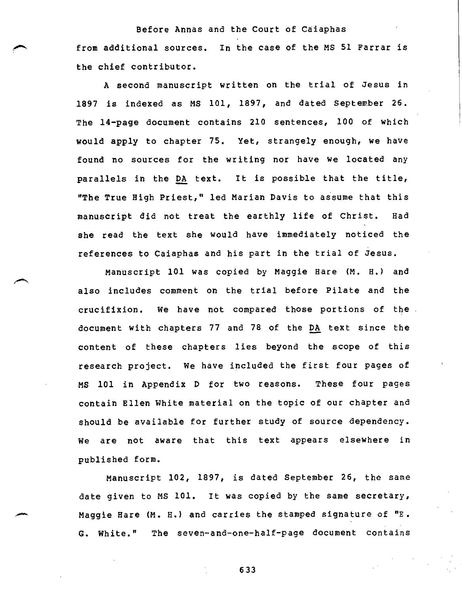Before Annas and the Court of Caiaphas from additional sources. In the case of the MS 51 Farrar is the chief contributor.

A second manuscript written on the trial of Jesus in 1897 is indexed as MS 101, 1897, and dated September 26. The 14-page document contains 210 sentences, 100 of which would apply to chapter 75. Yet, strangely enough, we have found no sources for the writing nor have we located any parallels in the DA text. It is possible that the title, "The True High Priest," led Marian Davis to assume that this manuscript did not treat the earthly life of Christ. Had she read the text she would have immediately noticed the references to Caiaphas and his part in the trial of Jesus.

Manuscript 101 was copied by Maggie Hare (M. H.) and also includes comment on the trial before Pilate and the crucifixion. We have not compared those portions of the document with chapters 77 and 78 of the DA text since the content of these chapters lies beyond the scope of this research project. We have included the first four pages of MS 101 in Appendix D for two reasons. These four pages contain Ellen White material on the topic of our chapter and should be available for further study of source dependency. We are not aware that this text appears elsewhere in published form.

Manuscript 102, 1897, is dated September 26, the same date given to MS 101. It was copied by the same secretary, Maggie Hare (M. H.) and carries the stamped signature of "E. G. White." The seven-and-one-half-page document contains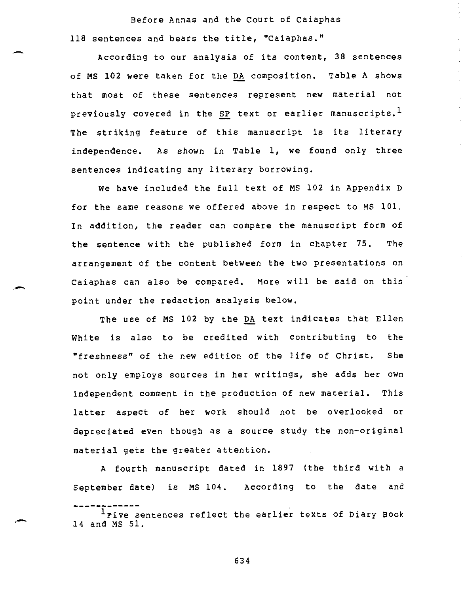Before Annas and the Court of Caiaphas 118 sentences and bears the title, "Caiaphas."

According to our analysis of its content, 38 sentences of MS 102 were taken for the DA composition. Table A shows that most of these sentences represent new material not previously covered in the SP text or earlier manuscripts.<sup>1</sup> The striking feature of this manuscript is its literary independence. As shown in Table 1, we found only three sentences indicating any literary borrowing.

We have included the full text of MS 102 in Appendix D for the same reasons we offered above in respect to MS 101. In addition, the reader can compare the manuscript form of the sentence with the published form in chapter 75. The arrangement of the content between the two presentations on Caiaphas can also be compared. More will be said on this point under the redaction analysis below.

The use of MS 102 by the DA text indicates that Ellen White is also to be credited with contributing to the "freshness" of the new edition of the life of Christ. She not only employs sources in her writings, she adds her own independent comment in the production of new material. This latter aspect of her work should not be overlooked or depreciated even though as a source study the non-original material gets the greater attention.

A fourth manuscript dated in 1897 (the third with a September date) is MS 104. According to the date and

<sup>&</sup>lt;sup>1</sup>Five sentences reflect the earlier texts of Diary Book 14 and MS 51.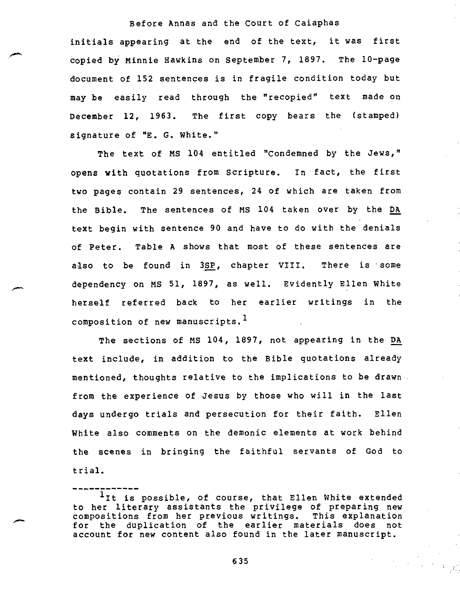initials appearing at the end of the text, it was first copied by Minnie Hawkins on September 7, 1897. The 10-page document of 152 sentences is in fragile condition today but may be easily read through the "recopied" text made on December 12, 1963. The first copy bears the (stamped) signature of "E. G. White."

The text of MS 104 entitled "Condemned by the Jews," opens with quotations from Scripture. In fact, the first two pages contain 29 sentences, 24 of which are taken from the Bible. The sentences of MS 104 taken over by the DA text begin with sentence 90 and have to do with the denials of Peter. Table A shows that most of these sentences are also to be found in 3SP, chapter VIII. There is some dependency on MS 51, 1897, as well. Evidently Ellen White herself referred back to her earlier writings in the composition of new manuscripts.<sup>1</sup>

The sections of MS 104, 1897, not appearing in the DA text include, in addition to the Bible quotations already mentioned, thoughts relative to the implications to be drawnfrom the experience of Jesus by those who will in the last days undergo trials and persecution for their faith. Ellen White also comments on the demonic elements at work behind the scenes in bringing the faithful servants of God to trial.

#### <sup>1</sup>It is possible, of course, that Ellen White extended to her literary assistants the privilege of preparing new<br>compositions from her previous writings. This explanation compositions from her previous writings. for the duplication of the earlier materials does not account for new content also found in the later manuscript.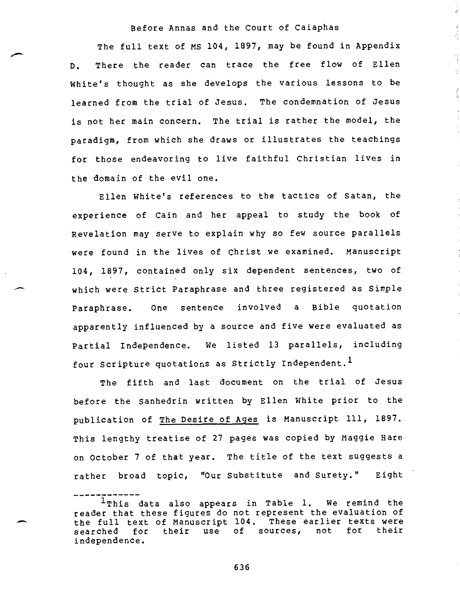$\frac{1}{2}$ 

 $\vec{\epsilon}$ Á

 $\tilde{\mathcal{L}}$  $\gamma$ 

 $\frac{1}{3}$ 

The full text of MS 104, 1897, may be found in Appendix D. There the reader can trace the free flow of Ellen White's thought as she develops the various lessons to be learned from the trial of Jesus. The condemnation of Jesus is not her main concern. The trial is rather the model, the paradigm, from which she draws or illustrates the teachings for those endeavoring to live faithful Christian lives in the domain of the evil one.

Ellen White's references to the tactics of Satan, the experience of Cain and her appeal to study the book of Revelation may serve to explain why so few source parallels were found in the lives of Christ we examined. Manuscript 104, 1897, contained only six dependent sentences, two of which were Strict Paraphrase and three registered as Simple Paraphrase. One sentence involved a Bible quotation apparently influenced by a source and five were evaluated as Partial Independence. We listed 13 parallels, including four Scripture quotations as Strictly Independent.<sup>1</sup>

The fifth and last document on the trial of Jesus before the Sanhedrin written by Ellen White prior to the publication of The Desire of Ages is Manuscript 111, 1897. This lengthy treatise of 27 pages was copied by Maggie Hare on October 7 of that year. The title of the text suggests a rather broad topic, "Our Substitute and Surety." Eight

<sup>&</sup>lt;sup>1</sup>This data also appears in Table 1. We remind the reader that these figures do not represent the evaluation of the full text of Manuscript 104. These earlier texts were searched for their use of sources, not for their independence.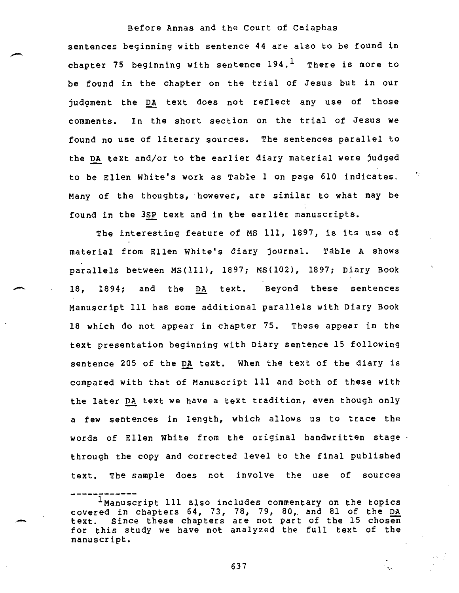sentences beginning with sentence 44 are also to be found in chapter 75 beginning with sentence  $194.$ <sup>1</sup> There is more to be found in the chapter on the trial of Jesus but in our judgment the DA text does not reflect any use of those comments. In the short section on the trial of Jesus we found no use of literary sources. The sentences parallel to the DA text and/or to the earlier diary material were judged to be Ellen White's work as Table 1 on page 610 indicates. Many of the thoughts, however, are similar to what may be found in the 3SP text and in the earlier manuscripts.

The interesting feature of MS 111, 1897, is its use of material from Ellen White's diary journal. Table A shows parallels between MS(111), 1897; MS(102), 1897; Diary Book 18, 1894; and the DA text. Beyond these sentences Manuscript 111 has some additional parallels with Diary Book 18 which do not appear in chapter 75. These appear in the text presentation beginning with Diary sentence 15 following sentence 205 of the DA text. When the text of the diary is compared with that of Manuscript 111 and both of these with the later DA text we have a text tradition, even though only a few sentences in length, which allows us to trace the words of Ellen White from the original handwritten stage through the copy and corrected level to the final published text. The sample does not involve the use of sources

637

 $\mathcal{L}_{\mathcal{A}}$ 

Inanuscript 111 also includes commentary on the topics covered in chapters 64, 73, 78, 79, 80, and 81 of the DA text. Since these chapters are not part of the 15 chosen for this study we have not analyzed the full text of the manuscript.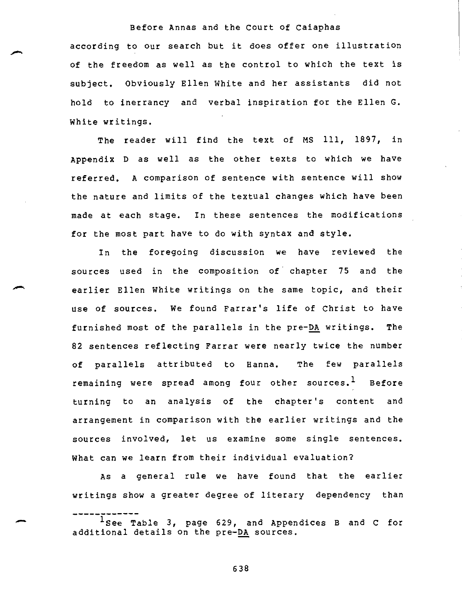according to our search but it does offer one illustration of the freedom as well as the control to which the text is subject. Obviously Ellen White and her assistants did not hold to inerrancy and verbal inspiration for the Ellen G. White writings.

The reader will find the text of MS 111, 1897, in Appendix D as well as the other texts to which we have referred. A comparison of sentence with sentence will show the nature and limits of the textual changes which have been made at each stage. In these sentences the modifications for the most part have to do with syntax and style.

In the foregoing discussion we have reviewed the sources used in the composition of chapter 75 and the earlier Ellen White writings on the same topic, and their use of sources. We found Farrar's life of Christ to have furnished most of the parallels in the pre-DA writings. The 82 sentences reflecting Farrar were nearly twice the number of parallels attributed to Hanna. The few parallels remaining were spread among four other sources.<sup>1</sup> Before turning to an analysis of the chapter's content and arrangement in comparison with the earlier writings and the sources involved, let us examine some single sentences. What can we learn from their individual evaluation?

As a general rule we have found that the earlier writings show a greater degree of literary dependency than

 $^{1}$ See Table 3, page 629, and Appendices B and C for additional details on the pre-DA sources.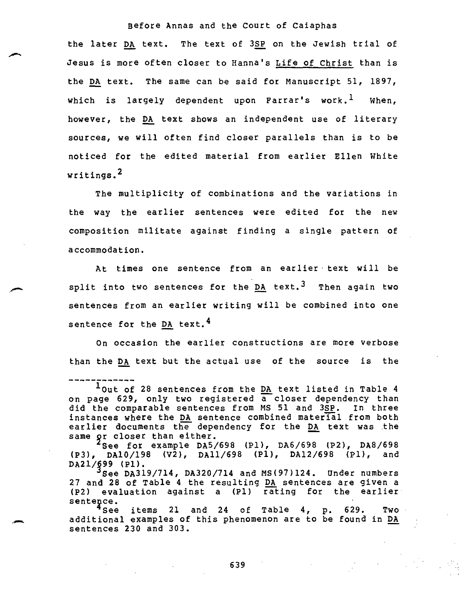the later DA text. The text of 3SP on the Jewish trial of Jesus is more often closer to Hanna's Life of Christ than is the DA text. The same can be said for Manuscript 51, 1897, which is largely dependent upon Farrar's work.<sup>1</sup> When, however, the DA text shows an independent use of literary sources, we will often find closer parallels than is to be noticed for the edited material from earlier Ellen White writings.<sup>2</sup>

The multiplicity of combinations and the variations in the way the earlier sentences were edited for the new composition militate against finding a single pattern of accommodation.

At times one sentence from an earlier text will be split into two sentences for the DA text.<sup>3</sup> Then again two sentences from an earlier writing will be combined into one sentence for the DA text.<sup>4</sup>

On occasion the earlier constructions are more verbose than the DA text but the actual use of the source is the

 $^2$ See for example DA5/698 (P1), DA6/698 (P2), DA8/698 (P3), DA10/198 (V2), DA11/698 (P1), DA12/698 (P1), and DA21/§99 (P1).

 $3$ See DA319/714, DA320/714 and MS(97)124. Under numbers 27 and 28 of Table 4 the resulting DA sentences are given a (P2) evaluation against a (P1) rating for the earlier sentepce.

 $^4$ See items 21 and 24 of Table 4, p. 629. Two additional examples of this phenomenon are to be found in DA sentences 230 and 303.

<sup>&</sup>lt;sup>1</sup>Out of 28 sentences from the DA text listed in Table 4 on page 629, only two registered a closer dependency than did the comparable sentences from MS 51 and 3SP. In three instances where the DA sentence combined material from both earlier documents the dependency for the DA text was the same pr closer than either.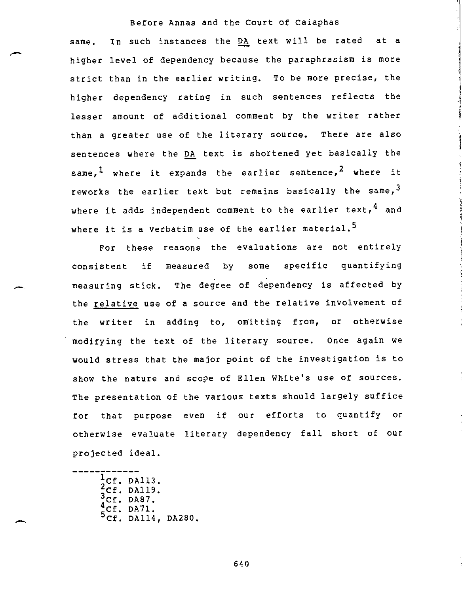same. In such instances the DA text will be rated at a higher level of dependency because the paraphrasism is more strict than in the earlier writing. To be more precise, the higher dependency rating in such sentences reflects the lesser amount of additional comment by the writer rather than a greater use of the literary source. There are also sentences where the DA text is shortened yet basically the same,<sup>1</sup> where it expands the earlier sentence,<sup>2</sup> where it reworks the earlier text but remains basically the same,  $3$ where it adds independent comment to the earlier text,  $4$  and where it is a verbatim use of the earlier material.<sup>5</sup>

For these reasons the evaluations are not entirely consistent if measured by some specific quantifying measuring stick. The degree of dependency is affected by the relative use of a source and the relative involvement of the writer in adding to, omitting from, or otherwise modifying the text of the literary source. Once again we would stress that the major point of the investigation is to show the nature and scope of Ellen White's use of sources. The presentation of the various texts should largely suffice for that purpose even if our efforts to quantify or otherwise evaluate literary dependency fall short of our projected ideal.

 $1$ Cf. DA113. 2Cf. DA119. 3Cf. DA87.<br>4Cf. DA71.<br>5Cf. DA114, DA280.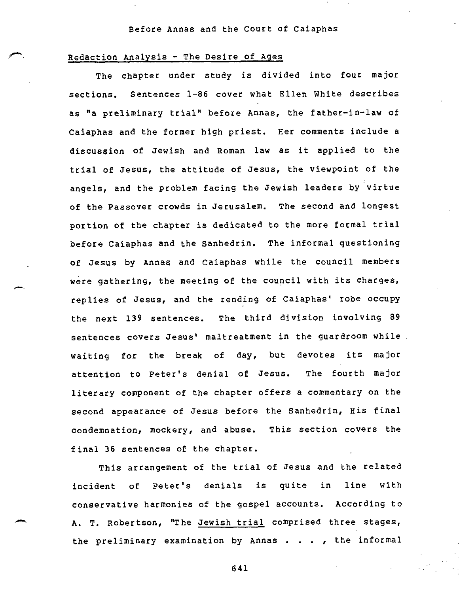#### Redaction Analysis - The Desire of Ages

The chapter under study is divided into four major sections. Sentences 1-86 cover what Ellen White describes as "a preliminary trial" before Annas, the father-in-law of Caiaphas and the former high priest. Her comments include a discussion of Jewish and Roman law as it applied to the trial of Jesus, the attitude of Jesus, the viewpoint of the angels, and the problem facing the Jewish leaders by virtue of the Passover crowds in Jerusalem. The second and longest portion of the chapter is dedicated to the more formal trial before Caiaphas and the Sanhedrin. The informal questioning of Jesus by Annas and Caiaphas while the council members were gathering, the meeting of the council with its charges, replies of Jesus, and the rending of Caiaphas' robe occupy the next 139 sentences. The third division involving 89 sentences covers Jesus' maltreatment in the guardroom while waiting for the break of day, but devotes its major attention to Peter's denial of Jesus. The fourth major literary component of the chapter offers a commentary on the second appearance of Jesus before the Sanhedrin, His final condemnation, mockery, and abuse. This section covers the final 36 sentences of the chapter.

This arrangement of the trial of Jesus and the related incident of Peter's denials is quite in line with conservative harmonies of the gospel accounts. According to A. T. Robertson, "The Jewish trial comprised three stages, the preliminary examination by Annas . . . , the informal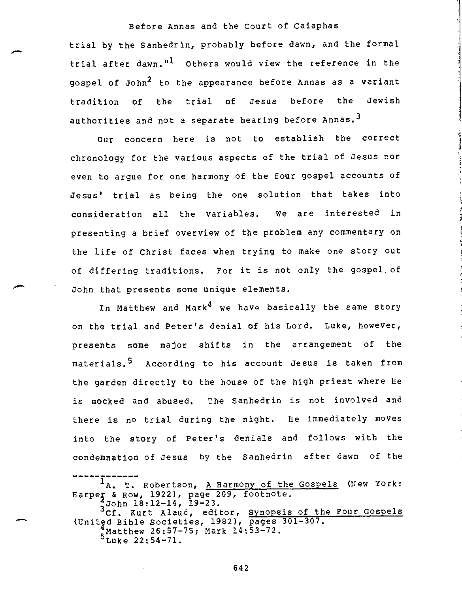trial by the Sanhedrin, probably before dawn, and the formal trial after dawn."<sup>1</sup> Others would view the reference in the gospel of John<sup>2</sup> to the appearance before Annas as a variant tradition of the trial of Jesus before the Jewish authorities and not a separate hearing before Annas.<sup>3</sup>

Our concern here is not to establish the correct chronology for the various aspects of the trial of Jesus nor even to argue for one harmony of the four gospel accounts of Jesus' trial as being the one solution that takes into consideration all the variables. We are interested in presenting a brief overview of the problem any commentary on the life of Christ faces when trying to make one story out of differing traditions. For it is not only the gospel of John that presents some unique elements.

In Matthew and Mark<sup>4</sup> we have basically the same story on the trial and Peter's denial of his Lord. Luke, however, presents some major shifts in the arrangement of the materials.<sup>5</sup> According to his account Jesus is taken from the garden directly to the house of the high priest where He is mocked and abused. The Sanhedrin is not involved and there is no trial during the night. He immediately moves into the story of Peter's denials and follows with the condemnation of Jesus by the Sanhedrin after dawn of the

1<sub>A. T.</sub> Robertson, A Harmony of the Gospels (New York: Harper & Row, 1922), page 209, footnote.<br>3John 18:12-14, 19-23. <sup>4</sup>John 18:12-14, 19-23.<br><sup>3</sup>Cf. Kurt Alaud, editor, <u>Synopsis of the Four Gospels</u> (Unit2d Bible Societies, 1982), pages 301-307. 'Matthew 26:57-75; Mark 14:53-72.  $5^{MRLL_H m}$  =  $-2$ .<br> $54-71.$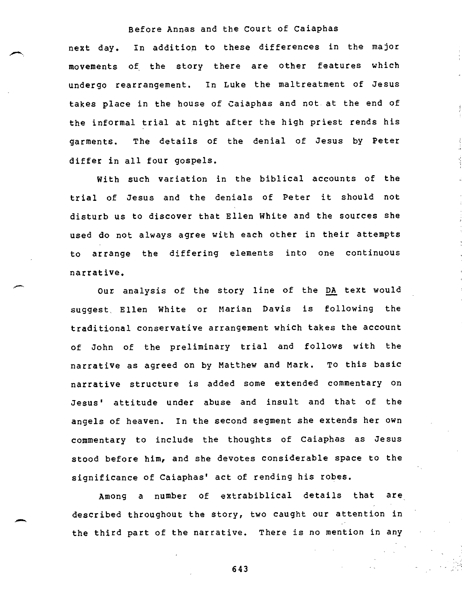next day. In addition to these differences in the major movements of the story there are other features which undergo rearrangement. In Luke the maltreatment of Jesus takes place in the house of Caiaphas and not at the end of the informal trial at night after the high priest rends his garments. The details of the denial of Jesus by Peter differ in all four gospels.

With such variation in the biblical accounts of the trial of Jesus and the denials of Peter it should not disturb us to discover that Ellen White and the sources she used do not always agree with each other in their attempts to arrange the differing elements into one continuous narrative.

Our analysis of the story line of the DA text would suggest, Ellen White or Marian Davis is following the traditional conservative arrangement which takes the account of John of the preliminary trial and follows with the narrative as agreed on by Matthew and Mark. To this basic narrative structure is added some extended commentary on Jesus' attitude under abuse and insult and that of the angels of heaven. In the second segment she extends her own commentary to include the thoughts of Caiaphas as Jesus stood before him, and she devotes considerable space to the significance of Caiaphas' act of rending his robes.

Among a number of extrabiblical details that are described throughout the story, two caught our attention in the third part of the narrative. There is no mention in any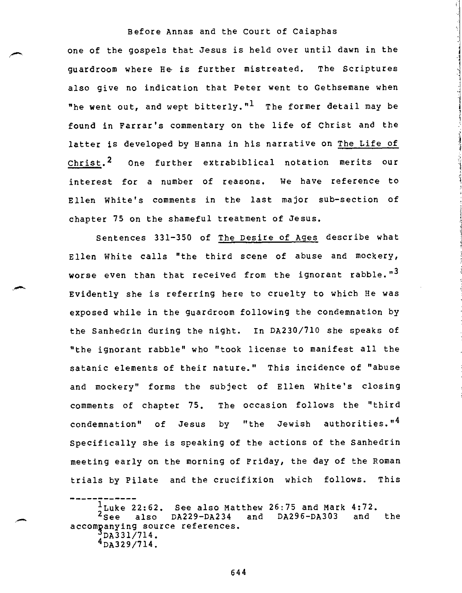one of the gospels that Jesus is held over until dawn in the guardroom where He, is further mistreated. The Scriptures also give no indication that Peter went to Gethsemane when "he went out, and wept bitterly." $1$  The former detail may be found in Farrar's commentary on the life of Christ and the latter is developed by Hanna in his narrative on The Life of Christ.<sup>2</sup> One further extrabiblical notation merits our interest for a number of reasons. We have reference to Ellen White's comments in the last major sub-section of chapter 75 on the shameful treatment of Jesus.

Sentences 331-350 of The Desire of Ages describe what Ellen White calls "the third scene of abuse and mockery, worse even than that received from the ignorant rabble."<sup>3</sup> Evidently she is referring here to cruelty to which He was exposed while in the guardroom following the condemnation by the Sanhedrin during the night. In DA230/710 she speaks of "the ignorant rabble" who "took license to manifest all the satanic elements of their nature." This incidence of "abuse and mockery" forms the subject of Ellen White's closing comments of chapter 75. The occasion follows the "third condemnation" of Jesus by "the Jewish authorities."4 Specifically she is speaking of the actions of the Sanhedrin meeting early on the morning of Friday, the day of the Roman trials by Pilate and the crucifixion which follows. This

 $\frac{1}{2}$ Luke 22:62. See also Matthew 26:75 and Mark 4:72.<br><sup>2</sup>See also DA229-DA234 and DA296-DA303 and the and  $DA296-DA303$ accompanying source references.  $\frac{3}{2}$ DA331/714.  $^{4}$ DA329/714.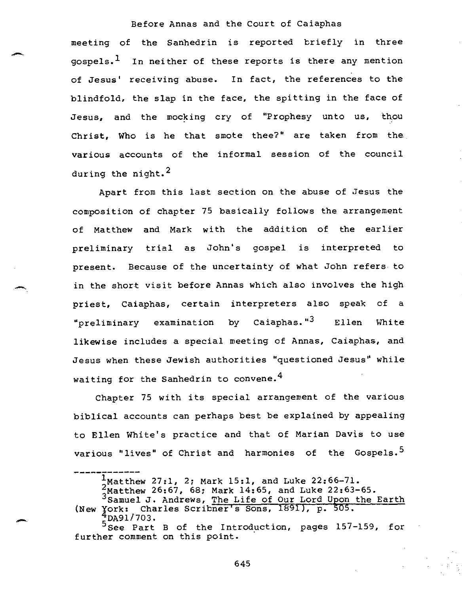meeting of the Sanhedrin is reported briefly in three  $g$ ospels.<sup>1</sup> In neither of these reports is there any mention of Jesus' receiving abuse. In fact, the references to the blindfold, the slap in the face, the spitting in the face of Jesus, and the mocking cry of "Prophesy unto us, thou Christ, Who is he that smote thee?" are taken from the various accounts of the informal session of the council during the night. $^2$ 

Apart from this last section on the abuse of Jesus the composition of chapter 75 basically follows the arrangement of Matthew and Mark with the addition of the earlier preliminary trial as John's gospel is interpreted to present. Because of the uncertainty of what John refers to in the short visit before Annas which also involves the high priest, Caiaphas, certain interpreters also speak of a "preliminary examination by Caiaphas."3 Ellen White likewise includes a special meeting of Annas, Caiaphas, and Jesus when these Jewish authorities "questioned Jesus" while waiting for the Sanhedrin to convene.<sup>4</sup>

Chapter 75 with its special arrangement of the various biblical accounts can perhaps best be explained by appealing to Ellen White's practice and that of Marian Davis to use various "lives" of Christ and harmonies of the Gospels.<sup>5</sup>

 $\frac{1}{2}$ Matthew 27:1, 2; Mark 15:1, and Luke 22:66-71.

<sup>2</sup>Matthew 26:67, 68; Mark 14:65, and Luke 22:63-65.

<sup>3</sup>Samuel J. Andrews, The Life of Our Lord Upon the Earth (New York: Charles Scribner's Sons, 1891), p. 505.

<sup>5</sup>BA91/703.<br>Ssee Part B of the Introduction, pages 157-159, for further comment on this point.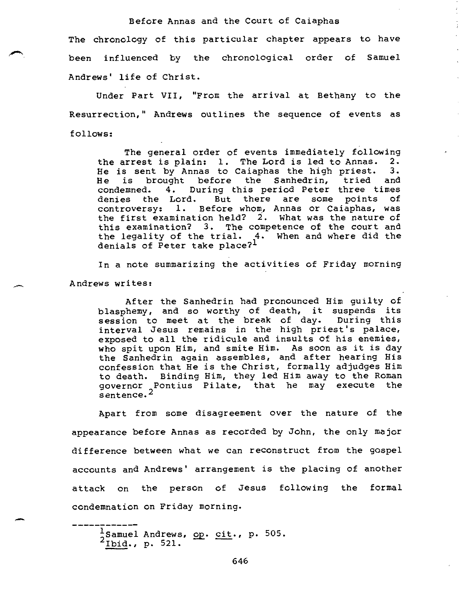The chronology of this particular chapter appears to have been influenced by the chronological order of Samuel Andrews' life of Christ.

Under Part VII, "From the arrival at Bethany to the Resurrection," Andrews outlines the sequence of events as follows:

The general order of events immediately following the arrest is plain: 1. The Lord is led to Annas. 2. He is sent by Annas to Caiaphas the high priest. 3. He is brought before the Sanhedrin, tried and condemned. 4. During this period Peter three times denies the Lord. But there are some points of controversy: 1. Before whom, Annas or Caiaphas, was the first examination held? 2. What was the nature of this examination? 3. The competence of the court and the legality of the trial. 4. When and where did the denials of Peter take place?<sup>1</sup>

In a note summarizing the activities of Friday morning Andrews writes:

After the Sanhedrin had pronounced Him guilty of blasphemy, and so worthy of death, it suspends its session to meet at the break of day. During this interval Jesus remains in the high priest's palace, exposed to all the ridicule and insults of his enemies, who spit upon Him, and smite Him. As soon as it is day the Sanhedrin again assembles, and after hearing His confession that He is the Christ, formally adjudges Him to death. Binding Him, they led Him away to the Roman governor Pontius Pilate, that he may execute the sentence.<sup>2</sup>

Apart from some disagreement over the nature of the appearance before Annas as recorded by John, the only major difference between what we can reconstruct from the gospel accounts and Andrews' arrangement is the placing of another attack on the person of Jesus following the formal condemnation on Friday morning.

 $\frac{1}{2}$ Samuel Andrews, op. cit., p. 505.  $2 \frac{2 \text{ m}}{\text{b} \cdot \text{d}}$ ., p. 521.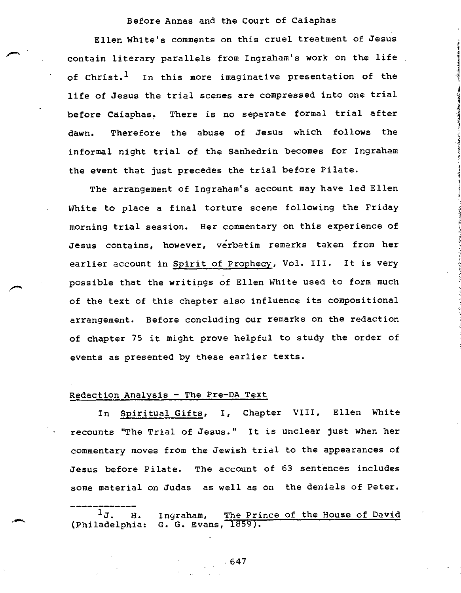Ellen White's comments on this cruel treatment of Jesus contain literary parallels from Ingraham's work on the life of Christ.<sup>1</sup> In this more imaginative presentation of the life of Jesus the trial scenes are compressed into one trial before Caiaphas. There is no separate formal trial after dawn. Therefore the abuse of Jesus which follows the informal night trial of the Sanhedrin becomes for Ingraham the event that just precedes the trial before Pilate.

The arrangement of Ingraham's account may have led Ellen White to place a final torture scene following the Friday morning trial session. Her commentary on this experience of Jesus contains, however, verbatim remarks taken from her earlier account in Spirit of Prophecy, Vol. III. It is very possible that the writings of Ellen White used to form much of the text of this chapter also influence its compositional arrangement. Before concluding our remarks on the redaction of chapter 75 it might prove helpful to study the order of events as presented by these earlier texts.

#### Redaction Analysis - The Pre-DA Text

In Spiritual Gifts, I, Chapter VIII, Ellen White recounts "The Trial of Jesus." It is unclear just when her commentary moves from the Jewish trial to the appearances of Jesus before Pilate. The account of 63 sentences includes some material on Judas as well as on the denials of Peter.

1J. H. Ingraham, The Prince of the House of David<br>(Philadelphia: G. G. Evans, 1859). G. G. Evans, 1859).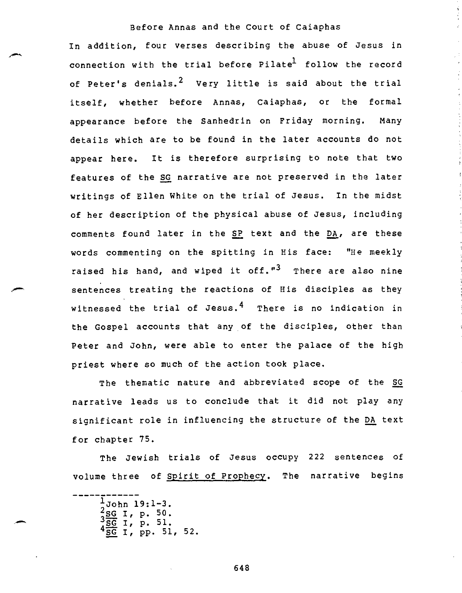In addition, four verses describing the abuse of Jesus in connection with the trial before Pilate<sup>l</sup> follow the record of Peter's denials.<sup>2</sup> Very little is said about the trial itself, whether before Annas, Caiaphas, or the formal appearance before the Sanhedrin on Friday morning. Many details which are to be found in the later accounts do not appear here. It is therefore surprising to note that two features of the SG narrative are not preserved in the later writings of Ellen White on the trial of Jesus. In the midst of her description of the physical abuse of Jesus, including comments found later in the SP text and the DA, are these words commenting on the spitting in His face: "He meekly raised his hand, and wiped it off."<sup>3</sup> There are also nine sentences treating the reactions of His disciples as they witnessed the trial of Jesus.<sup>4</sup> There is no indication in the Gospel accounts that any of the disciples, other than Peter and John, were able to enter the palace of the high priest where so much of the action took place.

The thematic nature and abbreviated scope of the SG narrative leads us to conclude that it did not play any significant role in influencing the structure of the DA text for chapter 75.

The Jewish trials of Jesus occupy 222 sentences of volume three of Spirit of Prophecy. The narrative begins

 $\frac{1}{2}$ John 19:1-3.<br>
2SG I, p. 50. I, p. 51.  $^{4}$ SG I, pp. 51, 52.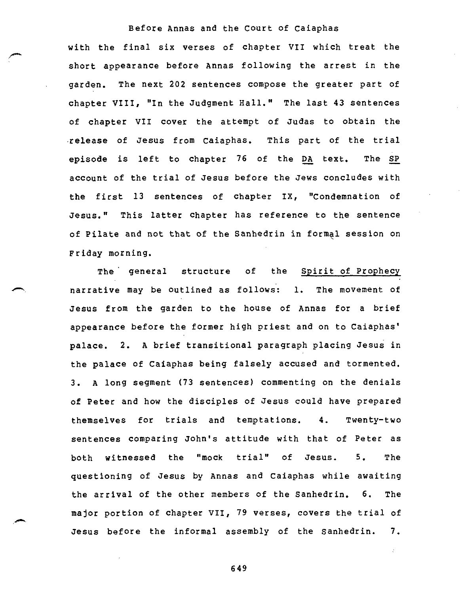with the final six verses of chapter VII which treat the short appearance before Annas following the arrest in the garden. The next 202 sentences compose the greater part of chapter VIII, "In the Judgment Hall." The last 43 sentences of chapter VII cover the attempt of Judas to obtain the release of Jesus from Caiaphas. This part of the trial episode is left to chapter 76 of the DA text. The SP account of the trial of Jesus before the Jews concludes with the first 13 sentences of chapter IX, "Condemnation of Jesus." This latter chapter has reference to the sentence of Pilate and not that of the Sanhedrin in formal session on Friday morning.

The general structure of the Spirit of Prophecy narrative may be outlined as follows: 1. The movement of Jesus from the garden to the house of Annas for a brief appearance before the former high priest and on to Caiaphas' palace. 2. A brief transitional paragraph placing Jesus in the palace of Caiaphas being falsely accused and tormented. 3. A long segment (73 sentences) commenting on the denials of Peter and how the disciples of Jesus could have prepared themselves for trials and temptations. 4. Twenty-two sentences comparing John's attitude with that of Peter as both witnessed the "mock trial" of Jesus. 5. The questioning of Jesus by Annas and Caiaphas while awaiting the arrival of the other members of the Sanhedrin. 6. The major portion of chapter VII, 79 verses, covers the trial of Jesus before the informal assembly of the Sanhedrin. 7.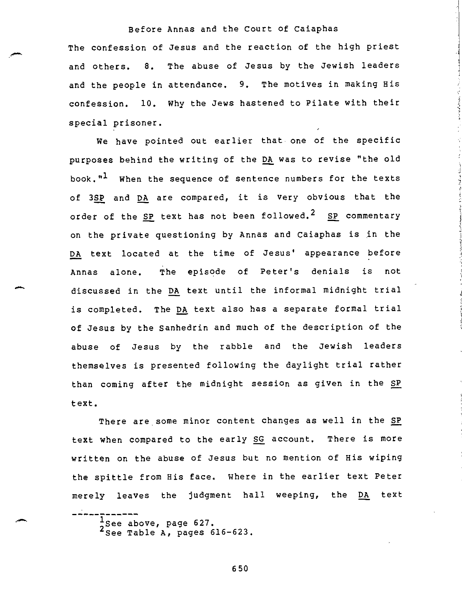The confession of Jesus and the reaction of the high priest and others. 8. The abuse of Jesus by the Jewish leaders and the people in attendance. 9. The motives in making His confession. 10. Why the Jews hastened to Pilate with their special prisoner.

We have pointed out earlier that one of the specific purposes behind the writing of the DA was to revise "the old book."<sup>1</sup> When the sequence of sentence numbers for the texts of 3SP and DA are compared, it is very obvious that the order of the SP text has not been followed.<sup>2</sup> SP commentary on the private questioning by Annas and Caiaphas is in the DA text located at the time of Jesus' appearance before Annas alone. The episode of Peter's denials is not discussed in the DA text until the informal midnight trial is completed. The DA text also has a separate formal trial of Jesus by the Sanhedrin and much of the description of the abuse of Jesus by the rabble and the Jewish leaders themselves is presented following the daylight trial rather than coming after the midnight session as given in the SP text.

There are some minor content changes as well in the SP text when compared to the early SG account. There is more written on the abuse of Jesus but no mention of His wiping the spittle from His face. Where in the earlier text Peter merely leaves the judgment hall weeping, the DA text

 $\frac{1}{2}$ See above, page 627.<br><sup>2</sup> See Table A, pages 616-623.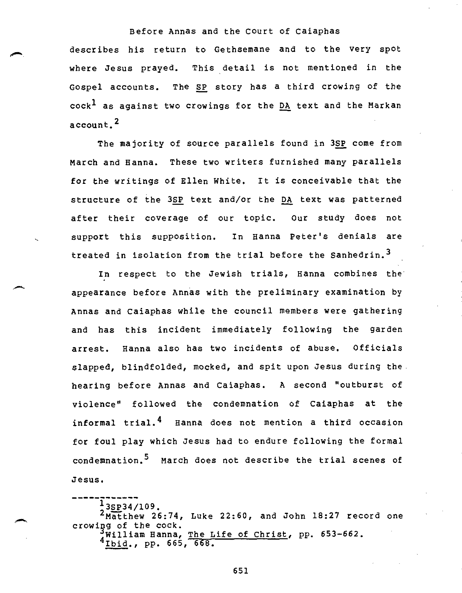describes his return to Gethsemane and to the very spot where Jesus prayed. This detail is not mentioned in the Gospel accounts. The SP story has a third crowing of the  $cock<sup>L</sup>$  as against two crowings for the DA text and the Markan account.<sup>2</sup>

The majority of source parallels found in 3SP come from March and Hanna. These two writers furnished many parallels for the writings of Ellen White. It is conceivable that the structure of the 3SP text and/or the DA text was patterned after their coverage of our topic. Our study does not support this supposition. In Hanna Peter's denials are treated in isolation from the trial before the Sanhedrin.<sup>3</sup>

In respect to the Jewish trials, Hanna combines the appearance before Annas with the preliminary examination by Annas and Caiaphas while the council members were gathering and has this incident immediately following the garden arrest. Hanna also has two incidents of abuse. Officials slapped, blindfolded, mocked, and spit upon Jesus during the hearing before Annas and Caiaphas. A second "outburst of violence" followed the condemnation of Caiaphas at the informal trial.4 Hanna does not mention a third occasion for foul play which Jesus had to endure following the formal condemnation.<sup>5</sup> March does not describe the trial scenes of Jesus.

 $13$ SP34/109.  $2$ Matthew 26:74, Luke 22:60, and John 18:27 record one crowing of the cock. 'William Hanna, The Life of Christ, pp. 653-662. 4Ibid., pp. 665, 668.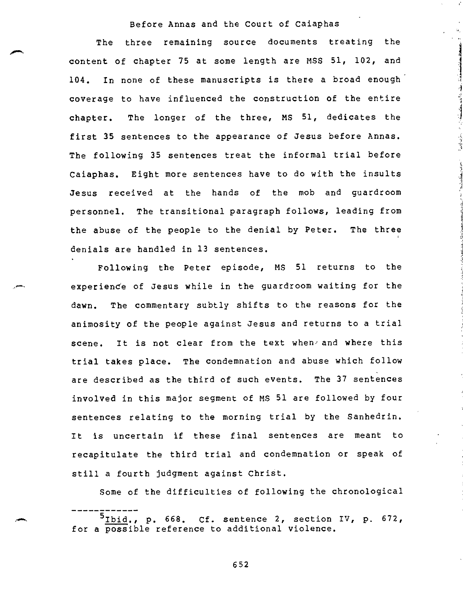The three remaining source documents treating the content of chapter 75 at some length are MSS 51, 102, and 104. In none of these manuscripts is there a broad enough coverage to have influenced the construction of the entire chapter. The longer of the three, MS 51, dedicates the first 35 sentences to the appearance of Jesus before Annas. The following 35 sentences treat the informal trial before Caiaphas. Eight more sentences have to do with the insults Jesus received at the hands of the mob and guardroom personnel. The transitional paragraph follows, leading from the abuse of the people to the denial by Peter. The three denials are handled in 13 sentences.

Following the Peter episode, MS 51 returns to the experiende of Jesus while in the guardroom waiting for the dawn. The commentary subtly shifts to the reasons for the animosity of the people against Jesus and returns to a trial scene. It is not clear from the text when and where this trial takes place. The condemnation and abuse which follow are described as the third of such events. The 37 sentences involved in this major segment of MS 51 are followed by four sentences relating to the morning trial by the Sanhedrin. It is uncertain if these final sentences are meant to recapitulate the third trial and condemnation or speak of still a fourth judgment against Christ.

Some of the difficulties of following the chronological

 $5$ Ibid., p. 668. Cf. sentence 2, section IV, p. 672, for a possible reference to additional violence.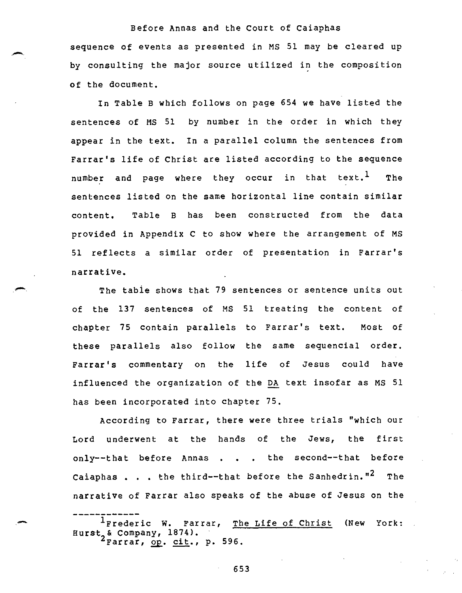sequence of events as presented in MS 51 may be cleared up by consulting the major source utilized in the composition of the document.

In Table B which follows on page 654 we have listed the sentences of MS 51 by number in the order in which they appear in the text. In a parallel column the sentences from Farrar's life of Christ are listed according to the sequence number and page where they occur in that text.<sup>1</sup> The sentences listed on the same horizontal line contain similar content. Table B has been constructed from the data provided in Appendix C to show where the arrangement of MS 51 reflects a similar order of presentation in Farrar's narrative.

The table shows that 79 sentences or sentence units out of the 137 sentences of MS 51 treating the content of chapter 75 contain parallels to Farrar's text. Most of these parallels also follow the same sequencial order. Farrar's commentary on the life of Jesus could have influenced the organization of the DA text insofar as MS 51 has been incorporated into chapter 75.

According to Farrar, there were three trials "which our Lord underwent at the hands of the Jews, the first only--that before Annas . . . the second--that before Caiaphas . . . the third--that before the Sanhedrin."<sup>2</sup> The narrative of Farrar also speaks of the abuse of Jesus on the

<sup>1</sup>Frederic W. Farrar, The Life of Christ (New York: Hurst<sub>2</sub>& Company, 1874). Farrar, op. cit., p. 596.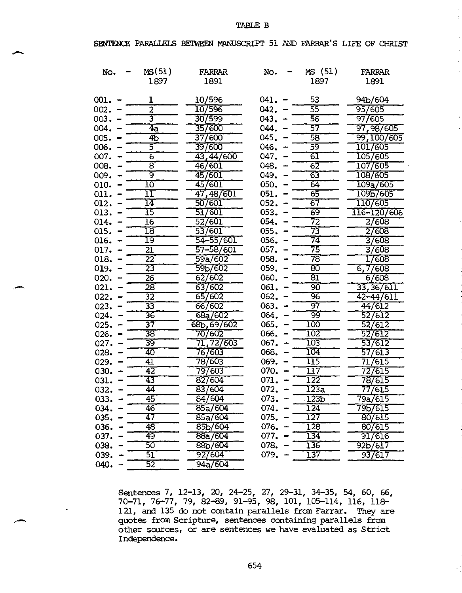#### TABLE B

 $\overline{z}$ 

#### SENTENCE PARALLELS BETWEEN MANUSCRIPT 51 AND FARRAR'S LIFE OF CHRIST

| No.      | MS(51)                     | FARRAR               | No.      | MS (51)                  | <b>FARRAR</b> |
|----------|----------------------------|----------------------|----------|--------------------------|---------------|
|          | 1897                       | 1891                 |          | 1897                     | 1891          |
|          |                            |                      |          |                          |               |
| 001.     | ı                          | 10/596               | 041.     | 53                       | 94b/604       |
| 002.     | $\overline{2}$             | 10/596               | 042.     | 55                       | 95/605        |
| $003 -$  | 3                          | 30/599               | 043.     | 56                       | 97/605        |
| 004.     | $\overline{4a}$            | 35/600               | 044.     | 57                       | 97,98/605     |
| 005.     | 4 <sub>D</sub>             | 37/600               | 045.     | 58                       | 99,100/605    |
| 006.     | 5                          | 397600               | 046.     | 59                       | 1017605       |
| 007.     | $\overline{6}$             | 43,44/600            | 047.     | 61                       | 1057605       |
| 008.     | 8                          | 46/601               | 048.     | $6\overline{2}$          | 107/605       |
| 009.     | ब्र                        | 45/601               | 049.     | 63                       | 108/605       |
| 010.     | 10                         | 45/601               | 050.     | 64                       | 109a/605      |
| 011.     | $\overline{1}\overline{1}$ | 47,48/601            | 051.     | 65                       | 109b/605      |
| 012.     | $\overline{14}$            | 50/601               | 052.     | 67                       | 110/605       |
| 013.     | $\overline{15}$            | 517601               | 053.     | 69                       | 116-120/606   |
| 014.     | 16                         | 52/601               | 054.     | 72                       | 2/608         |
| 015.     | $\overline{18}$            | 537601               | 055.     | 73                       | 27608         |
| 016.     | 19                         | 54-55/601            | 056.     | $\overline{74}$          | 37608         |
| 017.     | 21                         | 57-58/601            | 057.     | 75                       | 37608         |
| 018.     | $\overline{22}$            | 59a/602              | 058.     | 78                       | 17608         |
| 019.     | 23                         | 59b/602              | 059.     | 80                       | 6,7/608       |
| 020.     | $\overline{26}$            | 62/602               | 060.     | $\overline{\mathtt{B1}}$ | 6/608         |
| 021.     | $\overline{28}$            | 63/602               | 061.     | 90                       | 33, 36/611    |
| 022.     | 32                         | 65/602               | 062.     | 96                       | $42 - 44/611$ |
| 023.     | 33                         | 66/602               | 063.     | 97                       | 44/612        |
| 024.     | $\overline{36}$            | 68a/602              | 064.     | 99                       | 52/612        |
| 025.     | 37                         | 68b, 69/602          | 065.     | $100\,$                  | 52/612        |
| 026.     | 38                         | 70/602               | 066.     | 102                      | 52/612        |
| 027.     | 39                         | 71, 72/603           | 067.     | 103                      | 53/612        |
| 028.     | 40                         | 76/603               | 068.     | 104                      | 57/613        |
| 029.     | 41                         | 78/603               | 069.     | 115                      | 717615        |
| 030.     | $\overline{42}$            | 79/603               | 070.     | 117                      | 727615        |
| 031.     | 43                         | 82/604               | 071.     | 122                      | 78/615        |
| 032.     | 44                         | 83/604               | 072.     | <u> 123a </u>            | 77/615        |
| 033.     | 45                         | 84/604               | 073.     | 123 <sub>b</sub>         | 79a/615       |
| $034. -$ | 46                         | 85a/604              | $074. -$ | 124                      | 79b/615       |
| $035. -$ | 47                         | 85a/604              | 075.     | 127                      | 80/615        |
| 036.     | 48                         | 85b/604              | $076. -$ | 128                      | 80/615        |
| 037.     | 49                         | 88a/604              | 077.     | $134^{-}$                | 91/616        |
| 038.     | 50                         | 88 <sub>b</sub> /604 | 078.     | 136                      | 92Ь/617       |
| 039.     | 51                         | 92/604               | 079.     | 137                      | 93/617        |
| 040.     | $\overline{52}$            | 94a/604              |          |                          |               |

27, 29-31, 98, 101, 34-35, 105-114, 54, 60, 66, 116, 118- Sentences 7, 3 70-71, 76-77, 12-13, 20, 24-25, 79, 82-89, 91-95, 121, and 135 do not contain parallels from Farrar. They are quotes from Scripture, sentences containing parallels from other sources, or are sentences we have evaluated as Strict Independence.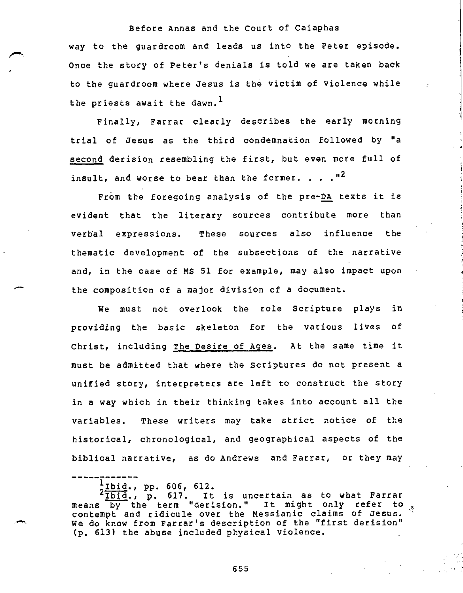way to the guardroom and leads us into the Peter episode. Once the story of Peter's denials is told we are taken back to the guardroom where Jesus is the victim of violence while the priests await the dawn.<sup>1</sup>

Finally, Farrar clearly describes the early morning trial of Jesus as the third condemnation followed by "a second derision resembling the first, but even more full of insult, and worse to bear than the former. . .  $n^2$ 

From the foregoing analysis of the pre-DA texts it is evident that the literary sources contribute more than verbal expressions. These sources also influence the thematic development of the subsections of the narrative and, in the case of MS 51 for example, may also impact upon the composition of a major division of a document.

We must not overlook the role Scripture plays in providing the basic skeleton for the various lives of Christ, including The Desire of Ages. At the same time it must be admitted that where the Scriptures do not present a unified story, interpreters are left to construct the story in a way which in their thinking takes into account all the variables. These writers may take strict notice of the historical, chronological, and geographical aspects of the biblical narrative, as do Andrews and Farrar, or they may

 $\frac{1}{1}$ Ibid., pp. 606, 612.

 $2\overline{\text{161d}}$ , p. 617. It is uncertain as to what Farrar means by the term "derision." It might only refer to contempt and ridicule over the Messianic claims of Jesus. We do know from Farrar's description of the "first derision" (p. 613) the abuse included physical violence.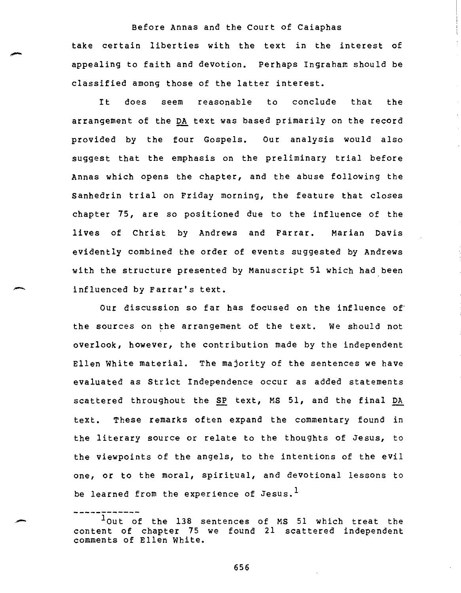Before Annas and the Court of Caiaphas take certain liberties with the text in the interest of appealing to faith and devotion. Perhaps Ingraham should be classified among those of the latter interest.

It does seem reasonable to conclude that the arrangement of the DA text was based primarily on the record provided by the four Gospels. Our analysis would also suggest that the emphasis on the preliminary trial before Annas which opens the chapter, and the abuse following the Sanhedrin trial on Friday morning, the feature that closes chapter 75, are so positioned due to the influence of the lives of Christ by Andrews and Farrar. Marian Davis evidently combined the order of events suggested by Andrews with the structure presented by Manuscript 51 which had been influenced by Farrar's text.

Our discussion so far has focused on the influence of the sources on the arrangement of the text. We should not overlook, however, the contribution made by the independent Ellen White material. The majority of the sentences we have evaluated as Strict Independence occur as added statements scattered throughout the SP text, MS 51, and the final DA text. These remarks often expand the commentary found in the literary source or relate to the thoughts of Jesus, to the viewpoints of the angels, to the intentions of the evil one, or to the moral, spiritual, and devotional lessons to be learned from the experience of Jesus.<sup>1</sup>

lout of the 138 sentences of MS 51 which treat the content of chapter 75 we found 21 scattered independent comments of Ellen White.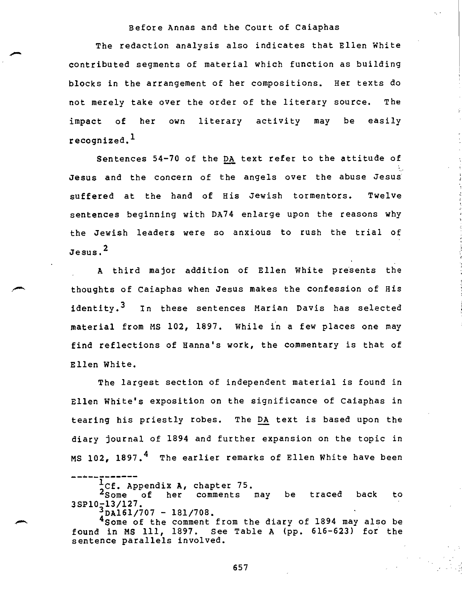The redaction analysis also indicates that Ellen White contributed segments of material which function as building blocks in the arrangement of her compositions. Her texts do not merely take over the order of the literary source. The impact of her own literary activity may be easily recognized.<sup>1</sup>

Sentences 54-70 of the DA text refer to the attitude of Jesus and the concern of the angels over the abuse Jesus suffered at the hand of His Jewish tormentors. Twelve sentences beginning with DA74 enlarge upon the reasons why the Jewish leaders were so anxious to rush the trial of Jesus.<sup>2</sup>

A third major addition of Ellen White presents the thoughts of Caiaphas when Jesus makes the confession of His identity.<sup>3</sup> In these sentences Marian Davis has selected material from MS 102, 1897. While in a few places one may find reflections of Hanna's work, the commentary is that of Ellen White.

The largest section of independent material is found in Ellen White's exposition on the significance of Caiaphas in tearing his priestly robes. The DA text is based upon the diary journal of 1894 and further expansion on the topic in MS 102. 1897. $<sup>4</sup>$  The earlier remarks of Ellen White have been</sup>

2Some of her comments may be traced back to 1 Cf. Appendix A, chapter 75. 3SP10-13/127.

 $DA161/707 - 181/708.$ 

4Some of the comment from the diary of 1894 may also be found in MS 111, 1897. See Table A (pp. 616-623) for the sentence parallels involved.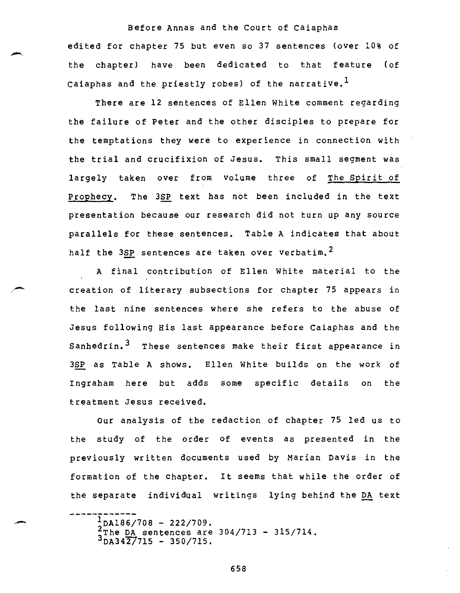Before Annas and the Court of Caiaphas edited for chapter 75 but even so 37 sentences (over 10% of the chapter) have been dedicated to that feature (of Caiaphas and the priestly robes) of the narrative.<sup>1</sup>

There are 12 sentences of Ellen White comment regarding the failure of Peter and the other disciples to prepare for the temptations they were to experience in connection with the trial and crucifixion of Jesus. This small segment was largely taken over from volume three of The Spirit of Prophecy. The 3SP text has not been included in the text presentation because our research did not turn up any source parallels for these sentences. Table A indicates that about half the  $3SP$  sentences are taken over verbatim.<sup>2</sup>

A final contribution of Ellen White material to the creation of literary subsections for chapter 75 appears in the last nine sentences where she refers to the abuse of Jesus following His last appearance before Caiaphas and the Sanhedrin.<sup>3</sup> These sentences make their first appearance in 3SP as Table A shows. Ellen White builds on the work of Ingraham here but adds some specific details on the treatment Jesus received.

Our analysis of the redaction of chapter 75 led us to the study of the order of events as presented in the previously written documents used by Marian Davis in the formation of the chapter. It seems that while the order of the separate individual writings lying behind the DA text

 $\frac{1}{2}$ DA186/708 - 222/709. 2The DA sentences are  $304/713 - 315/714$ .<br> $3_{\text{DA}}342/715 - 350/715$ .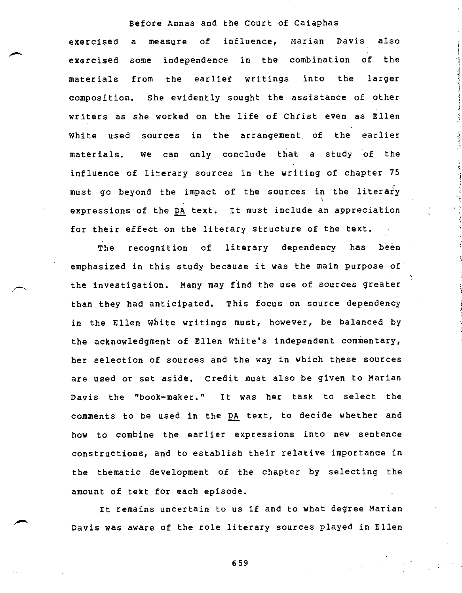exercised a measure of influence, Marian Davis also exercised some independence in the combination of the materials from the earlier writings into the larger composition. She evidently sought the assistance of other writers as she worked on the life of Christ even as Ellen White used sources in the arrangement, of the earlier materials. We can only conclude that a study of the influence of literary sources in the writing of chapter 75 must go beyond the impact of the sources in the literary expressions of the DA text. It must include an appreciation for their effect on the literary structure of the text.

The recognition of literary dependency has been emphasized in this study because it was the main purpose of the investigation. Many may find the use of sources greater than they had anticipated. This focus on source dependency in the Ellen White writings must, however, be balanced by the acknowledgment of Ellen White's independent commentary, her selection of sources and the way in which these sources are used or set aside. Credit must also be given to Marian Davis the "book-maker." It was her task to select the comments to be used in the DA text, to decide whether and how to combine the earlier expressions into new sentence constructions, and to establish their relative importance in the thematic development of the chapter by selecting the amount of text for each episode.

It remains uncertain to us if and to what degree Marian Davis was aware of the role literary sources played in Ellen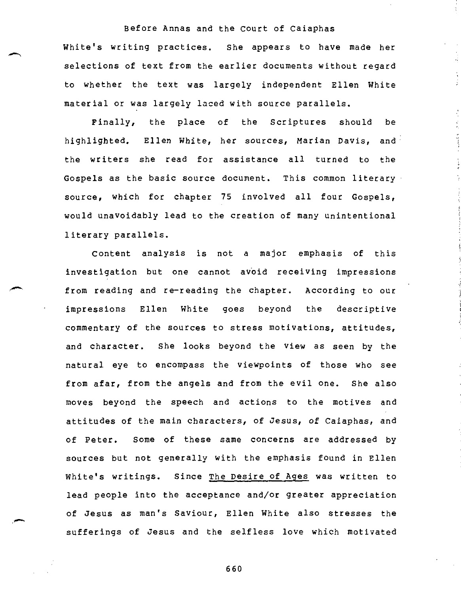White's writing practices. She appears to have made her selections of text from the earlier documents without regard to whether the text was largely independent Ellen White material or was largely laced with source parallels.

÷

Finally, the place of the Scriptures should be highlighted. Ellen White, her sources, Marian Davis, and the writers she read for assistance all turned to the Gospels as the basic source document. This common literary source, which for chapter 75 involved all four Gospels, would unavoidably lead to the creation of many unintentional literary parallels.

Content analysis is not a major emphasis of this investigation but one cannot avoid receiving impressions from reading and re-reading the chapter. According to our impressions Ellen White goes beyond the descriptive commentary of the sources to stress motivations, attitudes, and character. She looks beyond the view as seen by the natural eye to encompass the viewpoints of those who see from afar, from the angels and from the evil one. She also moves beyond the speech and actions to the motives and attitudes of the main characters, of Jesus, of Caiaphas, and of Peter. Some of these same concerns are addressed by sources but not generally with the emphasis found in Ellen White's writings. Since The Desire of Ages was written to lead people into the acceptance and/or greater appreciation of Jesus as man's Saviour, Ellen White also stresses the sufferings of Jesus and the selfless love which motivated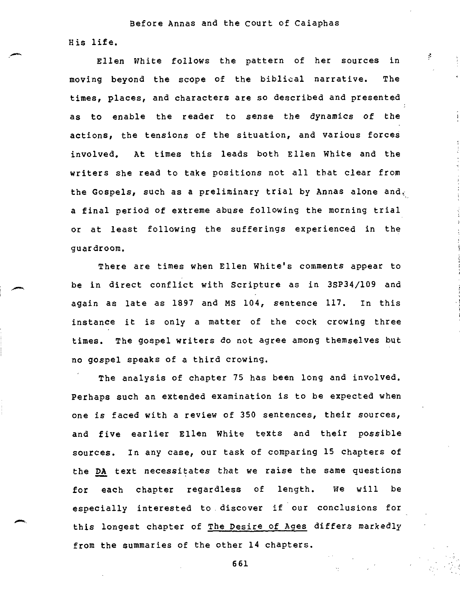Before Annas and the Court of Caiaphas His life.

Ellen White follows the pattern of her sources in moving beyond the scope of the biblical narrative. The times, places, and characters are so described and presented as to enable the reader to sense the dynamics of the actions, the tensions of the situation, and various forces involved. At times this leads both Ellen White and the writers she read to take positions not all that clear from the Gospels, such as a preliminary trial by Annas alone and, a final period of extreme abuse following the morning trial or at least following the sufferings experienced in the guardroom.

There are times when Ellen White's comments appear to be in direct conflict with Scripture as in 3SP34/109 and again as late as 1897 and MS 104, sentence 117. In this instance it is only a matter of the cock crowing three times. The gospel writers do not agree among themselves but no gospel speaks of a third crowing.

The analysis of chapter 75 has been long and involved. Perhaps such an extended examination is to be expected when one is faced with a review of 350 sentences, their sources, and five earlier Ellen White texts and their possible sources. In any case, our task of comparing 15 chapters of the DA text necessitates that we raise the same questions for each chapter regardless of length. We will be especially interested to discover if our conclusions for this longest chapter of The Desire of Ages differs markedly from the summaries of the other 14 chapters.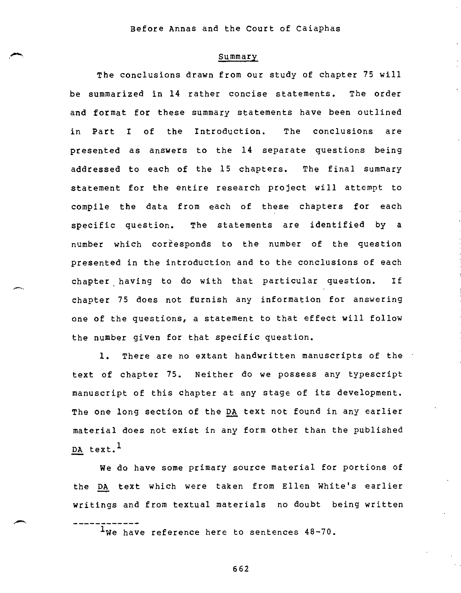#### **Summary**

The conclusions drawn from our study of chapter 75 will be summarized in 14 rather concise statements. The order and format for these summary statements have been outlined in Part I of the Introduction. The conclusions are presented as answers to the 14 separate questions being addressed to each of the 15 chapters. The final summary statement for the entire research project will attempt to compile the data from each of these chapters for each specific question. The statements are identified by a number which corresponds to the number of the question presented in the introduction and to the conclusions of each chapter having to do with that particular question. If chapter 75 does not furnish any information for answering one of the questions, a statement to that effect will follow the number given for that specific question.

1. There are no extant handwritten manuscripts of the text of chapter 75. Neither do we possess any typescript manuscript of this chapter at any stage of its development. The one long section of the DA text not found in any earlier material does not exist in any form other than the published DA text. $<sup>1</sup>$ </sup>

We do have some primary source material for portions of the DA text which were taken from Ellen White's earlier writings and from textual materials no doubt being written

<sup>1</sup>We have reference here to sentences 48-70.

----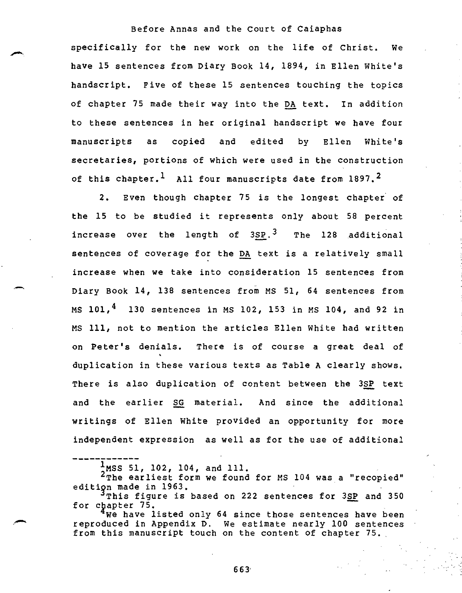specifically for the new work on the life of Christ. We have 15 sentences from Diary Book 14, 1894, in Ellen White's handscript. Five of these 15 sentences touching the topics of chapter 75 made their way into the DA text. In addition to these sentences in her original handscript we have four manuscripts as copied and edited by Ellen White's secretaries, portions of which were used in the construction of this chapter.<sup>1</sup> All four manuscripts date from 1897.<sup>2</sup>

2. Even though chapter 75 is the longest chapter of the 15 to be studied it represents only about 58 percent increase over the length of 3SP.<sup>3</sup> The 128 additional sentences of coverage for the DA text is a relatively small increase when we take into consideration 15 sentences from Diary Book 14, 138 sentences from MS 51, 64 sentences from MS  $101, \frac{4}{3}$  130 sentences in MS 102, 153 in MS 104, and 92 in MS 111, not to mention the articles Ellen White had written on Peter's denials. There is of course a great deal of duplication in these various texts as Table A clearly shows. There is also duplication of content between the 3SP text and the earlier SG material. And since the additional writings of Ellen White provided an opportunity for more independent expression as well as for the use of additional

 $1$ MSS 51, 102, 104, and 111.

<sup>2</sup>The earliest form we found for MS 104 was a "recopied" edition made in 1963.

 $^3$ This figure is based on 222 sentences for 3SP and 350 for cpapter 75.

We have listed only 64 since those sentences have been reproduced in Appendix D. We estimate nearly 100 sentences from this manuscript touch on the content of chapter 75.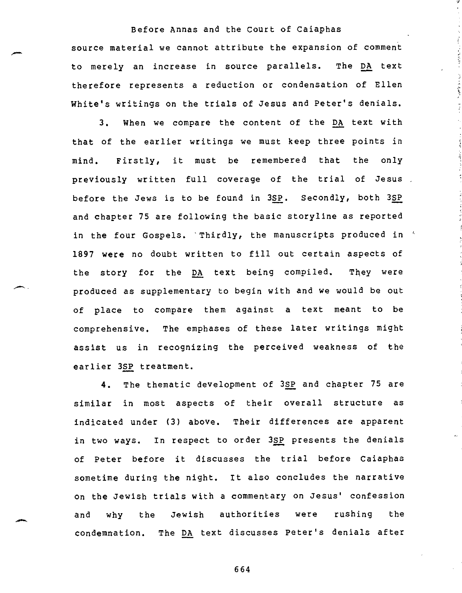source material we cannot attribute the expansion of comment to merely an increase in source parallels. The DA text therefore represents a reduction or condensation of Ellen White's writings on the trials of Jesus and Peter's denials.

3. When we compare the content of the DA text with that of the earlier writings we must keep three points in mind. Firstly, it must be remembered that the only previously written full coverage of the trial of Jesus before the Jews is to be found in 3SP. Secondly, both 3SP and chapter 75 are following the basic storyline as reported in the four Gospels. 'Thirdly, the manuscripts produced in ' 1897 were no doubt written to fill out certain aspects of the story for the DA text being compiled. They were produced as supplementary to begin with and we would be out of place to compare them against a text meant to be comprehensive. The emphases of these later writings might assist us in recognizing the perceived weakness of the earlier 3SP treatment.

4. The thematic development of 3SP and chapter 75 are similar in most aspects of their overall structure as indicated under (3) above. Their differences are apparent in two ways. In respect to order 3SP presents the denials of Peter before it discusses the trial before Caiaphas sometime during the night. It also concludes the narrative on the Jewish trials with a commentary on Jesus' confession and why the Jewish authorities were rushing the condemnation. The DA text discusses Peter's denials after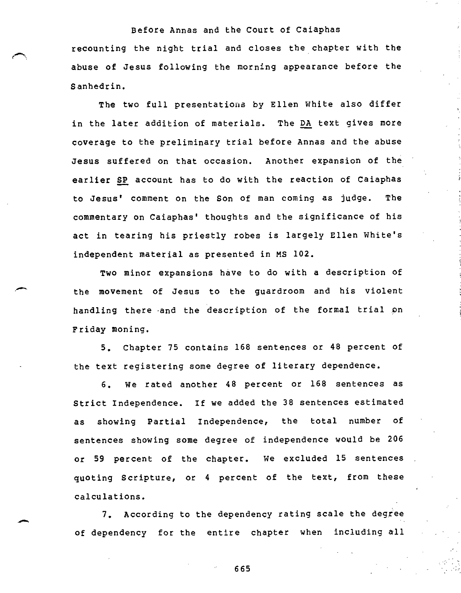recounting the night trial and closes the chapter with the abuse of Jesus following the morning appearance before the Sanhedrin.

The two full presentations by Ellen White also differ in the later addition of materials. The DA text gives more coverage to the preliminary trial before Annas and the abuse Jesus suffered on that occasion. Another expansion of the earlier SP account has to do with the reaction of Caiaphas to Jesus' comment on the Son of man coming as judge. The commentary on Caiaphas' thoughts and the significance of his act in tearing his priestly robes is largely Ellen White's independent material as presented in MS 102.

Two minor expansions have to do with a description of the movement of Jesus to the guardroom and his violent handling there and the description of the formal trial on Friday moning.

5. Chapter 75 contains 168 sentences or 48 percent of the text registering some degree of literary dependence.

6. We rated another 48 percent or 168 sentences as Strict Independence. If we added the 38 sentences estimated as showing Partial Independence, the total number of sentences showing some degree of independence would be 206 or 59 percent of the chapter. We excluded 15 sentences quoting Scripture, or 4 percent of the text, from these calculations.

7. According to the dependency rating scale the degree of dependency for the entire chapter when including all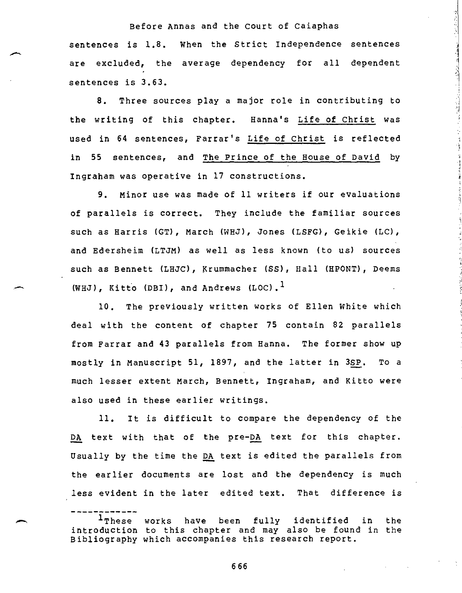Before Annas and the Court of Caiaphas sentences is 1.8. When the Strict Independence sentences are excluded, the average dependency for all dependent sentences is 3.63.

8. Three sources play a major role in contributing to the writing of this chapter. Hanna's Life of Christ was used in 64 sentences, Farrar's Life of Christ is reflected in 55 sentences, and The Prince of the House of David by Ingraham was operative in 17 constructions.

9. Minor use was made of 11 writers if our evaluations of parallels is correct. They include the familiar sources such as Harris (GT), March (WHJ), Jones (LSFG), Geikie (LC), and Edersheim (LTJM) as well as less known (to us) sources such as Bennett (LHJC), Krummacher (SS), Hall (HPONT), Deems (WHJ), Kitto (DBI), and Andrews (LOC).<sup>1</sup>

10. The previously written works of Ellen White which deal with the content of chapter 75 contain 82 parallels from Farrar and 43 parallels from Hanna. The former show up mostly in Manuscript 51, 1897, and the latter in 3SP. To a much lesser extent March, Bennett, Ingraham, and Kitto were also used in these earlier writings.

11. It is difficult to compare the dependency of the DA text with that of the pre-DA text for this chapter. Usually by the time the DA text is edited the parallels from the earlier documents are lost and the dependency is much less evident in the later edited text. That difference is

<sup>&</sup>lt;sup>1</sup>These works have been fully identified in the introduction to this chapter and may also be found in the Bibliography which accompanies this research report.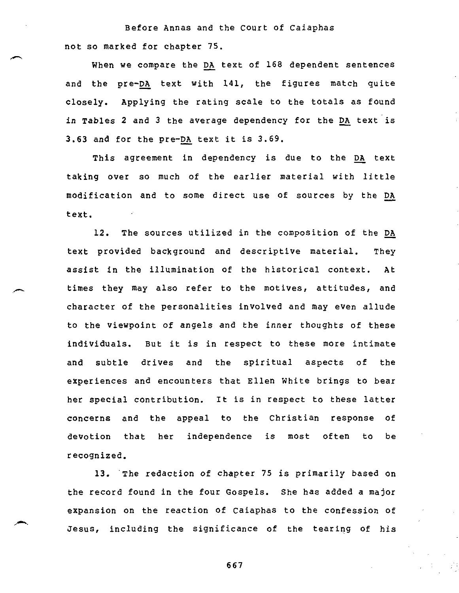Before Annas and the Court of Caiaphas not so marked for chapter 75.

When we compare the DA text of 168 dependent sentences and the pre-DA text with 141, the figures match quite closely. Applying the rating scale to the totals as found in Tables 2 and 3 the average dependency for the DA text is 3.63 and for the pre-DA text it is 3.69.

This agreement in dependency is due to the DA text taking over so much of the earlier material with little modification and to some direct use of sources by the DA text.

12. The sources utilized in the composition of the DA text provided background and descriptive material. They assist in the illumination of the historical context. At times they may also refer to the motives, attitudes, and character of the personalities involved and may even allude to the viewpoint of angels and the inner thoughts of these individuals. But it is in respect to these more intimate and subtle drives and the spiritual aspects of the experiences and encounters that Ellen White brings to bear her special contribution. It is in respect to these latter concerns and the appeal to the Christian response of devotion that her independence is most often to be recognized.

13. The redaction of chapter 75 is primarily based on the record found in the four Gospels. She has added a major expansion on the reaction of Caiaphas to the confession of Jesus, including the significance of the tearing of his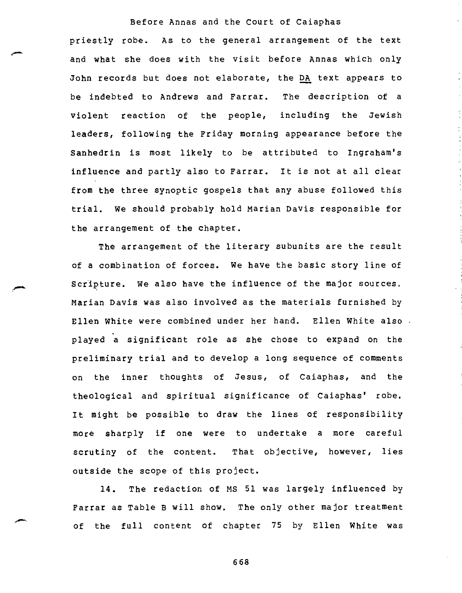priestly robe. As to the general arrangement of the text and what she does with the visit before Annas which only John records but does not elaborate, the DA text appears to be indebted to Andrews and Farrar. The description of a violent reaction of the people, including the Jewish leaders, following the Friday morning appearance before the Sanhedrin is most likely to be attributed to Ingraham's influence and partly also to Farrar. It is not at all clear from the three synoptic gospels that any abuse followed this trial. We should probably hold Marian Davis responsible for the arrangement of the chapter.

The arrangement of the literary subunits are the result of a combination of forces. We have the basic story line of Scripture. We also have the influence of the major sources. Marian Davis was also involved as the materials furnished by Ellen White were combined under her hand. Ellen White also played a significant role as she chose to expand on the preliminary trial and to develop a long sequence of comments on the inner thoughts of Jesus, of Caiaphas, and the theological and spiritual significance of Caiaphas' robe. It might be possible to draw the lines of responsibility more sharply if one were to undertake a more careful scrutiny of the content. That objective, however, lies outside the scope of this project.

14. The redaction of MS 51 was largely influenced by Farrar as Table B will show. The only other major treatment of the full content of chapter 75 by Ellen White was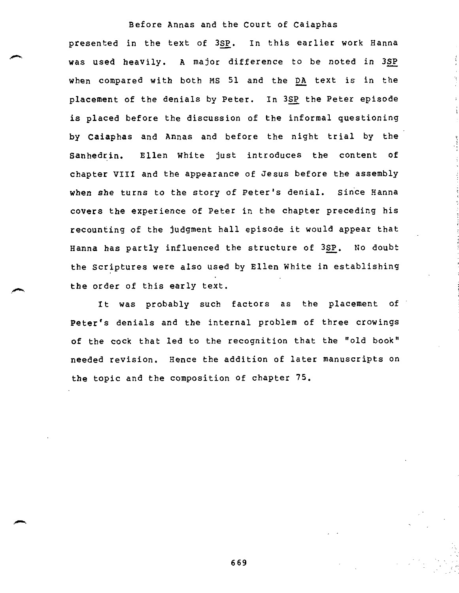presented in the text of 3SP. In this earlier work Hanna was used heavily. A major difference to be noted in 3SP when compared with both MS 51 and the DA text is in the placement of the denials by Peter. In 3SP the Peter episode is placed before the discussion of the informal questioning by Caiaphas and Annas and before the night trial by the Sanhedrin. Ellen White just introduces the content of chapter VIII and the appearance of Jesus before the assembly when she turns to the story of Peter's denial. Since Hanna covers the experience of Peter in the chapter preceding his recounting of the judgment hall episode it would appear that Hanna has partly influenced the structure of 3SP. No doubt the Scriptures were also used by Ellen White in establishing the order of this early text.

It was probably such factors as the placement of Peter's denials and the internal problem of three crowings of the cock that led to the recognition that the "old book" needed revision. Hence the addition of later manuscripts on the topic and the composition of chapter 75.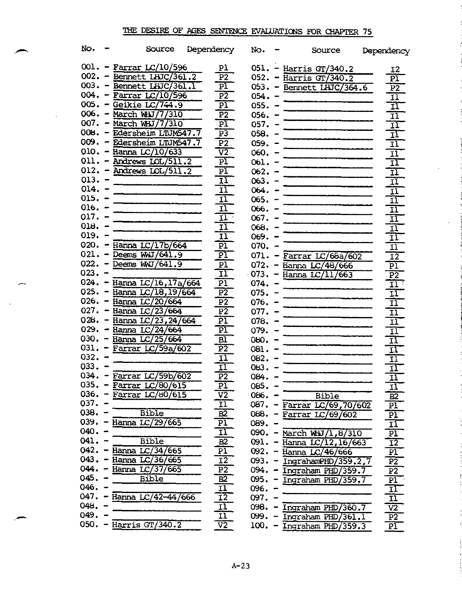| No.       | Source                           | Dependency                 | No.      |                          | Source                      | Dependency                                                                              |
|-----------|----------------------------------|----------------------------|----------|--------------------------|-----------------------------|-----------------------------------------------------------------------------------------|
|           | $001. -$ Farrar LC/10/596        | Pl.                        |          |                          | $051. - Harris GT/340.2$    | 12                                                                                      |
|           | $002. -$ Bennett LHJC/361.2      | P <sub>2</sub>             |          |                          | 052. - Harris GT/340.2      | $\overline{\text{PI}}$                                                                  |
|           | 003. - Bennett LHJC/361.1        | PÏ.                        |          |                          | 053. - Bennett LHJC/364.6   |                                                                                         |
|           | $004. - Farrar LC/10/596$        | $\overline{P2}$            | $054 -$  |                          |                             | $\begin{array}{r} \hline \text{P2} \\ \hline \text{II} \\ \hline \text{II} \end{array}$ |
|           | $005. - Geikie LC/744.9$         | $\overline{P1}$            | $055. -$ |                          |                             |                                                                                         |
|           | 006. - March WHJ/7/310           | $\overline{P2}$            | $056. -$ |                          |                             |                                                                                         |
|           | $007. - March W + J/7/310$       | $\overline{\text{PI}}$     | $057. -$ |                          |                             | $\overline{11}$<br>$\Pi$                                                                |
|           | 008. - Edersheim LTUM547.7       | $\overline{P3}$            | $058. -$ |                          |                             | $\overline{\mathbf{1}}$                                                                 |
|           | 009. - Edersheim LTUM547.7       | $\overline{P2}$            | $059. -$ |                          |                             |                                                                                         |
|           | $010. -$ Hanna LC/10/633         | $\overline{v}$             | $060 -$  |                          |                             | $\overline{11}$                                                                         |
|           | $011. -$ Andrews $LOL/511.2$     | $\overline{\text{PI}}$     | $061. -$ |                          |                             | $\overline{\mathbf{u}}$                                                                 |
|           | $012. -$ Andrews $LOL/511.2$     | ΡÏ                         | $062 -$  |                          |                             | $\overline{\mathbf{1}}$                                                                 |
| $013. -$  |                                  | ΙÏ                         |          |                          |                             | $\frac{1}{11}$                                                                          |
| $014. -$  |                                  | IJ                         | $063 -$  |                          |                             |                                                                                         |
| $015. -$  |                                  | īĪ                         | $064. -$ |                          |                             | $\overline{\mathbf{H}}$                                                                 |
| $016. -$  |                                  | $\overline{\mathbf{1}}$    | $065. -$ |                          |                             | īI                                                                                      |
| $017. -$  |                                  |                            | $066. -$ |                          |                             | $\overline{\mathbf{11}}$                                                                |
| $018. -$  |                                  | $11 -$                     | $067. -$ |                          |                             | īĪ                                                                                      |
| $019. -$  |                                  | ĪĪ                         | $068. -$ |                          |                             | $\overline{\mathbf{11}}$                                                                |
|           | $020. -$ Hanna LC/17b/664        | IÏ                         | $069. -$ |                          |                             | $\overline{11}$                                                                         |
|           | $021. -$ Deems WWJ/641.9         | $\overline{P1}$            | $070. -$ |                          |                             | $\overline{\mathtt{II}}$                                                                |
|           |                                  | $\overline{\text{PI}}$     |          |                          | $071. -$ Farrar LC/68a/602  | $\overline{12}$                                                                         |
| $023 - -$ | $022. -$ Deems WWJ/641.9         | P <sub>1</sub>             |          |                          | $072 -$ Hanna LC/48/666     | $\overline{PI}$                                                                         |
|           |                                  | $\overline{11}$            |          |                          | $-073. -$ Hanna LC/11/663   | $\overline{P2}$                                                                         |
|           | 024. - Hanna LC/16, 17a/664      | $\overline{P1}$            | $074. -$ |                          |                             | $\overline{11}$ .                                                                       |
|           | 025. - Hanna LC/18, 19/664       | $\overline{P2}$            | $075. -$ |                          |                             | IJ                                                                                      |
|           | 026. - Hanna $LC/20/664$         | $\overline{P2}$            | $076. -$ |                          |                             | $\overline{\mathbf{1}}$                                                                 |
|           | 027. – Hanna LC/23/664           | $\overline{P2}$            | $077. -$ |                          |                             | $\overline{11}$                                                                         |
|           | 028. – Hanna $LC/23, 24/664$     | PI                         | $078. -$ |                          |                             | $\overline{\mathbf{u}}$                                                                 |
|           | 029. - Hanna $LC/24/664$         | $\overline{PI}$            | $079. -$ |                          |                             | $\overline{\mathbf{11}}$                                                                |
|           | 030. – Hanna LC/25/664           | Bl                         | $080 -$  |                          |                             | īĪ                                                                                      |
|           | 031. - Farrar LC/59a/602         | $\overline{P2}$            | $081. -$ |                          |                             | $\frac{1}{11}$                                                                          |
| $032 -$   |                                  | $\overline{\mathbf{1}}$    | $082 -$  |                          |                             |                                                                                         |
| 033.      |                                  | $\overline{11}$            | 083.     |                          |                             | $\Pi$                                                                                   |
|           | 034. - Farrar LC/59b/602         | $\overline{P}2$            | 084.     |                          |                             | $\overline{\mathbf{1}}$                                                                 |
| 035.      | Farrar LC/80/615                 | P1                         | $085.$ . |                          |                             | 11                                                                                      |
|           | $036. - \text{Farrar LC}/80/615$ | V2                         | 086.     |                          | <b>Bible</b>                | B2                                                                                      |
| 037.      |                                  | 11                         | 087.     | $\overline{\phantom{m}}$ | Farrar LC/69,70/602         | $\overline{\text{PI}}$                                                                  |
| $038. -$  | <b>Bible</b>                     | B2                         | 088.     | $\overline{\phantom{a}}$ | Farrar $LC/69/602$          | $\overline{\mathbf{p1}}$                                                                |
|           | 039. – Hanna LC/29/665           | $\overline{P}1$            | 089. -   |                          |                             | $\mathbf{I}$                                                                            |
| $040 -$   |                                  | 11                         | $090 -$  |                          | March WHJ/1,8/310           | $\overline{P}$                                                                          |
| $041. -$  | <b>Bible</b>                     | B2                         | 091.     |                          | Hanna $LC/12, 16/663$       | $\overline{12}$                                                                         |
| $042 -$   | Hanna LC/34/665                  | P1                         |          |                          | 092. - Hanna LC/46/666      | $\overline{\text{PI}}$                                                                  |
|           | 043. - Hanna LC/36/665           | 12                         | 093.     |                          | IngrahamPHD/359.2,7         | P <sub>2</sub>                                                                          |
|           | 044. - Hanna $LC/37/665$         | $\overline{P2}$            | 094.     |                          | Ingraham PHD/359.7          | $\overline{P}$                                                                          |
| $045. -$  | <b>Bible</b>                     | $\overline{B2}$            | 095.     |                          | Ingraham PHD/359.7          | PI                                                                                      |
| $046. -$  |                                  | 11                         | 096.     |                          |                             | <u>11</u>                                                                               |
|           | 047. - Hanna LC/42-44/666        | $\overline{1}\overline{2}$ | 097.     |                          |                             | $\overline{11}$                                                                         |
| 048.      |                                  | īĪ                         | 098.     |                          | Ingraham PHD/360.7          | $\overline{v}$                                                                          |
| 049.      |                                  | 11                         | 099.     |                          | Ingraham PHD/361.1          | $\overline{P2}$                                                                         |
|           | 050. - Harris $GT/340.2$         | $\overline{v2}$            |          |                          | $100. - Ingraham$ PHD/359.3 | PI                                                                                      |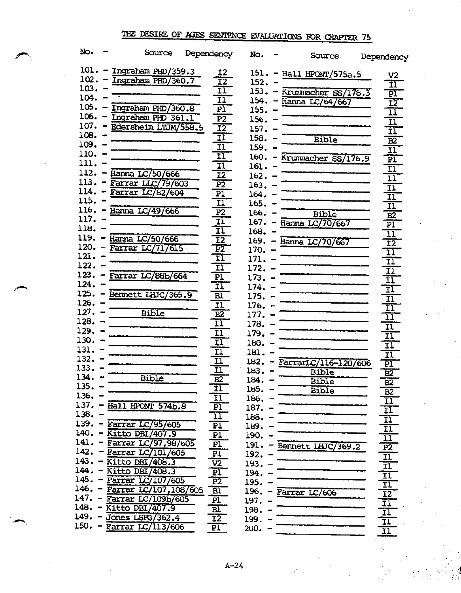| No.          | Source                     | Dependency                        | No.          | Source                   | Dependency                                 |
|--------------|----------------------------|-----------------------------------|--------------|--------------------------|--------------------------------------------|
| 101.         | Ingraham PHD/359.3         | <b>I2</b>                         |              | 151. - Hall HPONT/575a.5 |                                            |
| 102.         | Ingraham PHD/360.7         | $\overline{\mathtt{I2}}$          | 152.         |                          | V <sub>2</sub><br>$\overline{\mathtt{11}}$ |
| 103.         |                            | ĪΙ                                | 153.         | Krummacher SS/178.3      |                                            |
| 104.         |                            | $\overline{\mathbf{1}}$           | 154.         | Hanna LC/647667          | $\overline{\text{PI}}$                     |
| 105.         | Ingraham PHD/360.8         | PI                                | 155.         |                          | $\overline{12}$                            |
| $106. -$     | Ingraham PHD 361.1         | $\overline{P2}$                   | 156.         |                          | $\overline{11}$                            |
| $107. -$     | Edersheim LTUM/558.5       | $\overline{12}$                   | 157.         |                          | $\overline{\mathbf{n}}$                    |
| $108. -$     |                            | $\overline{\mathbf{11}}$          | 158.         | <b>Bible</b>             | $\overline{\mathbf{11}}$                   |
| 109. -       |                            | $\overline{\mathbf{11}}$          | 159.         |                          | $\overline{B2}$<br>$\overline{\mathbf{u}}$ |
| 110.         |                            | $\overline{\mathbf{1}}$           | $160. -$     | Krummacher SS/176.9      | $\overline{P1}$                            |
| 111.         |                            | $\overline{11}$                   | $161. -$     |                          |                                            |
| 112.         | Hanna LC/50/666            | $\overline{12}$                   | 162.         |                          | ΪĪ<br>$\overline{\mathbf{1}}$              |
| 113.         | Farrar LLC/79/603          | $\overline{P2}$                   | 163.         |                          |                                            |
| 114.         | Farrar LC/62/604           | $\overline{P}$                    | 164.         |                          | $\frac{\Pi}{\Pi}$                          |
| 115.         |                            | $\overline{\mathbf{1}}$           | 165.         |                          | $\overline{\mathbf{1}}$                    |
| $116. -$     | Hanna LC/49/666            | $\overline{P2}$                   | 166.         | Bible                    |                                            |
| 117.         |                            | $\overline{\mathbf{1}}$           | $167. -$     | Hanna LC/70/667          | $\overline{B2}$<br>$\overline{\mathbf{p}}$ |
| 118.         |                            | $\overline{\mathbf{11}}$          | 168.         |                          | $\overline{\mathtt{II}}$                   |
| 119.         | Hanna LC/50/666            | $\overline{12}$                   | $169. -$     | Hanna LC/70/667          | $\overline{12}$                            |
| $120. -$     | <b>Farrar LC/717615</b>    | $\overline{P2}$                   | 170.         |                          | ĪΙ                                         |
| $121. -$     |                            | $\overline{\mathbf{1}}$           | 171.         |                          | $\overline{\mathbf{11}}$                   |
| $122. -$     |                            | īī                                | 172.         |                          | $\overline{\mathbf{11}}$                   |
| $123. -$     | Farrar LC/88b/664          | $\overline{P1}$                   | 173.         |                          | $\overline{\mathbf{11}}$                   |
| $124. -$     |                            | $\overline{\mathbf{1}}$           | 174.         |                          | $\overline{\mathbf{11}}$                   |
| $125. -$     | Bennett IHJC/365.9         | $\overline{\mathtt{Bl}}$          | 175.         |                          | Ξī                                         |
| $126. -$     |                            | $\overline{\mathbf{1}}$           | 176.         |                          | $\overline{11}$                            |
| $127. -$     | Bible                      | $\overline{B2}$                   | 177.         |                          | $\overline{\mathtt{II}}$                   |
| 128.<br>129. |                            | $\overline{\mathbf{11}}$          | 178.         |                          | $\overline{\mathfrak{u}}$                  |
| 130.         |                            | $\overline{\mathbf{1}}$           | 179.         |                          | $\overline{\mathbf{11}}$                   |
| 131.         |                            | $\overline{11}$                   | 180.         |                          | $\overline{11}$                            |
| 132.         |                            | $\overline{\mathbf{1}}$           | 181.         |                          | $\overline{\mathbf{1}}$                    |
| 133.         |                            | $\overline{\mathbf{1}}$           | $182. -$     | FarrarLC/116-120/606     | $\overline{\text{PI}}$                     |
| 134.         | <b>Bible</b>               | $\overline{1}$<br>$\overline{B2}$ | 183.         | <b>Bible</b>             | $\overline{B2}$                            |
| 135.         |                            |                                   | 184.         | Bible                    | B2                                         |
| $136. -$     |                            | 11<br>11                          | 185.         | Bible                    | <u>B2</u>                                  |
| $137. -$     | Hall HPONT 574b.8          | P1                                | 186.<br>187. |                          | $\overline{11}$                            |
| 138.         |                            | $\overline{\mathbf{1}}$           | 188.         |                          | <u>II</u>                                  |
| $139. -$     | <b>Farrar LC/95/605</b>    | P <sub>1</sub>                    | 189.         |                          | $\overline{\mathbf{u}}$                    |
| $140. -$     | Kitto DBI/407.9            | P1                                | 190.         |                          | $\frac{11}{11}$<br>$\frac{11}{12}$         |
| $141. -$     | Farrar LC/97,98/605        | $\overline{P}$                    | 191.         | Bennett LHJC/369.2       |                                            |
| $142. -$     | <b>Farrar LC/101/605</b>   | $\overline{\texttt{PI}}$          | 192.         |                          |                                            |
| $143. -$     | Kitto DBI/408.3            | $\overline{v}$                    | 193.         |                          | $\overline{\mathbf{11}}$                   |
| $144. -$     | Kitto DBI/408.3            | $\overline{P1}$                   | 194.         |                          | $\overline{11}$                            |
| $145. -$     | Farrar LC/107/605          | $\overline{P2}$                   | 195.         |                          |                                            |
| $146. -$     | Farrar LC/107, 108/605     | BL                                | 196.         | Farrar LC/606            | $\frac{11}{11}$<br>$\frac{12}{12}$         |
| $147. -$     | Farrar LC/109b/605         | PI                                | 197.         |                          | $\overline{11}$                            |
|              | 148. - Kitto DBI/407.9     | $\overline{B}$                    | 198.         |                          | $\overline{\mathbf{11}}$                   |
|              | 149. - Jones LSFG/362.4    | $\overline{12}$                   | 199.         |                          | ΙĪ                                         |
|              | 150. - Farrar $LC/113/606$ | PI                                | 200.         |                          | īī                                         |
|              |                            |                                   |              |                          |                                            |

A-24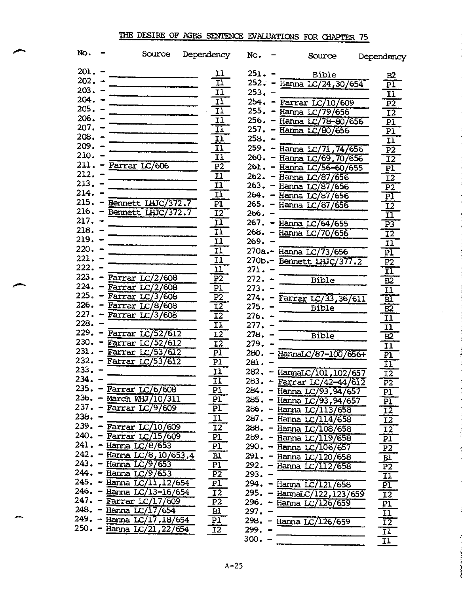| No.      | Source                                    | Dependency                 | No.      | Source                        | Dependency               |
|----------|-------------------------------------------|----------------------------|----------|-------------------------------|--------------------------|
| $201 -$  |                                           | 11                         | $251 -$  | Bible                         | в2                       |
| $202 -$  |                                           | $\overline{\mathbf{11}}$   |          | 252. - Hanna LC/24,30/654     | $\overline{\text{PI}}$   |
| $203. -$ |                                           | $\overline{11}$            | $253 -$  |                               | $\overline{\mathtt{II}}$ |
| $204. -$ |                                           | $\overline{\mathbf{H}}$    |          | $254. -$ Farrar LC/10/609     | $\overline{P2}$          |
| $205. -$ |                                           | $\overline{11}$            |          | 255. - Hanna LC/79/656        | $\overline{12}$          |
| $206. -$ |                                           | 11                         |          | 256. - Hanna LC/78-80/656     | $\overline{bI}$          |
| $207. -$ |                                           | 11                         |          | 257. - Hanna LC/80/656        | $\overline{P1}$          |
| $208. -$ |                                           | $\overline{\mathbf{H}}$    | $258. -$ |                               | $\overline{\mathtt{H}}$  |
| $209. -$ |                                           | $\overline{11}$            |          | 259. – Hanna LC/71,74/656     | $\overline{P2}$          |
| 210. –   |                                           | $\overline{11}$            |          | 260. - Hanna LC/69, 70/656    | $\overline{12}$          |
|          | $211.$ - Farrar $LC/606$                  | $\overline{P2}$            |          | 261. - Hanna LC/56-60/655     | $\overline{\text{PI}}$   |
| $212. -$ |                                           | 11                         |          | 262. - Hanna LC/87/656        | 12                       |
| $213. -$ |                                           | I <sub>1</sub>             |          | 263. - Hanna LC/87/656        | $\overline{P2}$          |
| $214. -$ |                                           | $\overline{\mathbf{11}}$   |          | 264. - Hanna LC/87/656        | $\overline{\text{PI}}$   |
|          | 215. - Bennett IHJC/372.7                 | P1                         |          | 265. - Hanna LC/87/656        | $\overline{12}$          |
|          | 216. - Bennett IHJC/372.7                 | $\overline{12}$            | $266. -$ |                               | $\overline{\mathbf{u}}$  |
| $217. -$ |                                           | $\overline{\mathbf{u}}$    |          | 267. – Hanna LC/64/655        | $\overline{P3}$          |
| $218. -$ |                                           | Il                         |          | 268. - Hanna LC/70/656        | $\overline{12}$          |
| $219. -$ |                                           | $\overline{\mathbf{u}}$    | 269. –   |                               | 11                       |
| $220. -$ |                                           | Il                         |          | 270a.- Hanna LC/73/656        | $\overline{\text{PI}}$   |
| 221.     |                                           | $\overline{11}$            |          | 270b.- Bennett LHJC/377.2     | $\overline{P2}$          |
| $222 -$  |                                           | $\overline{\mathbf{1}}$    | $271. -$ |                               | $\overline{\mathtt{II}}$ |
| $223. -$ | Farrar $LC/2/608$                         | $\overline{P2}$            | $272. -$ | Bible                         | $\overline{B2}$          |
| $224. -$ | Farrar $LC/2/608$                         | PI                         | $273. -$ |                               | $\overline{11}$          |
| $225. -$ | Farrar $LC/3/608$                         | $\overline{P2}$            |          | $274. -$ Farrar LC/33, 36/611 | $\overline{\mathtt{Bl}}$ |
| $226. -$ | Farrar LC/8/608                           | $\overline{12}$            | $275. -$ | Bible                         | $\overline{B2}$          |
|          | $227. - Farrar LC/3/608$                  | $\overline{12}$            | $276. -$ |                               | $\overline{\mathbf{u}}$  |
| 228.     |                                           | $\overline{\mathbf{1}}$    | 277.     |                               | $\overline{\mathbf{11}}$ |
| $229. -$ | Farrar LC/52/612                          | $\overline{12}$            | 278.     | Bible                         | $\overline{B2}$          |
|          | 230. - Farrar LC/52/612                   | $\overline{1}\overline{2}$ | 279.     |                               | $\overline{\mathtt{II}}$ |
|          | $231. -$ Farrar $LC/53/612$               | $\overline{\text{PI}}$     |          | $280. -$ HannaLC/87-100/656+  | $\overline{\text{PI}}$   |
|          | 232. - Farrar LC/53/612                   | PI                         | 281.     |                               | $\overline{11}$          |
| 233.     |                                           | 11                         | 282.     | - HannaLC/101, 102/657        | $\overline{12}$          |
| 234.     |                                           | $\overline{\mathbf{1}}$    | 283.     | Farrar LC/42-44/612           | $\overline{P2}$          |
| 235.     | Farrar LC/6/608                           | $\overline{PI}$            | 284.     | Hanna LC/93,94/657            | P1                       |
|          | 236. - March MHJ/10/311                   | P1                         |          | 285. - Hanna LC/93,94/657     | PI                       |
| $236. -$ | $237. - Farrar LC/9/609$                  | $\overline{b}$             |          | 286. - Hanna LC/113/658       | $\overline{12}$          |
| $239. -$ |                                           | <u>11</u>                  |          | 287. - Hanna LC/114/658       | $\overline{12}$          |
| $240 -$  | Farrar $LC/10/609$                        | <u>12</u>                  | $288. -$ | Hanna LC/108/658              | $\overline{12}$          |
|          | Farrar $LC/15/609$                        | $\overline{P}$             | $289. -$ | Hanna $LC/119/658$            | $\overline{\text{PI}}$   |
| $242 -$  | 241. - Hanna LC/8/653                     | Pl                         | $290 -$  | Hanna LC/106/657              | $\overline{P2}$          |
| $243 -$  | Hanna LC/8, 10/653,4<br>Hanna $LC/9/653$  | <b>Bl</b>                  |          | 291. - Hanna LC/120/658       | B1                       |
| $244. -$ |                                           | $\overline{P1}$            |          | 292. - Hanna LC/112/658       | P2                       |
| $245. -$ | Hanna $LC/9/653$<br>Hanna $LC/11, 12/654$ | $\overline{P2}$            | $293. -$ |                               | $\overline{\mathbf{11}}$ |
| $246. -$ | Hanna LC/13-16/654                        | Pl<br>12                   |          | 294. - Hanna LC/121/658       | $\overline{P1}$          |
|          | 247. - Farrar $LC/17/609$                 | $\overline{P}$             |          | 295. - HannaLC/122, 123/659   | $\overline{12}$          |
|          | 248. - Hanna LC/17/654                    | <b>Bl</b>                  | 297.     | 296. - Hanna LC/126/659       | $\mathbf{p}$             |
|          | 249. - Hanna LC/17, 18/654                | PI)                        |          |                               | $\boxed{11}$             |
|          | 250. - Hanna LC/21, 22/654                | $\overline{12}$            | 299. -   | 298. - Hanna LC/126/659       | $\overline{12}$          |
|          |                                           |                            | 300.     |                               | $\overline{\mathbf{u}}$  |
|          |                                           |                            |          |                               | $\overline{\mathbf{H}}$  |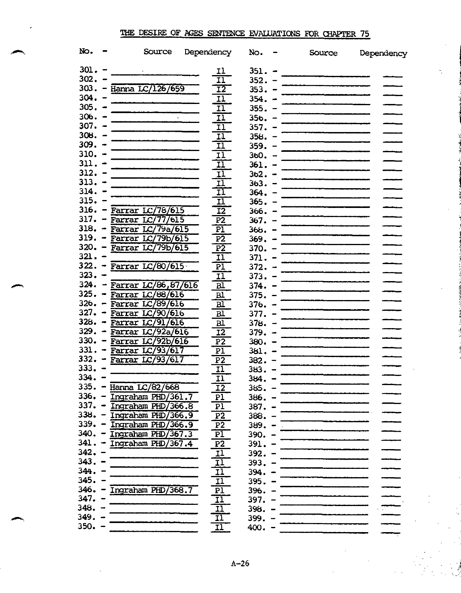| No.      | Source                                 | Dependency               | No.      | Source                                                                                                                                                                                                                               | Dependency |
|----------|----------------------------------------|--------------------------|----------|--------------------------------------------------------------------------------------------------------------------------------------------------------------------------------------------------------------------------------------|------------|
| $301. -$ |                                        | 11                       | $351. -$ |                                                                                                                                                                                                                                      |            |
| $302. -$ |                                        | $\overline{\mathbf{1}}$  | $352. -$ |                                                                                                                                                                                                                                      |            |
|          | 303. - Hanna LC/126/659                | $\overline{12}$          | $353. -$ |                                                                                                                                                                                                                                      |            |
| $304. -$ |                                        | <u>11</u>                | $354. -$ | —————————————————                                                                                                                                                                                                                    |            |
| $305. -$ |                                        | $\overline{\mathbf{1}}$  | $355. -$ |                                                                                                                                                                                                                                      |            |
| $306. -$ |                                        |                          |          |                                                                                                                                                                                                                                      |            |
| $307. -$ |                                        | $\overline{11}$          | $356. -$ |                                                                                                                                                                                                                                      |            |
| $308. -$ |                                        | $\overline{11}$          | $357. -$ |                                                                                                                                                                                                                                      |            |
| $309. -$ |                                        | 11                       | $358. -$ |                                                                                                                                                                                                                                      |            |
|          |                                        | IÏ                       | $359. -$ | <u> The Common State of the Common State of the Common State of the Common State of the Common State of the Common State of the Common State of the Common State of the Common State of the Common State of the Common State of </u> |            |
| $310. -$ |                                        | ΙÏ                       | $360. -$ |                                                                                                                                                                                                                                      |            |
| $311. -$ |                                        | <u>11</u>                | $361. -$ |                                                                                                                                                                                                                                      |            |
| $312. -$ |                                        | <u>11</u>                | $362. -$ |                                                                                                                                                                                                                                      |            |
| $313. -$ |                                        | IÏ                       | $363. -$ |                                                                                                                                                                                                                                      |            |
| $314. -$ |                                        | II                       | $364. -$ |                                                                                                                                                                                                                                      |            |
| $315. -$ |                                        | IÏ                       | $365. -$ |                                                                                                                                                                                                                                      |            |
|          | 316. - Farrar LC/78/615                | $\overline{12}$          | $366. -$ |                                                                                                                                                                                                                                      |            |
|          | $317. -$ Farrar LC/77/615              | $\overline{P2}$          | $367. -$ |                                                                                                                                                                                                                                      |            |
|          | 318. - Farrar LC/79a/615               | PÏ                       | $368. -$ |                                                                                                                                                                                                                                      |            |
|          | 319. - Farrar LC/79b/615               | $\overline{P2}$          | $369. -$ |                                                                                                                                                                                                                                      |            |
|          | 320. - Farrar LC/79b/615               | $\overline{P2}$          | $370. -$ |                                                                                                                                                                                                                                      |            |
| $321 -$  |                                        | $\overline{11}$          | $371. -$ |                                                                                                                                                                                                                                      |            |
|          | $322. -$ Farrar LC/80/615              | <u>PÏ</u>                | $372 -$  |                                                                                                                                                                                                                                      |            |
| $323 -$  |                                        | $\overline{11}$          | $373. -$ |                                                                                                                                                                                                                                      |            |
|          | 324. - Farrar $LC/86, 87/616$          | $\overline{\mathtt{Bl}}$ | $374. -$ |                                                                                                                                                                                                                                      |            |
|          | $325. - \overline{Farrar LC/88/616}$   | <u>Bl</u>                | $375. -$ | ______________________                                                                                                                                                                                                               |            |
|          | 326. – Farrar LC/89/616                | BÏ                       | $376. -$ | _____________________                                                                                                                                                                                                                |            |
|          | 327. - Farrar LC/90/616                | $\overline{\mathtt{Bl}}$ | $377. -$ |                                                                                                                                                                                                                                      |            |
|          | $328. -$ Farrar LC/91/616              | B1                       | $378. -$ |                                                                                                                                                                                                                                      |            |
|          | 329. - Farrar LC/92a/616               | $\overline{12}$          |          |                                                                                                                                                                                                                                      |            |
|          | 330. - Farrar LC/92b/616               |                          | $379. -$ |                                                                                                                                                                                                                                      |            |
|          | 331. - Farrar LC/93/617                | $\overline{P}$           | $380 -$  |                                                                                                                                                                                                                                      |            |
|          | $332. -$ Farrar LC/93/617              | P <sub>1</sub>           | $381. -$ |                                                                                                                                                                                                                                      |            |
| $333. -$ |                                        | $\overline{P2}$          | $382 -$  |                                                                                                                                                                                                                                      |            |
| 334.     |                                        | $\overline{11}$          | 383.     |                                                                                                                                                                                                                                      |            |
|          |                                        | 11                       | 384.     |                                                                                                                                                                                                                                      |            |
| 335.     | Hanna LC/82/668                        | $\overline{12}$          | 385.     |                                                                                                                                                                                                                                      |            |
|          | 336. - Ingraham PHD/361.7              | P <sub>1</sub>           | $386. -$ |                                                                                                                                                                                                                                      |            |
|          | 337. - Ingraham PHD/366.8              | P1                       | $387. -$ |                                                                                                                                                                                                                                      |            |
|          | $338. - \overline{Ingraham PhD}/366.9$ | P <sub>2</sub>           | $388. -$ |                                                                                                                                                                                                                                      |            |
| $339. -$ | Ingraham PHD/366.9                     | P <sub>2</sub>           | $389. -$ | ________________                                                                                                                                                                                                                     |            |
|          | 340. - Ingraham PHD/367.3              | $\overline{P}1$          | $390. -$ |                                                                                                                                                                                                                                      |            |
|          | 341. - Ingraham PHD/367.4              | P <sub>2</sub>           | $391. -$ |                                                                                                                                                                                                                                      |            |
| $342. -$ |                                        | <u>11</u>                | $392. -$ |                                                                                                                                                                                                                                      |            |
| $343. -$ |                                        | <u>11</u>                | $393. -$ |                                                                                                                                                                                                                                      |            |
| $344. -$ |                                        | 11                       | $394. -$ |                                                                                                                                                                                                                                      |            |
| $345. -$ |                                        | 11                       | $395. -$ |                                                                                                                                                                                                                                      |            |
| $346. -$ | Ingraham PHD/368.7                     | b <sub>T</sub>           | $396. -$ |                                                                                                                                                                                                                                      |            |
| $347. -$ |                                        | $\overline{11}$          | $397. -$ |                                                                                                                                                                                                                                      |            |
| $348. -$ |                                        | 11                       | $398. -$ |                                                                                                                                                                                                                                      |            |
| $349. -$ |                                        | 11                       | $399. -$ |                                                                                                                                                                                                                                      |            |
| $350. -$ |                                        | $\overline{\mathbf{11}}$ | $400 -$  |                                                                                                                                                                                                                                      |            |
|          |                                        |                          |          |                                                                                                                                                                                                                                      |            |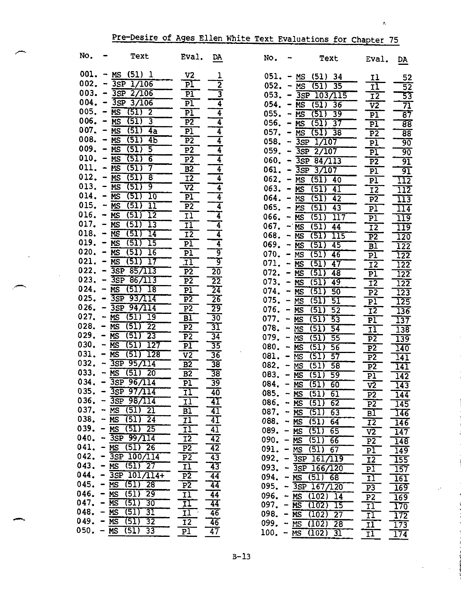| No.                    |                      | Text                                | Eval.                    | <u>DA</u>                          | No.                    | Text                                         | Eval.                   | DA.              |
|------------------------|----------------------|-------------------------------------|--------------------------|------------------------------------|------------------------|----------------------------------------------|-------------------------|------------------|
| 001.                   |                      | $- MS$ (51) 1                       | $_{\rm V2}$              |                                    |                        |                                              |                         |                  |
| 002.                   |                      | $-3SP$ 1/106                        | $\overline{\text{Pl}}$   | $\overline{2}$                     | $051. - MS$            | (51) 34                                      | 11                      | 52               |
|                        |                      | $003. - 3SP$ 2/106                  |                          |                                    | $052. - MS$            | $\overline{35}$<br>(51)                      | 11                      | $\overline{52}$  |
|                        |                      |                                     | PI                       | 3                                  | 053.                   | $-3SP$ 103/115                               | I <sub>2</sub>          | 53               |
|                        |                      | $004. - 3SP$ 3/106                  | P <sub>1</sub>           | 4                                  | 054.                   | $\overline{(51)}$<br>$- MS$<br>36            | V <sub>2</sub>          | 71               |
| $005. - MS$            |                      | (51)<br>$\overline{\mathbf{2}}$     | $\overline{P1}$          | $\overline{4}$                     | 055.                   | (51)<br>39<br>$- MS$                         | P1                      | $\overline{87}$  |
| $006. - MS$            |                      | $\sqrt{51}$<br>3                    | $\overline{P2}$          | 4                                  | $056. - MS$            | (51)<br>37                                   | P1                      | $\overline{88}$  |
| $007. - MS$            |                      | (51)<br>4a                          | P1                       | $\overline{\bf{4}}$                | $057. - \overline{MS}$ | (51)<br>$\overline{38}$                      | P <sub>2</sub>          | 88               |
| $008. - \overline{MS}$ |                      | (51)<br>4 <sub>b</sub>              | $\overline{P2}$          | 4                                  | $058. -$               | $3SP$ $1/107$                                | P1                      | $90^{\circ}$     |
| $009. - MS$            |                      | (51)<br>$\overline{\mathbf{5}}$     | P <sub>2</sub>           | 4                                  |                        | $059. - 3SP$ 2/107                           | P1                      | 90               |
| $010. - \overline{MS}$ |                      | (51)<br>$\overline{6}$              | $\overline{P2}$          | 4                                  |                        | $060. - 3SP 84/113$                          | $\overline{P2}$         | 91               |
| 011.                   |                      | 7<br>(51)<br>$- MS$                 | B <sub>2</sub>           | 4                                  |                        | $061. - \overline{3SP} \overline{3/107}$     | P1                      | 91               |
| 012.                   |                      | (51)<br>$- MS$<br>8                 | <b>I2</b>                | 4                                  | $062. - \overline{MS}$ | $(51)$ 40                                    | PI                      | $\overline{112}$ |
| 013.                   |                      | (51)<br>9<br>$- MS$                 | $\overline{v}$           | 4                                  | $063. - MS$            | (51)<br>41                                   | $\overline{12}$         | 112              |
| 014.                   | - MS                 | (51)<br>10                          | $\overline{P}$           | 4                                  | $064. - MS$            | (51)<br>42                                   | P <sub>2</sub>          | $\overline{113}$ |
| $015. - MS$            |                      | (51)<br>11                          | $\overline{P2}$          | 7                                  | $065. - MS$            | $\overline{(51)}$<br>43                      | $\overline{P}1$         | $\overline{114}$ |
|                        |                      | $016. - MS(51)$<br>12               | 11                       | $\overline{4}$                     | $066. - MS$            | (51)<br>117                                  | PI                      | $\overline{119}$ |
|                        |                      | $017. - MS (51)$<br>13              | <u>11</u>                | 4                                  | $067. - NS$            | (51)<br>44                                   | $\overline{12}$         | $\overline{119}$ |
|                        |                      | $018. - \overline{MS}$ (51)<br>14   | $\overline{12}$          | 4                                  | $068. - MS$            | (51)<br>115                                  | $\overline{P2}$         | 120              |
| $019. - MS$            |                      | (51)<br>15                          | PI                       | 4                                  | 069.                   | (51)<br>45<br>$- MS$                         | B1                      | 122              |
|                        |                      | $020. - MS(51)$<br>16               | P1                       | ब्र                                | $070. - \overline{MS}$ | 46<br>(51)                                   |                         | $\overline{122}$ |
|                        |                      | $021. - MS (51)$<br>17              | $\overline{\mathbf{11}}$ | ब्र                                | $071. -$               | 47<br>(51)<br>MS                             | P1                      | 122              |
|                        |                      | $022. - 3SP 85/113$                 | $\overline{P2}$          | $\overline{20}$                    | $072. - MS$            | (51)<br>48                                   | I <sub>2</sub>          |                  |
|                        |                      | $023. - 3SP 86/113$                 | $\overline{P2}$          | $\overline{2}\overline{2}$         | $073. - MS$            | 49<br>(51)                                   | P1                      | $\overline{122}$ |
|                        |                      | $024. - MS (51)$<br>18              | $\overline{P1}$          | $\overline{24}$                    | $074. -$               | (51)                                         | $\overline{12}$         | $\overline{122}$ |
|                        |                      | $025. - 3SP 93/114$                 | $\overline{P2}$          | $\overline{26}$                    | $075. - MS$            | 50<br>MS                                     | P <sub>2</sub>          | $\overline{123}$ |
|                        |                      | $026. - 3SP 94/114$                 | P <sub>2</sub>           | $\overline{29}$                    | $076. - MS$            | (51)<br>51                                   | P <sub>1</sub>          | $\overline{125}$ |
| $027. - MS$            |                      | (51)<br>19                          | B1                       | 30                                 | 077.                   | (51)<br>$\overline{52}$<br>$\overline{(51)}$ | I <sup>2</sup>          | 136              |
| $028. - MS$            |                      | $\overline{22}$<br>(51)             | $\overline{P2}$          | $\overline{31}$                    | $078. -$               | $- MS$<br>53                                 | PI                      | 137              |
| 029.                   | $- MS$               | $\overline{23}$<br>(51)             | P <sub>2</sub>           | $\overline{34}$                    |                        | (51)<br><b>NS</b><br>54                      | $\overline{11}$         | $\overline{138}$ |
| 030.                   | $-$ MS               | 127<br>(51)                         | P <sub>1</sub>           | 35                                 | $079. -$               | MS<br>(51)<br>55                             | $\overline{P}$          | $\overline{139}$ |
| 031.                   |                      | 128<br><b>MS</b><br>(51)            | $\overline{v}$           | $\overline{36}$                    | $080 - MS$             | (51)<br>56                                   | $\overline{P2}$         | $\overline{140}$ |
| 032.                   | $\ddot{\phantom{0}}$ | 3SP 95/114                          | B <sub>2</sub>           | $\overline{38}$                    | 081.                   | (51)<br>57<br>$- MS$                         | $\overline{P2}$         | $\overline{141}$ |
| 033.                   |                      | $- MS (51)$<br>20                   | B <sub>2</sub>           | 38                                 | 082.                   | $- MS$<br>(51)<br>58                         | $\overline{P2}$         | $\overline{141}$ |
| 034.                   |                      | 3SP 96/114                          | P1                       | 39                                 | 083.                   | $- MS$<br>(51)<br>59                         | PI                      | $\overline{142}$ |
|                        |                      | $035. - 3SP 97/114$                 | 11                       |                                    |                        | $084. - MS (51)$<br>$-60$                    | $\sqrt{2}$              | $\overline{143}$ |
|                        |                      | $036. - 3SP 98/114$                 | 11                       | 40<br>$\overline{4I}$              |                        | $085. - MS (51)$<br>- 61                     | P <sub>2</sub>          | 144              |
|                        |                      | $037. - MS(51) 21$                  |                          | 41                                 |                        | 086. - $MS$ (51)<br>$-62$                    | $P\overline{2}$         | $\overline{145}$ |
|                        |                      | $038. - MS (51) 24$                 | B1                       | $\overline{41}$                    |                        | $087. - \overline{MS (51)}$<br>$-63$         | B1                      | $\overline{146}$ |
|                        |                      | $039. - MS (51) 25$                 | 11                       | $\overline{41}$                    |                        | $088. - MS$ (51) 64                          | $\overline{12}$         | $\frac{146}{ }$  |
|                        |                      | $040. - 3SP 99/114$                 | 11<br>$\overline{12}$    |                                    |                        | $089. - MS(51)$<br>-65                       | $\overline{v2}$         | 147              |
|                        |                      | $041. - MS (51) 26$                 |                          | $\overline{42}$<br>$\overline{42}$ |                        | $090. - MS(51)$<br>$-66$                     | P <sub>2</sub>          | $\frac{148}{ }$  |
|                        |                      | $042. - 3SP 100/114$                | $\overline{P2}$          |                                    |                        | $091. - \overline{MS}$ (51) 67               | P <sub>1</sub>          | $\frac{1}{149}$  |
|                        |                      | $043. - MS (51) 27$                 | $\overline{P2}$          | 43                                 |                        | $092. - 3SP 161/119$                         | $I\overline{2}$         | $\overline{155}$ |
|                        |                      | $044. - 3SP 101/114+$               | $\overline{11}$          | $\overline{43}$                    |                        | $093. - 3SP 166/120$                         | $\overline{P1}$         | $\overline{157}$ |
|                        |                      | $045. - MS (51)$<br>$\overline{28}$ | $\overline{P2}$          | $\overline{44}$                    |                        | $094. - MS (51) 68$                          | $\overline{11}$         | $\overline{161}$ |
|                        |                      | $046. - MS (51) 29$                 | $\overline{P2}$          | $\overline{44}$                    |                        | $095. - 3SP 167/120$                         | P3                      | 169              |
| $047. - MS$            |                      | 30                                  | $\overline{11}$          | $\overline{44}$                    |                        | $096. - MS (102) 14$                         | P <sub>2</sub>          | $\overline{169}$ |
|                        |                      | (51)                                | 11                       | 44                                 |                        | $097. - MS (102)$<br>$\overline{15}$         | 11                      | $\overline{170}$ |
| $048. - MS$            |                      | (51)<br>$\overline{31}$<br>-32      | 11                       | $\overline{46}$                    |                        | $098. - MS (102)$<br>$\overline{27}$         | I <sub>1</sub>          | $\overline{172}$ |
|                        |                      | $049. - MS (51)$                    | <b>I2</b>                | $\overline{46}$                    |                        | 099. $-$ MS (102) 28                         | I1                      | $\overline{173}$ |
|                        |                      | $050. - MS (51)$<br>33              | P1                       | $\overline{47}$                    |                        | $100. - \overline{MS}$ (102) 31              | $\overline{\mathbf{1}}$ | 174              |

 $\bar{\phantom{a}}$ 

# Pre-Desire of Ages Ellen White Text Evaluations for Chapter 75

 $\bar{\mathcal{S}}$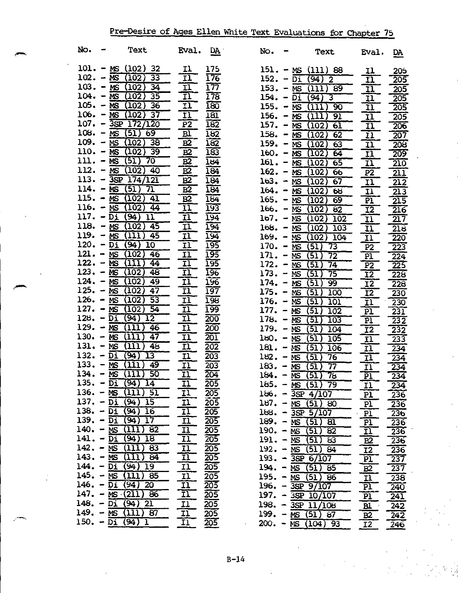| NO.                    | ⊷ | Text                                               | Eval.                                               | DA                | No.                        | $\overline{\phantom{a}}$ | Text                                     | Eval.                                | <u>DA</u>                           |
|------------------------|---|----------------------------------------------------|-----------------------------------------------------|-------------------|----------------------------|--------------------------|------------------------------------------|--------------------------------------|-------------------------------------|
|                        |   | $101 - MS (102) 32$                                | 11                                                  | 175               |                            |                          | $151. - MS (111) 88$                     | 11                                   | 20 <sub>5</sub>                     |
|                        |   | $102. - MS (102) 33$                               | TI.                                                 | <del>176</del>    |                            |                          | $152. - \overline{Di} (94) 2$            | ĪĪ                                   | 205                                 |
|                        |   | $103. - MS (102) 34$                               | $\overline{\mathbf{1}}$                             | 177               |                            |                          | 153. $-$ MS (111) 89                     | <u>11</u>                            | 205                                 |
|                        |   | $104. - MS (102) 35$                               | $\overline{\mathbf{u}}$                             | 178               | $154. - Di$                |                          | (94)3                                    | 11                                   | 205                                 |
|                        |   | $105. - MS (102) 36$                               | $\overline{\mathbf{11}}$                            | $\overline{180}$  | $155. - \overline{MS}$     |                          | $(111)$ 90                               | $\overline{\mathbf{u}}$              | 205                                 |
|                        |   | $106. - MS (102) 37$                               | <u>11</u>                                           | <u>181</u>        | $156. - NS$                |                          | $(\overline{111})$<br>91                 | 11                                   | $\overline{205}$                    |
|                        |   | $107. - 35P 172/120$                               | $\overline{P2}$                                     | 182               |                            |                          | 157. – MS $(102)$<br>$6\overline{1}$     | IJ                                   | $-206$                              |
|                        |   | $108. - MS(51)$<br>69                              | $\underline{\mathtt{Bl}}$                           | <u>182</u>        |                            |                          | 158. – MS $(102)$<br>62                  | <u>11</u>                            | $\overline{207}$                    |
|                        |   | $109. - MS(102)38$                                 | B2                                                  | <u>182</u>        |                            |                          | 159. – MS $(102)$<br>63                  | $\overline{\mathbf{u}}$              | $\overline{208}$                    |
|                        |   | $110. - MS (102) 39$                               | B2                                                  | $\overline{183}$  |                            |                          | $160. - MS (102) 64$                     | $\overline{\mathbf{1}}$              | -209                                |
|                        |   | $111. - MS(51)$<br>- 70                            | B2                                                  | $\overline{164}$  |                            |                          | 161. – MS $(102)$ 65                     | $\overline{\mathbf{u}}$              | $\overline{210}$                    |
|                        |   | 40<br>$112. - MS(102)$                             | $\underline{B2}$                                    | <u>194</u>        |                            |                          | $162. - MS (102) 66$                     | $\overline{P2}$                      | $\overline{211}$                    |
|                        |   | 113. - $3SP$ 174/121                               | B2                                                  | 184               |                            |                          | $163. - MS (102)$<br>-67                 | $\overline{11}$                      | $\overline{212}$                    |
|                        |   | $114. - MS(51)$<br>71                              | B <sub>2</sub>                                      | 184               | $164. - MS$                |                          | $(102)$ 68                               | $\overline{\mathbf{H}}$              | $\overline{213}$                    |
|                        |   | 115. - $MS (102) 41$<br>116. – $MS(102)$           | B2                                                  | 184               |                            |                          | 165. – MS $(102)$<br>69                  | $\overline{\mathbf{P1}}$             | $\overline{215}$                    |
|                        |   | 44<br>$117. - D_1(94)$<br>11                       | $\overline{11}$                                     | 193               |                            |                          | $166. - MS (102)$<br>$\overline{82}$     | $\overline{12}$                      | $\overline{216}$                    |
|                        |   | 118. – MS $(102)$ 45                               | $\overline{\mathbf{u}}$<br>$\overline{\mathbf{11}}$ | 194<br>194        | $167. - MS$                |                          | $\overline{102}$<br>(102)                | $\overline{11}$                      | 217                                 |
|                        |   | 119. $-$ MS (111) 45                               | $\overline{\mathbf{1}}$                             | 194               | $168. - MS$                |                          | (102)<br>103                             | $\overline{\mathbf{u}}$              | 218                                 |
| $120. - \overline{D1}$ |   | $(94)$ 10                                          | $\overline{\mathbf{1}}$                             | <u>195</u>        | $169. - MS$<br>$170. - NS$ |                          | $(102)$ 104<br>73                        | $\overline{\mathbf{u}}$              | $\overline{220}$                    |
|                        |   | $121 - MS (102) 46$                                | $\overline{\mathbf{1}}$                             | 195               | $171. - MS$                |                          | (51)<br>(51)<br>72                       | P <sub>2</sub>                       | $\overline{223}$                    |
| $122 - MS$             |   | $(\overline{1}\overline{1}\overline{1})^-$<br>44   | $\overline{\mathbf{11}}$                            | <u> 195</u>       | $172. - MS$                |                          | $\overline{74}$<br>(51)                  | PI<br>$\overline{P2}$                | $\sqrt{224}$<br>$\overline{225}$    |
|                        |   | 123. – MS $(102)$<br>48                            | $\overline{\mathbf{11}}$                            | I96               | $173. - \overline{MS}$     |                          | $\overline{(51)}$<br>75                  | $\overline{12}$                      | $\overline{228}$                    |
|                        |   | 124. – $MS(102)$<br>49                             | $\overline{\mathbf{11}}$                            | 196               | $174. - NS$                |                          | (51)<br>99                               | $\overline{12}$                      | $\overline{228}$                    |
|                        |   | 125. – MS $(102)$<br>$\overline{47}$               | 五                                                   | 197               | $175. - MS$                |                          | 100<br>(51)                              | $\overline{12}$                      | $\overline{230}$                    |
| $126. - MS$            |   | $\overline{53}$<br>(102)                           | $\frac{\overline{11}}{\overline{11}}$               | $\overline{198}$  | $176. - \overline{MS}$     |                          | (51)<br>101                              | I <sub>1</sub>                       | $\overline{230}$                    |
| 127. – $\overline{MS}$ |   | 54<br>(102)                                        |                                                     | 199               | 177. – $MS$                |                          | (51)<br>102                              | $\overline{PI}$                      | $\sqrt{231}$                        |
| $128. - \overline{D1}$ |   | 12<br>(94)                                         | $\overline{\mathbf{u}}$                             | 200               | 178. – $\overline{MS}$     |                          | 5I)<br><b>103</b>                        | $\overline{\text{PI}}$               | $\overline{232}$                    |
| $129. - \overline{MS}$ |   | 711I)<br>46                                        | $\overline{\mathbf{11}}$                            | $\overline{200}$  | 179. $-$ MS                |                          | (51)<br>104                              | $\overline{12}$                      | $\overline{232}$                    |
| 130. – $\overline{MS}$ |   | 47<br>$\overline{(111)}$                           | $\overline{\mathbf{u}}$                             | 201               | $180. - NS$                |                          | (51)<br>105                              | $\bar{\mathbf{u}}$                   | $\overline{233}$                    |
|                        |   | 131. – MS $(111)$<br>48                            | $\overline{\mathbf{u}}$                             | 202               | $181 - MS$                 |                          | $(51)$ 106                               | $\overline{\mathbf{1}}$              | $\overline{234}$                    |
|                        |   | 132. – Di (94)<br>$\overline{13}$                  | $\frac{\text{I} \text{I}}{\text{I} \text{I}}$       | 203               | $182 - MS$                 |                          | $(51)$ 76                                | $\bar{\mathbf{u}}$                   | $\overline{234}$                    |
|                        |   | 133. $- MS (III)$<br>49                            |                                                     | 203               | $183. - MS$                |                          | (51)<br>$\overline{77}$                  | $\overline{\mathbf{1}}$              | $\overline{234}$                    |
|                        |   | 50<br>$134. - MS(111)$<br>135. – <u>Di (94) 14</u> | $\overline{\mathbf{11}}$                            | 204               | $184. - MS$                |                          | (51) 78                                  | $\overline{\text{PI}}$               | 234                                 |
|                        |   | $136. - MS (111) 51$                               | <u>11</u>                                           | 205<br>205        |                            |                          | $165. - MS(51) 79$                       | <u>11</u>                            | 234                                 |
|                        |   | $137. - D_i (94)$<br>15                            | <u>11</u><br><u>11</u>                              | 205               |                            |                          | $186. - 3SP 4/107$                       | $\overline{PI}$                      | 236                                 |
|                        |   | 138. $-$ Di $(94)$ 16                              | $\overline{\mathbf{1}}$                             | 205               |                            |                          | $187. - MS(51) 80$<br>$188. - 35P 5/107$ | P <sub>1</sub>                       | 236                                 |
|                        |   | 139. $-$ Di (94) 17                                | $\overline{\mathbf{u}}$                             | $\overline{205}$  | $189. - \overline{MS}$     |                          | (51) 81                                  | P1                                   | $\frac{236}{ }$                     |
|                        |   | 140. $-$ MS (111) 82                               | <u>n</u>                                            | 205               | 190. – $MS$                |                          | (51) 82                                  | <u>pl</u><br>$\overline{\mathbf{H}}$ | $\frac{236}{2}$<br>$\overline{236}$ |
|                        |   | 141. $-$ Di (94) 18                                | IJ                                                  | 205               | $191. - MS$                |                          | $(51)$ 63                                | B2                                   | $\overline{236}$                    |
|                        |   | $142. - MS (111) 83$                               | <u>11</u>                                           | 205               |                            |                          | $192. - MS(51) 84$                       | 12                                   | $\frac{236}{ }$                     |
|                        |   | 143. $-$ MS (111) 84                               | $\overline{\mathbf{u}}$                             | 205               |                            |                          | $193. - 3SP 6/107$                       | PL                                   | $\frac{237}{ }$                     |
|                        |   | $144. - Di(94)19$                                  | $\overline{\mathbf{u}}$                             | $\overline{205}$  |                            |                          | $194. - MS(51) 85$                       | B2                                   | $\frac{237}{2}$                     |
|                        |   | 145. $ \overline{MS}$ (111) 85                     |                                                     | 205               |                            |                          | $195. - MS(51) 86$                       | <u>11</u>                            | $\overline{238}$                    |
|                        |   | 146. – $\overline{Di}$ (94) 20                     | 五五                                                  | 205               |                            |                          | $196. - 35P 9/107$                       | $\overline{P}$                       | $\overline{240}$                    |
|                        |   | $147. - MS (211) 86$                               |                                                     | 205               |                            |                          | $197. - 3SP \t10/107$                    | P <sub>1</sub>                       | 241                                 |
|                        |   | $148. - \overline{D1} (94) 21$                     | $\underline{\mathbf{u}}$                            | $\sqrt{205}$      |                            |                          | 198. - $35P$ $11/108$                    | Bl                                   | 242                                 |
|                        |   | $149. - MS$ (111) 87                               | <u>11</u>                                           | 205               |                            |                          | $199. - MS(51) 87$                       | B <sub>2</sub>                       | $^{-242}$                           |
|                        |   | 150. – Di $(94)$ 1                                 | 互                                                   | $\frac{205}{205}$ |                            |                          | $200 - NS(104)$ 93                       | I2                                   | 246                                 |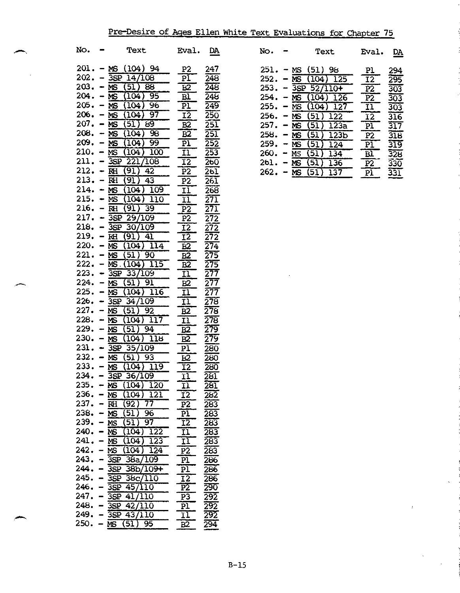# Pre Desire of Ages Ellen White Text Evaluations for Chapter 75

| No.                      | Text                                                | Eval.                                    | DĄ                                     | No.                      | Text                     | Eval.                             | <u>DA</u>                 |
|--------------------------|-----------------------------------------------------|------------------------------------------|----------------------------------------|--------------------------|--------------------------|-----------------------------------|---------------------------|
|                          | $201 - MS (104) 94$<br>$202 - 35P \ \frac{14}{108}$ | P <sub>2</sub><br>$\overline{\text{PI}}$ | 247<br>248                             | $251 - mS$<br>$252 - MS$ | (51) 98<br>$(104)$ 125   | P <sub>1</sub><br>$\overline{12}$ | 294<br>295                |
| $203 - MS$               | (51) 88                                             | E2                                       | 248                                    |                          | $253. - 35P 52/110+$     | $\overline{P2}$                   | 303                       |
| $204. - \overline{MS}$   | $(104)$ 95                                          | $\overline{\mathbf{B}}$                  | 248                                    | 254.                     | $-MS$<br>(104)<br>126    | P2                                | $\overline{303}$          |
| $205 - M$                | $(104)$ 96                                          | $\frac{P1}{I2}$                          | 249                                    | 255.                     | $-$ MS<br>127<br>(104)   | $\overline{11}$                   | <u>303</u>                |
| $206. - MS$              | (104)<br>-97                                        |                                          | 250                                    | $256. - MS$              | (51)<br>$\overline{122}$ | <u>12</u>                         | 316                       |
| $207 - \overline{MS}$    | (51) 89                                             | <u>B2</u>                                | 251                                    | $257. - MS$              | (51)<br>123a             | P <sub>1</sub>                    | 317                       |
| $208. - MS$              | (104)<br>- 98                                       | B2                                       | $\overline{2}\overline{5}\overline{1}$ | $258. - MS$              | (51)<br>123 <sub>b</sub> | P2                                | 318                       |
| $209. - MS$              | (104)<br>$-99$                                      | $\overline{b1}$                          | 252                                    | $259. - MS$              | (51)<br>124              | PĪ                                | 319                       |
| $210. - NS$              | (104)<br>100                                        | <u>11</u>                                | 253                                    | $260 - Ms$               | (51)<br>134              | B1                                | $\overline{328}$          |
|                          | $211. - 35P 221/108$                                | $\overline{12}$                          | 260                                    | $261. - MS$              | (51)<br>136              | P <sub>2</sub>                    | $\overline{330}$          |
| $212 - H$                | (91)<br>42                                          | $\overline{P2}$                          | 261                                    |                          | $262 - MS (51) 137$      | P <sub>1</sub>                    | $\overline{\mathbf{331}}$ |
| $213 - FRH$              | (91)<br>43                                          | P2                                       | 26I                                    |                          |                          |                                   |                           |
| $214. - MS$              | (104) 109                                           | 11                                       | 268                                    |                          |                          |                                   |                           |
| $215. - MS$              | $(104)$ 110                                         | $\overline{\mathbf{11}}$                 | $\overline{271}$                       |                          |                          |                                   |                           |
| $216. - \overline{RH}$   | (91)<br>39                                          | P <sub>2</sub>                           | 271                                    |                          |                          |                                   |                           |
|                          | $217. - 3SP 29/109$                                 | P <sub>2</sub>                           | $\overline{272}$                       |                          |                          |                                   |                           |
|                          | $218. - 35P 30/109$                                 | $\overline{12}$                          | $\overline{272}$                       |                          |                          |                                   |                           |
| $219. - RH$              | $(91)$ 41                                           | $\overline{12}$                          | $\overline{272}$                       |                          |                          |                                   |                           |
| $220 - 95$<br>$221 - 55$ | $(104)$ $114$<br>$(51)$ 90                          | $\overline{B2}$                          | $\overline{274}$                       |                          |                          |                                   |                           |
|                          | $222 - MS.(\overline{104})$ 115                     | $\overline{B2}$                          | 275                                    |                          |                          |                                   |                           |
| $223 - 35P$              | 33/109                                              | B2<br>$\overline{\mathbf{1}}$            |                                        |                          |                          |                                   |                           |
| $224. - MS$              | (51)<br>$\overline{91}$                             | $\underline{B2}$                         | $\frac{275}{277}$<br>$\frac{277}{277}$ |                          |                          |                                   |                           |
| $225. - \overline{MS}$   | $(104)$ 116                                         |                                          |                                        |                          |                          |                                   |                           |
|                          | $226. - 35P \frac{34}{109}$                         | $\frac{11}{11}$                          | 278                                    |                          |                          |                                   |                           |
| $227 - MS$               | (51)<br>-92                                         | B2                                       | 278                                    |                          |                          |                                   |                           |
| $228. - \overline{MS}$   | $(104)$ 117                                         | $\mathbf{I}$                             | $\overline{278}$                       |                          |                          |                                   |                           |
| $229. - MS$              | $(51)$ 94                                           | B2                                       | $\frac{279}{279}$                      |                          |                          |                                   |                           |
| $230 - M$                | $(104)$ 118                                         | B2                                       | <u> 279</u>                            |                          |                          |                                   |                           |
|                          | $231 - 3SP 35/109$                                  | P <sub>1</sub>                           | 280                                    |                          |                          |                                   |                           |
| $232 - \overline{MS}$    | $(51)$ 93                                           | B <sup>2</sup>                           | 280                                    |                          |                          |                                   |                           |
| $233. - \overline{MS}$   | $(104)$ 119                                         | $\overline{12}$                          | 280                                    |                          |                          |                                   |                           |
|                          | $234. - 35P 36/109$                                 | $\overline{\mathbf{1}}$                  | 281                                    |                          |                          |                                   |                           |
|                          | $235. - \overline{\text{MS}} (104) 120$             | 11                                       | 281                                    |                          |                          |                                   |                           |
|                          | $236. - MS (104)$<br>121                            | I <sub>2</sub>                           | 282                                    |                          |                          |                                   |                           |
|                          | $237 - RH(92)$<br>77                                | $\overline{P}2$                          | 283                                    |                          |                          |                                   |                           |
|                          | $238. - \overline{MS}$ (51) 96                      | $\overline{PI}$                          | 283                                    |                          |                          |                                   |                           |
|                          | $239. - MS (51)$<br>97                              | $\overline{12}$                          | 283                                    |                          |                          |                                   |                           |
|                          | $240 - \overline{\text{MS}} (104) 122$              | $\overline{\mathbf{11}}$                 | 283                                    |                          |                          |                                   |                           |
|                          | $241. - NS(104) 123$                                | $\overline{\mathbf{11}}$                 | 283                                    |                          |                          |                                   |                           |
|                          | $242 - NS(104) 124$                                 | $\overline{P2}$                          | 283                                    |                          |                          |                                   |                           |
|                          | $243. - 35P 38a/109$                                | $\overline{\text{pl}}$                   | 286                                    |                          |                          |                                   |                           |
|                          | $244. - 35P 38b/109 +$<br>$245. - 35P 38c/110$      | $\overline{P1}$                          | 286                                    |                          |                          |                                   |                           |
|                          | $246. - 35P 45/110$                                 | $\overline{12}$<br>$\overline{P2}$       | 286<br>290                             |                          |                          |                                   |                           |
|                          | $247. - \overline{35P}41/110$                       | P <sub>3</sub>                           | 292                                    |                          |                          |                                   |                           |
|                          | $248. - 35P 42/110$                                 | $\overline{P1}$                          | 292                                    |                          |                          |                                   |                           |
|                          | $249. - \overline{35}P \ 43/\overline{110}$         | $\mathbf{I}$                             | 292                                    |                          |                          |                                   |                           |
|                          | $250. - MS(51)$<br>-95                              | B2                                       | $\overline{294}$                       |                          |                          |                                   |                           |

| No.  |                                                                                                                                                   | Text                            | Eval.                    | DA               | No.        |                          | Text                                  | Eval.                    | DA               |
|------|---------------------------------------------------------------------------------------------------------------------------------------------------|---------------------------------|--------------------------|------------------|------------|--------------------------|---------------------------------------|--------------------------|------------------|
|      |                                                                                                                                                   | $201 - MS (104) 94$             | P <sub>2</sub>           | 247              | 251.       | $\overline{\phantom{m}}$ | MS (51) 98                            | P1                       | 294              |
|      |                                                                                                                                                   | $202 - 35P \overline{14/108}$   | $\overline{\text{PI}}$   | 248              | 252.       |                          | MS (104) 125                          | $\overline{12}$          | 295              |
| 203. |                                                                                                                                                   | $- MS (51)$<br>88               | $\overline{52}$          | 248              | 253.       |                          | $-35P$ 52/110+                        | $\overline{P2}$          | 303              |
| 204. | $\overline{\phantom{a}}$                                                                                                                          | 95<br>(104)<br><b>MS</b>        | $\overline{\text{BT}}$   | 248              | 254.       |                          | (104)<br><b>MS</b><br>126             | $\overline{P2}$          | 303              |
| 205. | $\blacksquare$                                                                                                                                    | (104)<br>96<br><b>MS</b>        | $\overline{P1}$          | 249              | 255.       | $\qquad \qquad$          | (104)<br><b>MS</b><br>127             | $\overline{\mathbf{11}}$ | <u>303</u>       |
| 206. | $\qquad \qquad$                                                                                                                                   | - 97<br>(104)<br>MS             | $\overline{12}$          | $\overline{250}$ | 256.       |                          | (51) 122<br><b>MS</b>                 | $\overline{12}$          | $\overline{316}$ |
|      |                                                                                                                                                   | $207 - MS(51) 89$               | $\overline{B2}$          | $\overline{251}$ | 257.       |                          | $(51)$ 123a<br>MS                     | PI                       | 317              |
| 208. |                                                                                                                                                   | $- MS (104)$<br>$\overline{98}$ | $\overline{B2}$          | $\overline{251}$ | 258.       | $\qquad \qquad$          | (51)<br>123 <sub>b</sub><br><b>MS</b> | $\overline{P2}$          | $\overline{318}$ |
| 209. | $\hskip1.6pt\hskip1.6pt\hskip1.6pt\hskip1.6pt\hskip1.6pt\hskip1.6pt\hskip1.6pt\hskip1.6pt\hskip1.6pt\hskip1.6pt\hskip1.6pt\hskip1.6pt\hskip1.6pt$ | 99<br>(104)<br><b>MS</b>        | P1                       | $\overline{252}$ | 259.       |                          | $(51)$ 124<br><b>MS</b>               | $\overline{\text{PI}}$   | 319              |
| 210. | $\blacksquare$                                                                                                                                    | (104)<br><b>MS</b><br>100       | $\overline{\mathbf{11}}$ | 253              | 260.       | $\hskip.01in$            | (51)<br>134<br>MS                     | $\overline{\mathtt{BL}}$ | 328              |
| 211. |                                                                                                                                                   | $-3SP$<br>221/108               | I2                       | 260              | 261.       |                          | (51)<br><b>MS</b><br>136              | $\overline{P2}$          | 330              |
| 212. |                                                                                                                                                   | RH (91)<br>42                   | $\overline{P2}$          | 261              | $262 - MS$ |                          | $(51)$ 137                            | $\overline{\text{PI}}$   | 331              |

 $\bar{z}$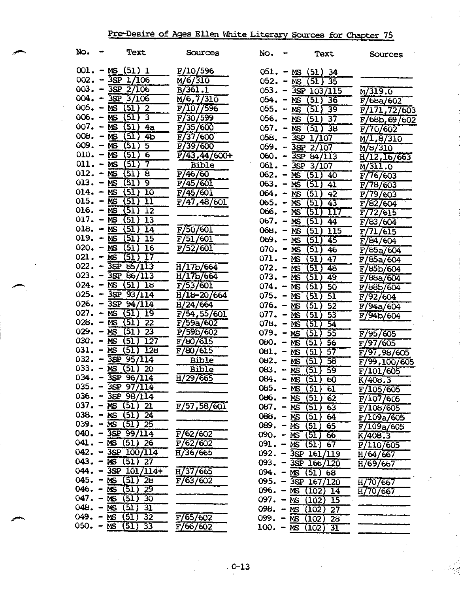# Pre-Desire of Ages Ellen White Literary Sources for Chapter 76

| No.         | Text                                                  | Sources                    | No.                    | Text                                    | Sources                |
|-------------|-------------------------------------------------------|----------------------------|------------------------|-----------------------------------------|------------------------|
|             | $001 - MS (51) 1$                                     | F/10/596                   |                        | $051. - MS (51) 34$                     |                        |
|             | $002 - 3SP1/106$                                      | M/6/310                    |                        | $052. - MS(51) 35$                      |                        |
|             | $003 - 3SP$ 2/106                                     | $\overline{B/361.1}$       |                        | $053 - 35P 103/115$                     | M/319.0                |
|             | $004. - 3SP 3/106$                                    | M/6, 7/310                 |                        | $054. - MS(51)36$                       | F/66a/602              |
|             | $005. - MS(51)$ 2                                     | F/107/596                  |                        | $055. - MS(51)39$                       | F/171, 72/603          |
|             | $006 - MS(51)$ 3                                      | F/30/599                   |                        | $056. - MS(51) 37$                      | F/66b, 69/602          |
|             | $007. - MS(51)$<br>4a                                 | F/35/600                   |                        | $057. - \overline{MS}$ (51) 38          | F/70/602               |
|             | $008. - MS(51)$<br>4 <sub>b</sub>                     | F/37/600                   |                        | $058. - 3SP 1/107$                      | M/1,8/310              |
|             | $009. - MS(51)$<br>5                                  | F/39/600                   |                        | $059. - 3SP$ 2/107                      | M/8/310                |
|             | $010. - MS(51)$<br>$\overline{\mathbf{6}}$            | $\overline{F/43,44/600}$ + |                        | $060. - \overline{3sp} 64/113$          | H/12, 16/663           |
|             | 7<br>$011 - MS(51)$                                   | <b>Bible</b>               |                        | $061. - 3SP$ 3/107                      | M/311.0                |
|             | $012 - MS(51)$<br>$\overline{\mathbf{8}}$             | F/46/60                    |                        | $062 - MS (51) 40$                      | F/76/603               |
|             | $013. - MS(51)$<br>9                                  | F/45/601                   |                        | $063. - MS(51)41$                       | F/78/603               |
|             | $014. - MS(51)$<br>$\overline{10}$                    | F/45/601                   |                        | $064. - MS(51)$<br>$-42$                | <b>F/79/603</b>        |
|             | $015. - \overline{MS}(51)$<br>11                      | F/47,48/601                |                        | $065. - MS (51) 43$                     | F/82/604               |
|             | $016. - MS(51)$<br>12                                 |                            |                        | 066. – $\overline{MS}$ (51)<br>117      | F/72/615               |
|             | $017. - MS(51)$<br>13                                 |                            |                        | $067. - MS(51)$<br>44                   | F/83/604               |
|             | $018. - MS(51)$<br>14                                 | F/50/601                   |                        | $068. - MS(51)$<br>$\overline{115}$     | F/71/615               |
|             | 019. – $MS(51)$<br>$\overline{15}$                    | F/51/601                   | $069. - MS$            | $\overline{(51)}$<br>$-45$              | F/84/604               |
|             | $020 - MS(51)16$                                      | F/52/601                   |                        | $070. - MS(51)$<br>46                   | F/85a/604              |
|             | $021 - MS(51)$<br>77                                  |                            |                        | $071. - MS(51)$<br>$\overline{47}$      | F/85a/604              |
|             | $022 - 35P 85/113$                                    | H/17b/664                  |                        | $072. - MS(51)$<br>48                   | F/85b/604              |
|             | $023 - 35P 86/113$                                    | H/17b/664                  |                        | $073. - MS(51)$<br>49                   | F/88a/604              |
|             | $024. - \overline{MS}$ (51) 18                        | F/53/601                   |                        | $074. - MS (51)$<br>50                  | F/66b/604              |
|             | $025. - 3SP 93/114$                                   | H/18-20/664                | $075. - \overline{MS}$ | (51)<br>5I                              | F/92/604               |
|             | 026. - $3SP \frac{94}{114}$                           | H/24/664                   |                        | 076. - $MS(51)$<br>52                   | F/94a/604              |
|             | $027. - MS(51)19$<br>$028. - MS(51)$                  | F/54, 55/601               |                        | $077. - MS (51)$<br>53                  | F/94b/604              |
|             | $\overline{22}$<br>$029. - MS(51)$<br>$\overline{23}$ | F/59a/602                  | $078. - MS$            | (51)<br>54                              |                        |
|             | $030 - MS (51) 127$                                   | F/59b/602<br>F/60/615      |                        | $079. - MS (51) 55$                     | F/95/605               |
|             | $031. - \overline{MS(51)}$<br>128                     | F/80/615                   |                        | $080 - MS(51)56$                        | F/97/605               |
|             | $032 - 35P$ 95/114                                    | <b>Bible</b>               |                        | $081. - MS(51)$<br>-57                  | F/97,98/605            |
|             | $033. - MS(51)$<br>20                                 | <b>Bible</b>               |                        | $082. - MS(51) 58$<br>$083. - MS(51)59$ | F/99,100/605           |
|             | $034. - 3SP 96/114$                                   | H/29/665                   |                        | $084. - MS (51) 60$                     | F/101/605<br>K/408.3   |
|             | $035. - 3SP 97/114$                                   |                            |                        | $085. - \overline{MS(51) 61}$           |                        |
|             | $036. - 3SP 98/114$                                   |                            | $086. - MS$            | (51)<br>62                              | F/105/605<br>F/107/605 |
|             | $037. - MS(51)$ 21                                    | F/57, 58/601               | $087. - MS$            | (51)<br>-63                             | $\overline{F/106/605}$ |
|             | $038. - MS$ (51) 24                                   |                            | $088. - MS$            | (51)<br>64                              | <b>F/109a7605</b>      |
|             | $039. - MS (51) 25$                                   |                            | $089. - MS$            | (51)<br>65                              | F/109a/605             |
|             | $040. - 35P 99/114$                                   | $\frac{1}{2}$ /62/602      | $090 - MST$            | (51)<br>66                              | K/408.3                |
|             | $041. - MS(51)$ 26                                    | F/62/602                   | $091. - MS$            | (51)<br>67                              | <b>F/1107605</b>       |
|             | $042. - 3SP 100/114$                                  | H/36/665                   |                        | $092. - 35P 161/119$                    | H/64/667               |
|             | 043. – $\overline{MS}$ (51)<br>27                     |                            |                        | $093. - 3SP 166/120$                    | H/69/667               |
|             | $044. - 3SP 101/114+$                                 | H737/665                   |                        | $094. - MS(51)$<br>68                   |                        |
|             | $045. - MS(51)$<br>28                                 | F/63/602                   |                        | 095. - $3SP$ 167/120                    | H/70/667               |
|             | $046. - MS(51)$<br>29                                 |                            |                        | $096. - MS (102)$<br>14                 | H/70/667               |
| $047. - NS$ | (51)<br>30                                            |                            |                        | $097. - MS (102)$<br>15                 |                        |
|             | $048. - MS(51)$<br>$\overline{31}$                    |                            |                        | $098. - MS (102)$<br>-27                |                        |
|             | 049. – MS $(51)$<br>32                                | F/65/602                   |                        | $099. - MS (102) 28$                    |                        |
|             | $050. - \overline{MS}$ (51) 33                        | F/66/602                   |                        | $100. - MS(102)$<br>31                  |                        |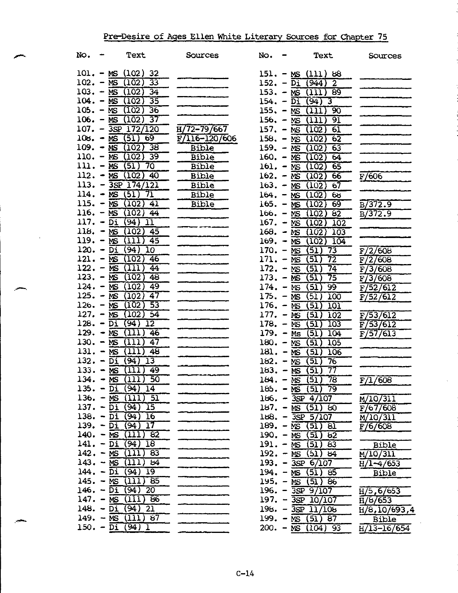# Pre-Desire of Ages Ellen White Literary Sources for Chapter 75

| No.                    | Text                                                    | Sources           | No.                           | Text                                                 | Sources                  |
|------------------------|---------------------------------------------------------|-------------------|-------------------------------|------------------------------------------------------|--------------------------|
|                        | $101 - MS (102) 32$                                     |                   |                               | $151. - MS (111) 88$                                 |                          |
|                        | $102. - MS (102)$<br>-33                                |                   |                               | $152. - D_1 (944)$<br>$\overline{2}$                 |                          |
|                        | 103. – MS (102)<br>34                                   |                   |                               | $153. - MS (111)$<br>89                              |                          |
|                        | $104. - NS (102)$<br>$\overline{35}$                    |                   | $154. -\overline{Di}$         | $(94)$ 3                                             |                          |
| $105. - NS$            | (102)<br>36                                             |                   | $155. - MS$                   | 90<br>(111)                                          |                          |
|                        | 106. – MS $(102)$<br>$\overline{37}$                    |                   |                               | 156. $-$ MS (111)<br>91                              |                          |
| $107. - 3SP$           | 172/120                                                 | $H/72-79/667$     |                               | $157. - MS(102)$<br>61                               |                          |
|                        | $108. - MS(51)$<br>69                                   | $F/116 - 120/606$ | $158. - MS$                   | (102)<br>$6\overline{2}$                             |                          |
| $109. - MS$            | 38<br>(102)                                             | Bible             |                               | $159. - MS(102)$<br>63                               |                          |
|                        | $110. - \overline{MS}$ (102)<br>-39                     | <b>Bible</b>      |                               | $160. - MS(102)$<br>64                               |                          |
|                        | $111. - MS(51)$<br>70                                   | <b>Bible</b>      |                               | 161. – MS $(102)$<br>65                              |                          |
|                        | $112. - MS(102)$<br>-40                                 | <b>Bible</b>      |                               | $162. - NS(102)$<br>$6\overline{6}$                  | F/606                    |
|                        | $113. - 3SP 174/121$                                    | Bible             |                               | $163. - MS (102)$<br>67                              |                          |
|                        | 114. - $\overline{MS(51)}$<br>7ī                        | Bible             |                               | $164. - MS (102)$<br>65                              |                          |
|                        | 115. $- \overline{\text{MS}} (102) 41$                  | <b>Bible</b>      |                               | $165. - MS(102)$<br>69                               | B7372.9                  |
|                        | $116. - MS(102)$<br>44                                  |                   |                               | $166. - MS (102)$<br>$6\overline{2}$                 | $\overline{B/372.9}$     |
| $117. - \overline{Di}$ | (94)<br>$\overline{11}$                                 |                   |                               | $167. - MS(102)$<br>102                              |                          |
| $118. - MS$            | (102)<br>-45                                            | ___________       | $168. - MS$                   | (102)<br>103                                         |                          |
| $119. - MS$            | (1)1<br>45                                              |                   | $169. - MS$                   | (102)<br>104                                         |                          |
| $120. - Di$            | (94)<br>10                                              |                   | 170. – $\overline{\text{MS}}$ | 73<br>(51)                                           | F/2/608                  |
| $121 - \overline{MS}$  | (102)<br>46                                             |                   | $171. - MS$                   | (51)<br>72                                           | F/2/608                  |
| $122. - NS$            | (111)<br>44                                             |                   | $172. - MS$                   | 74<br>(51)                                           | F/3/608                  |
|                        | $123. - MS (102)$<br>48                                 |                   | $173. - MS$                   | (51)<br>75                                           | F/3/608                  |
|                        | 49<br>$124. - MS (102)$                                 |                   | $174. - MS$                   | (51)<br>99                                           | F/52/612                 |
|                        | 125. – MS $(102)$<br>$\overline{47}$                    |                   | $175. - MS$                   | (51)<br>100                                          | F/52/612                 |
|                        | 126. – MS $(102)$<br>$\overline{53}$                    |                   | $176. - \overline{MS}$        | (51)<br><b>101</b>                                   |                          |
| $127. - MS$            | (102)<br>54                                             |                   | $177. - MS$                   | (51)<br>102                                          | F/53/612                 |
| $128. - \overline{Di}$ | (94)<br>12                                              |                   | $178. - MS$                   | (51)<br>103                                          | F/53/612                 |
| $129. - MS$            | (11)<br>46                                              |                   | $179. - MS$                   | (5I)<br>104                                          | F/57/613                 |
| $130. - MS$            | (111)<br>47                                             |                   | $180 - MS$                    | (5I)<br>105                                          |                          |
|                        | $131. - MS$ (111)<br>48                                 |                   |                               | $181 - MS (51)$<br>106                               |                          |
|                        | 132. – $\overline{Di}$ (94)<br>$\overline{13}$          |                   | $182. - MS$                   | (51)<br>76                                           |                          |
|                        | $133. - MS$ (111)<br>-49                                |                   | $183. - MS$                   | 77<br>(51)                                           |                          |
|                        | 134. – $MS$ (111)<br>50                                 |                   |                               | 78<br>$184. - \overline{\text{MS}} (51)$             | F/1/608                  |
|                        | $135. -\overline{Di} (94) 14$<br>136. $-$ MS $(111)$ 51 |                   |                               | $185. - MS (51) 79$                                  |                          |
|                        | $137. - \overline{Di} (94) 15$                          |                   |                               | $186. - 3SP$ $4/107$                                 | $\overline{M}/10/311$    |
|                        | 138. – Di $(94)$ 16                                     |                   |                               | $187. - NS(51) 80$                                   | F/67/608                 |
| 139. $-\overline{Di}$  | $\overline{17}$<br>(94)                                 |                   |                               | $188. - 35P 5/107$<br>$189. - \overline{MS}$ (51) 81 | M/10/311                 |
|                        | $140. - MS$ (111) 82                                    |                   |                               | $190. - MS(51) 62$                                   | F/6/608                  |
|                        | 141. – Di $(94)$ 18                                     |                   |                               | $191. - MS(51) 83$                                   | <b>Bible</b>             |
|                        | $142. - MS (111) 83$                                    |                   |                               | $192. - MS(51) 84$                                   | $\frac{M}{10/311}$       |
|                        | $143. - MS (111) 84$                                    |                   |                               | $193. - 3SP 6/107$                                   | H/1-4/653                |
|                        | $144. - Di (94) 19$                                     |                   |                               | $194. - MS$ (51) 85                                  | Bible                    |
|                        | $145. - MS$ (111) 85                                    |                   |                               | $195. - \overline{MS}$ (51) 86                       |                          |
|                        | $146. - Di(94)20$                                       |                   |                               | $196. - 3SP 9/107$                                   | $\overline{H/5}$ , 6/653 |
|                        | $147. - MS (111) 86$                                    |                   |                               | $197. - 3SP 10/107$                                  | H/8/653                  |
|                        | 148. – Di $(94)$ 21                                     |                   |                               | $198. - 35P 11/108$                                  | H/8, 10/693, 4           |
|                        | $149. - MS (111) 87$                                    |                   |                               | $199. - MS (51) 87$                                  | <b>Bible</b>             |
|                        | $150. - Di (94) I$                                      |                   |                               | $200 - MS (104)$ 93                                  | $H/13 - 16/654$          |
|                        |                                                         |                   |                               |                                                      |                          |